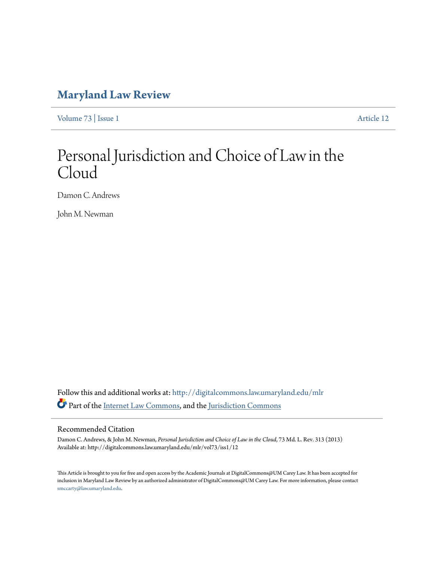# **[Maryland Law Review](http://digitalcommons.law.umaryland.edu/mlr?utm_source=digitalcommons.law.umaryland.edu%2Fmlr%2Fvol73%2Fiss1%2F12&utm_medium=PDF&utm_campaign=PDFCoverPages)**

[Volume 73](http://digitalcommons.law.umaryland.edu/mlr/vol73?utm_source=digitalcommons.law.umaryland.edu%2Fmlr%2Fvol73%2Fiss1%2F12&utm_medium=PDF&utm_campaign=PDFCoverPages) | [Issue 1](http://digitalcommons.law.umaryland.edu/mlr/vol73/iss1?utm_source=digitalcommons.law.umaryland.edu%2Fmlr%2Fvol73%2Fiss1%2F12&utm_medium=PDF&utm_campaign=PDFCoverPages) [Article 12](http://digitalcommons.law.umaryland.edu/mlr/vol73/iss1/12?utm_source=digitalcommons.law.umaryland.edu%2Fmlr%2Fvol73%2Fiss1%2F12&utm_medium=PDF&utm_campaign=PDFCoverPages)

# Personal Jurisdiction and Choice of Law in the Cloud

Damon C. Andrews

John M. Newman

Follow this and additional works at: [http://digitalcommons.law.umaryland.edu/mlr](http://digitalcommons.law.umaryland.edu/mlr?utm_source=digitalcommons.law.umaryland.edu%2Fmlr%2Fvol73%2Fiss1%2F12&utm_medium=PDF&utm_campaign=PDFCoverPages) Part of the [Internet Law Commons,](http://network.bepress.com/hgg/discipline/892?utm_source=digitalcommons.law.umaryland.edu%2Fmlr%2Fvol73%2Fiss1%2F12&utm_medium=PDF&utm_campaign=PDFCoverPages) and the [Jurisdiction Commons](http://network.bepress.com/hgg/discipline/850?utm_source=digitalcommons.law.umaryland.edu%2Fmlr%2Fvol73%2Fiss1%2F12&utm_medium=PDF&utm_campaign=PDFCoverPages)

## Recommended Citation

Damon C. Andrews, & John M. Newman, *Personal Jurisdiction and Choice of Law in the Cloud*, 73 Md. L. Rev. 313 (2013) Available at: http://digitalcommons.law.umaryland.edu/mlr/vol73/iss1/12

This Article is brought to you for free and open access by the Academic Journals at DigitalCommons@UM Carey Law. It has been accepted for inclusion in Maryland Law Review by an authorized administrator of DigitalCommons@UM Carey Law. For more information, please contact [smccarty@law.umaryland.edu.](mailto:smccarty@law.umaryland.edu)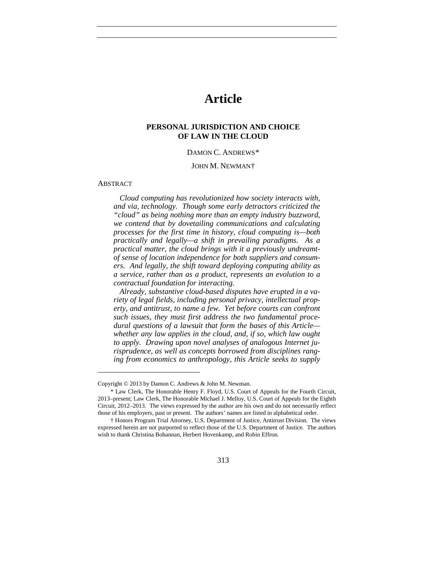## **Article**

#### **PERSONAL JURISDICTION AND CHOICE OF LAW IN THE CLOUD**

#### DAMON C. ANDREWS[\\*](#page-1-0)

#### JOHN M. NEWMAN[†](#page-1-1)

#### ABSTRACT

 $\overline{a}$ 

*Cloud computing has revolutionized how society interacts with, and via, technology. Though some early detractors criticized the "cloud" as being nothing more than an empty industry buzzword, we contend that by dovetailing communications and calculating processes for the first time in history, cloud computing is—both practically and legally—a shift in prevailing paradigms. As a practical matter, the cloud brings with it a previously undreamtof sense of location independence for both suppliers and consumers. And legally, the shift toward deploying computing ability as a service, rather than as a product, represents an evolution to a contractual foundation for interacting.*

*Already, substantive cloud-based disputes have erupted in a variety of legal fields, including personal privacy, intellectual property, and antitrust, to name a few. Yet before courts can confront such issues, they must first address the two fundamental procedural questions of a lawsuit that form the bases of this Article whether any law applies in the cloud, and, if so, which law ought to apply. Drawing upon novel analyses of analogous Internet jurisprudence, as well as concepts borrowed from disciplines ranging from economics to anthropology, this Article seeks to supply* 

<span id="page-1-0"></span>Copyright © 2013 by Damon C. Andrews & John M. Newman.

<sup>\*</sup> Law Clerk, The Honorable Henry F. Floyd, U.S. Court of Appeals for the Fourth Circuit, 2013–present; Law Clerk, The Honorable Michael J. Melloy, U.S. Court of Appeals for the Eighth Circuit, 2012–2013. The views expressed by the author are his own and do not necessarily reflect those of his employers, past or present. The authors' names are listed in alphabetical order.

<span id="page-1-1"></span><sup>†</sup> Honors Program Trial Attorney, U.S. Department of Justice, Antitrust Division. The views expressed herein are not purported to reflect those of the U.S. Department of Justice. The authors wish to thank Christina Bohannan, Herbert Hovenkamp, and Robin Effron.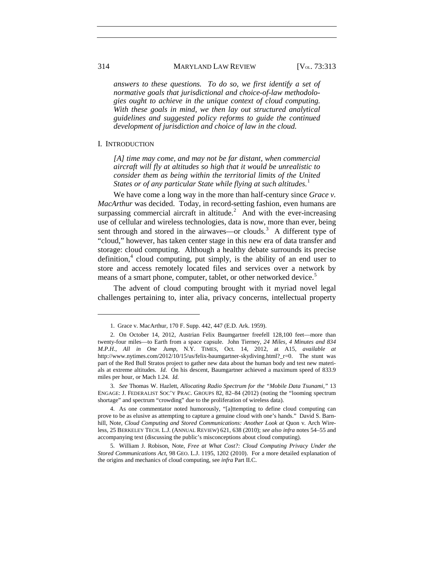#### 314 MARYLAND LAW REVIEW [V<sub>OL.</sub> 73:313]

*answers to these questions. To do so, we first identify a set of normative goals that jurisdictional and choice-of-law methodologies ought to achieve in the unique context of cloud computing. With these goals in mind, we then lay out structured analytical guidelines and suggested policy reforms to guide the continued development of jurisdiction and choice of law in the cloud.*

#### I. INTRODUCTION

*[A] time may come, and may not be far distant, when commercial aircraft will fly at altitudes so high that it would be unrealistic to consider them as being within the territorial limits of the United States or of any particular State while flying at such altitudes.*[1](#page-2-0)

We have come a long way in the more than half-century since *Grace v. MacArthur* was decided. Today, in record-setting fashion, even humans are surpassing commercial aircraft in altitude. $^{2}$  $^{2}$  $^{2}$  And with the ever-increasing use of cellular and wireless technologies, data is now, more than ever, being sent through and stored in the airwaves—or clouds.<sup>[3](#page-2-2)</sup> A different type of "cloud," however, has taken center stage in this new era of data transfer and storage: cloud computing. Although a healthy debate surrounds its precise definition, $4$  cloud computing, put simply, is the ability of an end user to store and access remotely located files and services over a network by means of a smart phone, computer, tablet, or other networked device.<sup>[5](#page-2-4)</sup>

The advent of cloud computing brought with it myriad novel legal challenges pertaining to, inter alia, privacy concerns, intellectual property

<sup>1.</sup> Grace v. MacArthur, 170 F. Supp. 442, 447 (E.D. Ark. 1959).

<span id="page-2-1"></span><span id="page-2-0"></span><sup>2.</sup> On October 14, 2012, Austrian Felix Baumgartner freefell 128,100 feet—more than twenty-four miles—to Earth from a space capsule. John Tierney, *24 Miles, 4 Minutes and 834 M.P.H., All in One Jump*, N.Y. TIMES, Oct. 14, 2012, at A15, *available at* http://www.nytimes.com/2012/10/15/us/felix-baumgartner-skydiving.html?\_r=0. The stunt was part of the Red Bull Stratos project to gather new data about the human body and test new materials at extreme altitudes. *Id.* On his descent, Baumgartner achieved a maximum speed of 833.9 miles per hour, or Mach 1.24. *Id.*

<span id="page-2-2"></span><sup>3.</sup> *See* Thomas W. Hazlett, *Allocating Radio Spectrum for the "Mobile Data Tsunami,"* 13 ENGAGE: J. FEDERALIST SOC'Y PRAC. GROUPS 82, 82–84 (2012) (noting the "looming spectrum shortage" and spectrum "crowding" due to the proliferation of wireless data).

<span id="page-2-3"></span><sup>4.</sup> As one commentator noted humorously, "[a]ttempting to define cloud computing can prove to be as elusive as attempting to capture a genuine cloud with one's hands." David S. Barnhill, Note, *Cloud Computing and Stored Communications: Another Look at Quon v. Arch Wire*less, 25 BERKELEY TECH. L.J. (ANNUAL REVIEW) 621, 638 (2010); *see also infra* note[s 54](#page-11-0)[–55](#page-12-0) and accompanying text (discussing the public's misconceptions about cloud computing).

<span id="page-2-4"></span><sup>5.</sup> William J. Robison, Note, *Free at What Cost?: Cloud Computing Privacy Under the Stored Communications Act*, 98 GEO. L.J. 1195, 1202 (2010). For a more detailed explanation of the origins and mechanics of cloud computing, see *infra* Part II.C.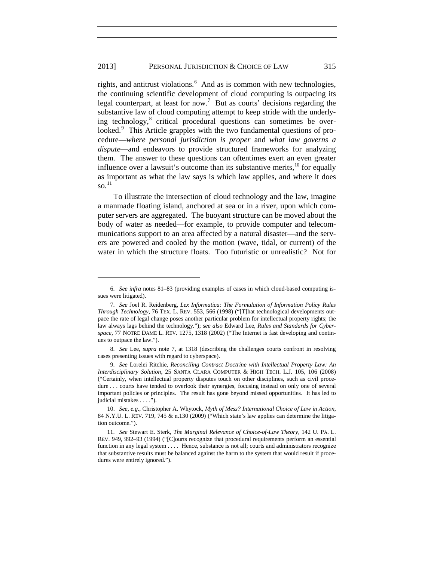#### 2013] PERSONAL JURISDICTION & CHOICE OF LAW 315

<span id="page-3-0"></span>rights, and antitrust violations.<sup>[6](#page-3-1)</sup> And as is common with new technologies, the continuing scientific development of cloud computing is outpacing its legal counterpart, at least for now.<sup>[7](#page-3-2)</sup> But as courts' decisions regarding the substantive law of cloud computing attempt to keep stride with the underly-ing technology,<sup>[8](#page-3-3)</sup> critical procedural questions can sometimes be over-looked.<sup>[9](#page-3-4)</sup> This Article grapples with the two fundamental questions of procedure—*where personal jurisdiction is proper* and *what law governs a dispute*—and endeavors to provide structured frameworks for analyzing them. The answer to these questions can oftentimes exert an even greater influence over a lawsuit's outcome than its substantive merits,  $^{10}$  $^{10}$  $^{10}$  for equally as important as what the law says is which law applies, and where it does so.<sup>[11](#page-3-6)</sup>

To illustrate the intersection of cloud technology and the law, imagine a manmade floating island, anchored at sea or in a river, upon which computer servers are aggregated. The buoyant structure can be moved about the body of water as needed—for example, to provide computer and telecommunications support to an area affected by a natural disaster—and the servers are powered and cooled by the motion (wave, tidal, or current) of the water in which the structure floats. Too futuristic or unrealistic? Not for

<span id="page-3-1"></span><sup>6.</sup> *See infra* notes [81](#page-17-0)[–83](#page-17-1) (providing examples of cases in which cloud-based computing issues were litigated).

<span id="page-3-2"></span><sup>7.</sup> *See* Joel R. Reidenberg, *Lex Informatica: The Formulation of Information Policy Rules Through Technology*, 76 TEX. L. REV. 553, 566 (1998) ("[T]hat technological developments outpace the rate of legal change poses another particular problem for intellectual property rights; the law always lags behind the technology."); *see also* Edward Lee, *Rules and Standards for Cyberspace*, 77 NOTRE DAME L. REV. 1275, 1318 (2002) ("The Internet is fast developing and continues to outpace the law.").

<span id="page-3-3"></span><sup>8.</sup> *See* Lee, *supra* note [7,](#page-3-0) at 1318 (describing the challenges courts confront in resolving cases presenting issues with regard to cyberspace).

<span id="page-3-4"></span><sup>9.</sup> *See* Lorelei Ritchie, *Reconciling Contract Doctrine with Intellectual Property Law: An Interdisciplinary Solution*, 25 SANTA CLARA COMPUTER & HIGH TECH. L.J. 105, 106 (2008) ("Certainly, when intellectual property disputes touch on other disciplines, such as civil procedure ... courts have tended to overlook their synergies, focusing instead on only one of several important policies or principles. The result has gone beyond missed opportunities. It has led to judicial mistakes . . . .").

<span id="page-3-5"></span><sup>10.</sup> *See, e.g.*, Christopher A. Whytock, *Myth of Mess? International Choice of Law in Action*, 84 N.Y.U. L. REV. 719, 745 & n.130 (2009) ("Which state's law applies can determine the litigation outcome.").

<span id="page-3-6"></span><sup>11.</sup> *See* Stewart E. Sterk, *The Marginal Relevance of Choice-of-Law Theory*, 142 U. PA. L. REV. 949, 992–93 (1994) ("[C]ourts recognize that procedural requirements perform an essential function in any legal system . . . . Hence, substance is not all; courts and administrators recognize that substantive results must be balanced against the harm to the system that would result if procedures were entirely ignored.").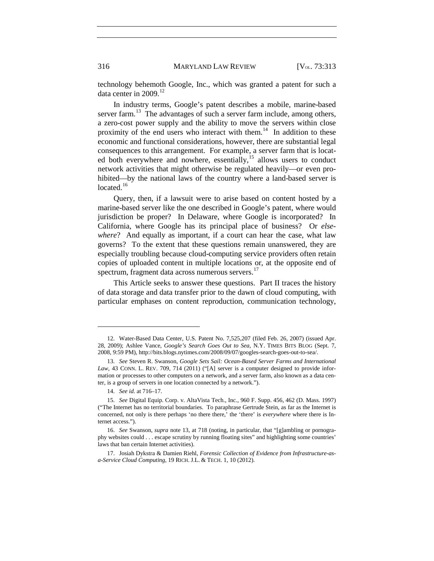technology behemoth Google, Inc., which was granted a patent for such a data center in  $2009$ <sup>[12](#page-4-1)</sup>

<span id="page-4-0"></span>In industry terms, Google's patent describes a mobile, marine-based server farm.<sup>13</sup> The advantages of such a server farm include, among others, a zero-cost power supply and the ability to move the servers within close proximity of the end users who interact with them.<sup>14</sup> In addition to these economic and functional considerations, however, there are substantial legal consequences to this arrangement. For example, a server farm that is locat-ed both everywhere and nowhere, essentially,<sup>[15](#page-4-4)</sup> allows users to conduct network activities that might otherwise be regulated heavily—or even prohibited—by the national laws of the country where a land-based server is located. $16$ 

Query, then, if a lawsuit were to arise based on content hosted by a marine-based server like the one described in Google's patent, where would jurisdiction be proper? In Delaware, where Google is incorporated? In California, where Google has its principal place of business? Or *elsewhere*? And equally as important, if a court can hear the case, what law governs? To the extent that these questions remain unanswered, they are especially troubling because cloud-computing service providers often retain copies of uploaded content in multiple locations or, at the opposite end of spectrum, fragment data across numerous servers.<sup>[17](#page-4-6)</sup>

This Article seeks to answer these questions. Part II traces the history of data storage and data transfer prior to the dawn of cloud computing, with particular emphases on content reproduction, communication technology,

<span id="page-4-1"></span><sup>12.</sup> Water-Based Data Center, U.S. Patent No. 7,525,207 (filed Feb. 26, 2007) (issued Apr. 28, 2009); Ashlee Vance, *Google's Search Goes Out to Sea*, N.Y. TIMES BITS BLOG (Sept. 7, 2008, 9:59 PM), http://bits.blogs.nytimes.com/2008/09/07/googles-search-goes-out-to-sea/.

<span id="page-4-2"></span><sup>13.</sup> *See* Steven R. Swanson, *Google Sets Sail: Ocean-Based Server Farms and International Law*, 43 CONN. L. REV. 709, 714 (2011) ("[A] server is a computer designed to provide information or processes to other computers on a network, and a server farm, also known as a data center, is a group of servers in one location connected by a network.").

<sup>14.</sup> *See id.* at 716–17.

<span id="page-4-4"></span><span id="page-4-3"></span><sup>15.</sup> *See* Digital Equip. Corp. v. AltaVista Tech., Inc., 960 F. Supp. 456, 462 (D. Mass. 1997) ("The Internet has no territorial boundaries. To paraphrase Gertrude Stein, as far as the Internet is concerned, not only is there perhaps 'no there there,' the 'there' is *everywhere* where there is Internet access.").

<span id="page-4-5"></span><sup>16.</sup> *See* Swanson, *supra* note [13,](#page-4-0) at 718 (noting, in particular, that "[g]ambling or pornography websites could . . . escape scrutiny by running floating sites" and highlighting some countries' laws that ban certain Internet activities).

<span id="page-4-6"></span><sup>17.</sup> Josiah Dykstra & Damien Riehl, *Forensic Collection of Evidence from Infrastructure-asa-Service Cloud Computing*, 19 RICH. J.L. & TECH. 1, 10 (2012).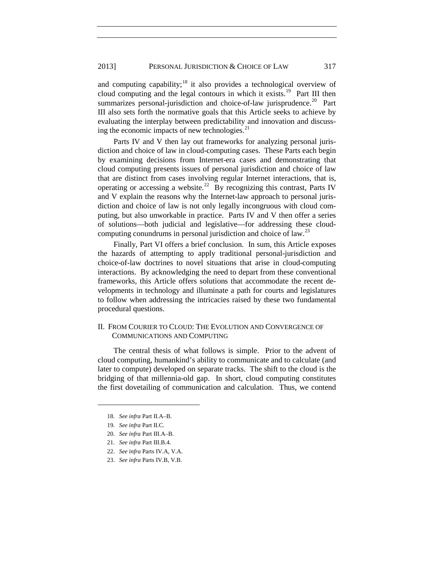#### 2013] PERSONAL JURISDICTION & CHOICE OF LAW 317

and computing capability;<sup>[18](#page-5-0)</sup> it also provides a technological overview of cloud computing and the legal contours in which it exists.<sup>[19](#page-5-1)</sup> Part III then summarizes personal-jurisdiction and choice-of-law jurisprudence.<sup>[20](#page-5-2)</sup> Part III also sets forth the normative goals that this Article seeks to achieve by evaluating the interplay between predictability and innovation and discussing the economic impacts of new technologies. $^{21}$  $^{21}$  $^{21}$ 

Parts IV and V then lay out frameworks for analyzing personal jurisdiction and choice of law in cloud-computing cases. These Parts each begin by examining decisions from Internet-era cases and demonstrating that cloud computing presents issues of personal jurisdiction and choice of law that are distinct from cases involving regular Internet interactions, that is, operating or accessing a website.<sup>[22](#page-5-4)</sup> By recognizing this contrast, Parts IV and V explain the reasons why the Internet-law approach to personal jurisdiction and choice of law is not only legally incongruous with cloud computing, but also unworkable in practice. Parts IV and V then offer a series of solutions—both judicial and legislative—for addressing these cloud-computing conundrums in personal jurisdiction and choice of law.<sup>[23](#page-5-5)</sup>

Finally, Part VI offers a brief conclusion. In sum, this Article exposes the hazards of attempting to apply traditional personal-jurisdiction and choice-of-law doctrines to novel situations that arise in cloud-computing interactions. By acknowledging the need to depart from these conventional frameworks, this Article offers solutions that accommodate the recent developments in technology and illuminate a path for courts and legislatures to follow when addressing the intricacies raised by these two fundamental procedural questions.

### II. FROM COURIER TO CLOUD: THE EVOLUTION AND CONVERGENCE OF COMMUNICATIONS AND COMPUTING

The central thesis of what follows is simple. Prior to the advent of cloud computing, humankind's ability to communicate and to calculate (and later to compute) developed on separate tracks. The shift to the cloud is the bridging of that millennia-old gap. In short, cloud computing constitutes the first dovetailing of communication and calculation. Thus, we contend

<sup>18.</sup> *See infra* Part II.A–B.

<span id="page-5-2"></span><span id="page-5-1"></span><span id="page-5-0"></span><sup>19.</sup> *See infra* Part II.C.

<sup>20.</sup> *See infra* Part III.A–B.

<span id="page-5-4"></span><span id="page-5-3"></span><sup>21.</sup> *See infra* Part III.B.4.

<sup>22.</sup> *See infra* Parts IV.A, V.A.

<span id="page-5-5"></span><sup>23.</sup> *See infra* Parts IV.B, V.B.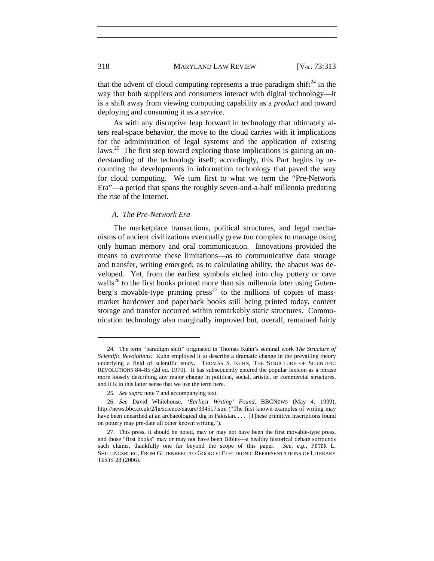that the advent of cloud computing represents a true paradigm shift<sup>[24](#page-6-0)</sup> in the way that both suppliers and consumers interact with digital technology—it is a shift away from viewing computing capability as a *product* and toward deploying and consuming it as a *service*.

As with any disruptive leap forward in technology that ultimately alters real-space behavior, the move to the cloud carries with it implications for the administration of legal systems and the application of existing laws.<sup>[25](#page-6-1)</sup> The first step toward exploring those implications is gaining an understanding of the technology itself; accordingly, this Part begins by recounting the developments in information technology that paved the way for cloud computing. We turn first to what we term the "Pre-Network Era"—a period that spans the roughly seven-and-a-half millennia predating the rise of the Internet.

#### *A. The Pre-Network Era*

The marketplace transactions, political structures, and legal mechanisms of ancient civilizations eventually grew too complex to manage using only human memory and oral communication. Innovations provided the means to overcome these limitations—as to communicative data storage and transfer, writing emerged; as to calculating ability, the abacus was developed. Yet, from the earliest symbols etched into clay pottery or cave walls<sup>[26](#page-6-2)</sup> to the first books printed more than six millennia later using Guten-berg's movable-type printing press<sup>[27](#page-6-3)</sup> to the millions of copies of massmarket hardcover and paperback books still being printed today, content storage and transfer occurred within remarkably static structures. Communication technology also marginally improved but, overall, remained fairly

<span id="page-6-0"></span><sup>24.</sup> The term "paradigm shift" originated in Thomas Kuhn's seminal work *The Structure of Scientific Revolutions*. Kuhn employed it to describe a dramatic change in the prevailing theory underlying a field of scientific study. THOMAS S. KUHN, THE STRUCTURE OF SCIENTIFIC REVOLUTIONS 84–85 (2d ed. 1970). It has subsequently entered the popular lexicon as a phrase more loosely describing any major change in political, social, artistic, or commercial structures, and it is in this latter sense that we use the term here.

<sup>25.</sup> *See supra* not[e 7](#page-3-0) and accompanying text.

<span id="page-6-2"></span><span id="page-6-1"></span><sup>26.</sup> *See* David Whitehouse, *'Earliest Writing' Found*, BBCNEWS (May 4, 1999), http://news.bbc.co.uk/2/hi/science/nature/334517.stm ("The first known examples of writing may have been unearthed at an archaeological dig in Pakistan. . . . [T]hese primitive inscriptions found on pottery may pre-date all other known writing.").

<span id="page-6-3"></span><sup>27.</sup> This press, it should be noted, may or may not have been the first movable-type press, and those "first books" may or may not have been Bibles—a healthy historical debate surrounds such claims, thankfully one far beyond the scope of this paper. *See, e.g.*, PETER L. SHILLINGSBURG, FROM GUTENBERG TO GOOGLE: ELECTRONIC REPRESENTATIONS OF LITERARY TEXTS 28 (2006).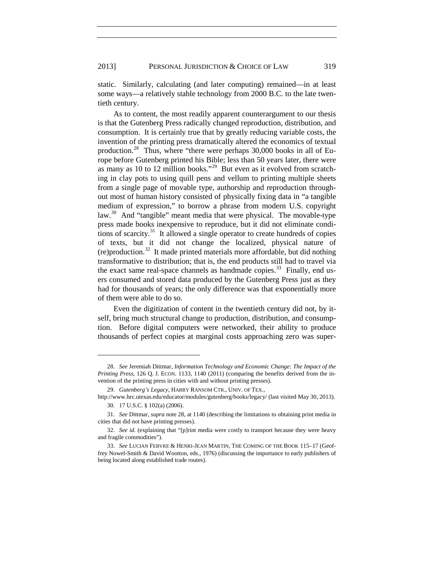static. Similarly, calculating (and later computing) remained—in at least some ways—a relatively stable technology from 2000 B.C. to the late twentieth century.

<span id="page-7-0"></span>As to content, the most readily apparent counterargument to our thesis is that the Gutenberg Press radically changed reproduction, distribution, and consumption. It is certainly true that by greatly reducing variable costs, the invention of the printing press dramatically altered the economics of textual production.<sup>28</sup> Thus, where "there were perhaps  $30,000$  books in all of Europe before Gutenberg printed his Bible; less than 50 years later, there were as many as 10 to 12 million books."<sup>[29](#page-7-2)</sup> But even as it evolved from scratching in clay pots to using quill pens and vellum to printing multiple sheets from a single page of movable type, authorship and reproduction throughout most of human history consisted of physically fixing data in "a tangible medium of expression," to borrow a phrase from modern U.S. copyright law.<sup>[30](#page-7-3)</sup> And "tangible" meant media that were physical. The movable-type press made books inexpensive to reproduce, but it did not eliminate condi-tions of scarcity.<sup>[31](#page-7-4)</sup> It allowed a single operator to create hundreds of copies of texts, but it did not change the localized, physical nature of  $(re)$  production.<sup>32</sup> It made printed materials more affordable, but did nothing transformative to distribution; that is, the end products still had to travel via the exact same real-space channels as handmade copies.<sup>33</sup> Finally, end users consumed and stored data produced by the Gutenberg Press just as they had for thousands of years; the only difference was that exponentially more of them were able to do so.

<span id="page-7-7"></span>Even the digitization of content in the twentieth century did not, by itself, bring much structural change to production, distribution, and consumption. Before digital computers were networked, their ability to produce thousands of perfect copies at marginal costs approaching zero was super-

<span id="page-7-1"></span><sup>28.</sup> *See* Jeremiah Dittmar, *Information Technology and Economic Change: The Impact of the Printing Press*, 126 Q. J. ECON. 1133, 1140 (2011) (comparing the benefits derived from the invention of the printing press in cities with and without printing presses).

<sup>29.</sup> *Gutenberg's Legacy*, HARRY RANSOM CTR., UNIV. OF TEX.,

<span id="page-7-3"></span><span id="page-7-2"></span>http://www.hrc.utexas.edu/educator/modules/gutenberg/books/legacy/ (last visited May 30, 2013). 30. 17 U.S.C. § 102(a) (2006).

<span id="page-7-4"></span><sup>31.</sup> *See* Dittmar, *supra* not[e 28,](#page-7-0) at 1140 (describing the limitations to obtaining print media in cities that did not have printing presses).

<span id="page-7-5"></span><sup>32.</sup> *See id.* (explaining that "[p]rint media were costly to transport because they were heavy and fragile commodities").

<span id="page-7-6"></span><sup>33.</sup> *See* LUCIAN FEBVRE & HENRI-JEAN MARTIN, THE COMING OF THE BOOK 115–17 (Geoffrey Nowel-Smith & David Wootton, eds., 1976) (discussing the importance to early publishers of being located along established trade routes).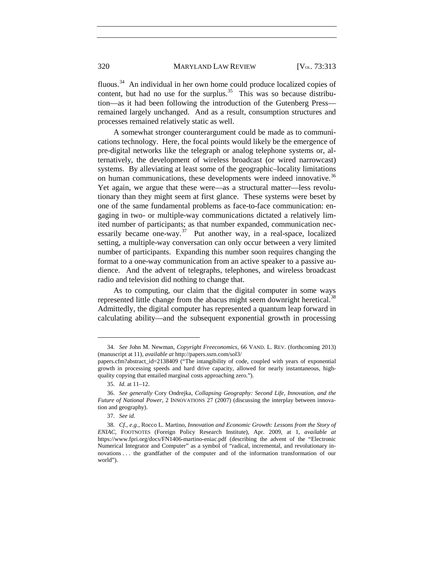<span id="page-8-5"></span>fluous.[34](#page-8-0) An individual in her own home could produce localized copies of content, but had no use for the surplus.<sup>[35](#page-8-1)</sup> This was so because distribution—as it had been following the introduction of the Gutenberg Press remained largely unchanged. And as a result, consumption structures and processes remained relatively static as well.

A somewhat stronger counterargument could be made as to communications technology. Here, the focal points would likely be the emergence of pre-digital networks like the telegraph or analog telephone systems or, alternatively, the development of wireless broadcast (or wired narrowcast) systems. By alleviating at least some of the geographic–locality limitations on human communications, these developments were indeed innovative.<sup>[36](#page-8-2)</sup> Yet again, we argue that these were—as a structural matter—less revolutionary than they might seem at first glance. These systems were beset by one of the same fundamental problems as face-to-face communication: engaging in two- or multiple-way communications dictated a relatively limited number of participants; as that number expanded, communication necessarily became one-way.<sup>37</sup> Put another way, in a real-space, localized setting, a multiple-way conversation can only occur between a very limited number of participants. Expanding this number soon requires changing the format to a one-way communication from an active speaker to a passive audience. And the advent of telegraphs, telephones, and wireless broadcast radio and television did nothing to change that.

<span id="page-8-6"></span>As to computing, our claim that the digital computer in some ways represented little change from the abacus might seem downright heretical.<sup>[38](#page-8-4)</sup> Admittedly, the digital computer has represented a quantum leap forward in calculating ability—and the subsequent exponential growth in processing

<span id="page-8-0"></span><sup>34.</sup> *See* John M. Newman, *Copyright Freeconomics*, 66 VAND. L. REV. (forthcoming 2013) (manuscript at 11), *available at* http://papers.ssrn.com/sol3/

papers.cfm?abstract\_id=2138409 ("The intangibility of code, coupled with years of exponential growth in processing speeds and hard drive capacity, allowed for nearly instantaneous, highquality copying that entailed marginal costs approaching zero.").

<sup>35.</sup> *Id.* at 11–12.

<span id="page-8-2"></span><span id="page-8-1"></span><sup>36.</sup> *See generally* Cory Ondrejka, *Collapsing Geography: Second Life, Innovation, and the Future of National Power*, 2 INNOVATIONS 27 (2007) (discussing the interplay between innovation and geography).

<sup>37.</sup> *See id.*

<span id="page-8-4"></span><span id="page-8-3"></span><sup>38.</sup> *Cf., e.g.*, Rocco L. Martino, *Innovation and Economic Growth: Lessons from the Story of ENIAC*, FOOTNOTES (Foreign Policy Research Institute), Apr. 2009, at 1, *available at* https://www.fpri.org/docs/FN1406-martino-eniac.pdf (describing the advent of the "Electronic Numerical Integrator and Computer" as a symbol of "radical, incremental, and revolutionary innovations . . . the grandfather of the computer and of the information transformation of our world").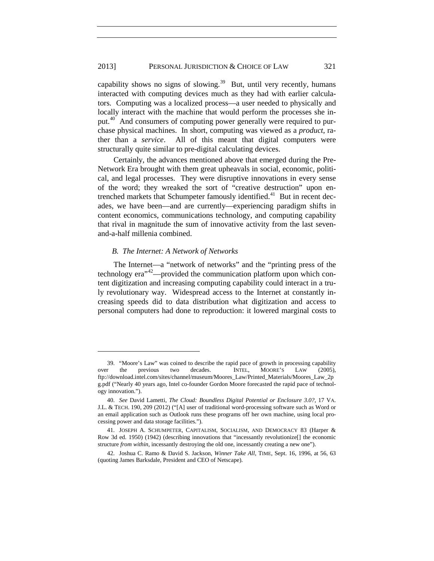#### 2013] PERSONAL JURISDICTION & CHOICE OF LAW 321

<span id="page-9-4"></span>capability shows no signs of slowing.<sup>39</sup> But, until very recently, humans interacted with computing devices much as they had with earlier calculators. Computing was a localized process—a user needed to physically and locally interact with the machine that would perform the processes she in-put.<sup>[40](#page-9-1)</sup> And consumers of computing power generally were required to purchase physical machines. In short, computing was viewed as a *product*, rather than a *service*. All of this meant that digital computers were structurally quite similar to pre-digital calculating devices.

Certainly, the advances mentioned above that emerged during the Pre-Network Era brought with them great upheavals in social, economic, political, and legal processes. They were disruptive innovations in every sense of the word; they wreaked the sort of "creative destruction" upon en-trenched markets that Schumpeter famously identified.<sup>[41](#page-9-2)</sup> But in recent decades, we have been—and are currently—experiencing paradigm shifts in content economics, communications technology, and computing capability that rival in magnitude the sum of innovative activity from the last sevenand-a-half millenia combined.

#### *B. The Internet: A Network of Networks*

 $\overline{a}$ 

The Internet—a "network of networks" and the "printing press of the technology era"[42](#page-9-3)—provided the communication platform upon which content digitization and increasing computing capability could interact in a truly revolutionary way. Widespread access to the Internet at constantly increasing speeds did to data distribution what digitization and access to personal computers had done to reproduction: it lowered marginal costs to

<span id="page-9-0"></span><sup>39.</sup> "Moore's Law" was coined to describe the rapid pace of growth in processing capability over the previous two decades. INTEL, MOORE'S LAW (2005), ftp://download.intel.com/sites/channel/museum/Moores\_Law/Printed\_Materials/Moores\_Law\_2p g.pdf ("Nearly 40 years ago, Intel co-founder Gordon Moore forecasted the rapid pace of technology innovation.").

<span id="page-9-1"></span><sup>40.</sup> *See* David Lametti, *The Cloud: Boundless Digital Potential or Enclosure 3.0?*, 17 VA. J.L. & TECH. 190, 209 (2012) ("[A] user of traditional word-processing software such as Word or an email application such as Outlook runs these programs off her own machine, using local processing power and data storage facilities.").

<span id="page-9-2"></span><sup>41.</sup> JOSEPH A. SCHUMPETER, CAPITALISM, SOCIALISM, AND DEMOCRACY 83 (Harper & Row 3d ed. 1950) (1942) (describing innovations that "incessantly revolutionize[] the economic structure *from within*, incessantly destroying the old one, incessantly creating a new one").

<span id="page-9-3"></span><sup>42.</sup> Joshua C. Ramo & David S. Jackson, *Winner Take All*, TIME, Sept. 16, 1996, at 56, 63 (quoting James Barksdale, President and CEO of Netscape).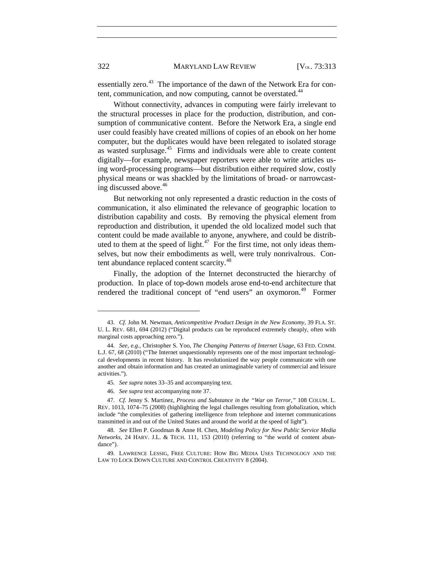essentially zero.<sup>43</sup> The importance of the dawn of the Network Era for con-tent, communication, and now computing, cannot be overstated.<sup>[44](#page-10-1)</sup>

Without connectivity, advances in computing were fairly irrelevant to the structural processes in place for the production, distribution, and consumption of communicative content. Before the Network Era, a single end user could feasibly have created millions of copies of an ebook on her home computer, but the duplicates would have been relegated to isolated storage as wasted surplusage.<sup>45</sup> Firms and individuals were able to create content digitally—for example, newspaper reporters were able to write articles using word-processing programs—but distribution either required slow, costly physical means or was shackled by the limitations of broad- or narrowcasting discussed above. $46$ 

But networking not only represented a drastic reduction in the costs of communication, it also eliminated the relevance of geographic location to distribution capability and costs. By removing the physical element from reproduction and distribution, it upended the old localized model such that content could be made available to anyone, anywhere, and could be distrib-uted to them at the speed of light.<sup>[47](#page-10-4)</sup> For the first time, not only ideas themselves, but now their embodiments as well, were truly nonrivalrous. Con-tent abundance replaced content scarcity.<sup>[48](#page-10-5)</sup>

Finally, the adoption of the Internet deconstructed the hierarchy of production. In place of top-down models arose end-to-end architecture that rendered the traditional concept of "end users" an oxymoron.<sup>49</sup> Former

46. *See supra* text accompanying note [37.](#page-8-6)

<span id="page-10-0"></span><sup>43.</sup> *Cf.* John M. Newman, *Anticompetitive Product Design in the New Economy,* 39 FLA. ST. U. L. REV. 681, 694 (2012) ("Digital products can be reproduced extremely cheaply, often with marginal costs approaching zero.").

<span id="page-10-1"></span><sup>44.</sup> *See, e.g.*, Christopher S. Yoo, *The Changing Patterns of Internet Usage*, 63 FED. COMM. L.J. 67, 68 (2010) ("The Internet unquestionably represents one of the most important technological developments in recent history. It has revolutionized the way people communicate with one another and obtain information and has created an unimaginable variety of commercial and leisure activities.").

<sup>45.</sup> *See supra* note[s 33](#page-7-7)[–35](#page-8-5) and accompanying text.

<span id="page-10-4"></span><span id="page-10-3"></span><span id="page-10-2"></span><sup>47</sup>*. Cf.* Jenny S. Martinez, *Process and Substance in the "War on Terror*,*"* 108 COLUM. L. REV. 1013, 1074–75 (2008) (highlighting the legal challenges resulting from globalization, which include "the complexities of gathering intelligence from telephone and internet communications transmitted in and out of the United States and around the world at the speed of light").

<span id="page-10-5"></span><sup>48.</sup> *See* Ellen P. Goodman & Anne H. Chen, *Modeling Policy for New Public Service Media Networks*, 24 HARV. J.L. & TECH. 111, 153 (2010) (referring to "the world of content abundance").

<span id="page-10-6"></span><sup>49.</sup> LAWRENCE LESSIG, FREE CULTURE: HOW BIG MEDIA USES TECHNOLOGY AND THE LAW TO LOCK DOWN CULTURE AND CONTROL CREATIVITY 8 (2004).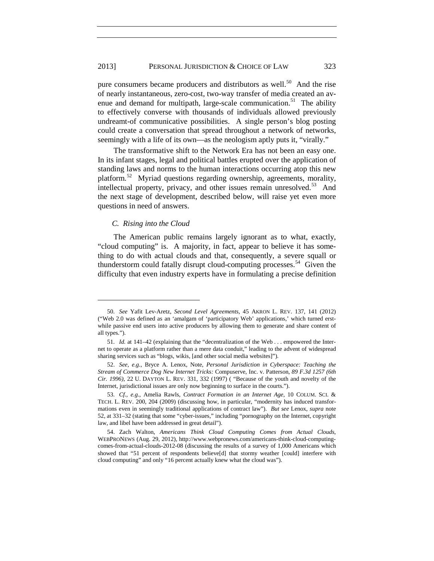#### 2013] PERSONAL JURISDICTION & CHOICE OF LAW 323

<span id="page-11-7"></span>pure consumers became producers and distributors as well.<sup>[50](#page-11-2)</sup> And the rise of nearly instantaneous, zero-cost, two-way transfer of media created an av-enue and demand for multipath, large-scale communication.<sup>[51](#page-11-3)</sup> The ability to effectively converse with thousands of individuals allowed previously undreamt-of communicative possibilities. A single person's blog posting could create a conversation that spread throughout a network of networks, seemingly with a life of its own—as the neologism aptly puts it, "virally."

<span id="page-11-1"></span>The transformative shift to the Network Era has not been an easy one. In its infant stages, legal and political battles erupted over the application of standing laws and norms to the human interactions occurring atop this new platform.[52](#page-11-4) Myriad questions regarding ownership, agreements, morality, intellectual property, privacy, and other issues remain unresolved.<sup>53</sup> And the next stage of development, described below, will raise yet even more questions in need of answers.

#### <span id="page-11-0"></span>*C. Rising into the Cloud*

 $\overline{a}$ 

The American public remains largely ignorant as to what, exactly, "cloud computing" is. A majority, in fact, appear to believe it has something to do with actual clouds and that, consequently, a severe squall or thunderstorm could fatally disrupt cloud-computing processes.<sup>54</sup> Given the difficulty that even industry experts have in formulating a precise definition

<span id="page-11-2"></span><sup>50.</sup> *See* Yafit Lev-Aretz, *Second Level Agreements*, 45 AKRON L. REV. 137, 141 (2012) ("Web 2.0 was defined as an 'amalgam of 'participatory Web' applications,' which turned erstwhile passive end users into active producers by allowing them to generate and share content of all types.").

<span id="page-11-3"></span><sup>51.</sup> *Id.* at 141–42 (explaining that the "decentralization of the Web . . . empowered the Internet to operate as a platform rather than a mere data conduit," leading to the advent of widespread sharing services such as "blogs, wikis, [and other social media websites]").

<span id="page-11-4"></span><sup>52.</sup> *See, e.g.*, Bryce A. Lenox, Note, *Personal Jurisdiction in Cyberspace: Teaching the Stream of Commerce Dog New Internet Tricks:* Compuserve, Inc. v. Patterson, *89 F.3d 1257 (6th Cir. 1996)*, 22 U. DAYTON L. REV. 331, 332 (1997) ( "Because of the youth and novelty of the Internet, jurisdictional issues are only now beginning to surface in the courts.").

<span id="page-11-5"></span><sup>53.</sup> *Cf., e.g.*, Amelia Rawls, *Contract Formation in an Internet Age*, 10 COLUM. SCI. & TECH. L. REV. 200, 204 (2009) (discussing how, in particular, "modernity has induced transformations even in seemingly traditional applications of contract law"). *But see* Lenox, *supra* note [52,](#page-11-1) at 331–32 (stating that some "cyber-issues," including "pornography on the Internet, copyright law, and libel have been addressed in great detail").

<span id="page-11-6"></span><sup>54.</sup> Zach Walton, *Americans Think Cloud Computing Comes from Actual Clouds*, WEBPRONEWS (Aug. 29, 2012), http://www.webpronews.com/americans-think-cloud-computingcomes-from-actual-clouds-2012-08 (discussing the results of a survey of 1,000 Americans which showed that "51 percent of respondents believe[d] that stormy weather [could] interfere with cloud computing" and only "16 percent actually knew what the cloud was").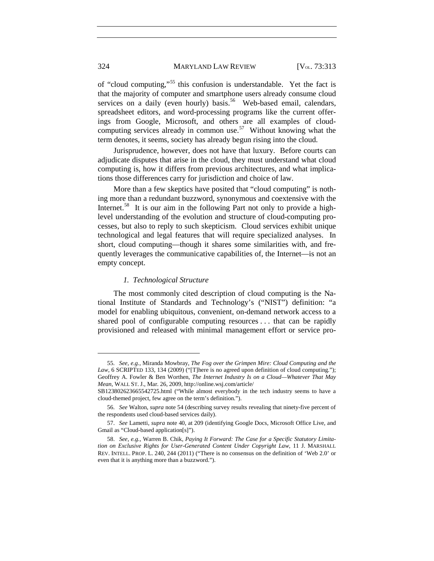#### 324 MARYLAND LAW REVIEW [V<sub>OL.</sub> 73:313]

<span id="page-12-0"></span>of "cloud computing,"[55](#page-12-1) this confusion is understandable. Yet the fact is that the majority of computer and smartphone users already consume cloud services on a daily (even hourly) basis.<sup>56</sup> Web-based email, calendars, spreadsheet editors, and word-processing programs like the current offerings from Google, Microsoft, and others are all examples of cloudcomputing services already in common use.<sup>57</sup> Without knowing what the term denotes, it seems, society has already begun rising into the cloud.

Jurisprudence, however, does not have that luxury. Before courts can adjudicate disputes that arise in the cloud, they must understand what cloud computing is, how it differs from previous architectures, and what implications those differences carry for jurisdiction and choice of law.

More than a few skeptics have posited that "cloud computing" is nothing more than a redundant buzzword, synonymous and coextensive with the Internet.<sup>[58](#page-12-4)</sup> It is our aim in the following Part not only to provide a highlevel understanding of the evolution and structure of cloud-computing processes, but also to reply to such skepticism. Cloud services exhibit unique technological and legal features that will require specialized analyses. In short, cloud computing—though it shares some similarities with, and frequently leverages the communicative capabilities of, the Internet—is not an empty concept.

#### *1. Technological Structure*

The most commonly cited description of cloud computing is the National Institute of Standards and Technology's ("NIST") definition: "a model for enabling ubiquitous, convenient, on-demand network access to a shared pool of configurable computing resources . . . that can be rapidly provisioned and released with minimal management effort or service pro-

<span id="page-12-1"></span><sup>55.</sup> *See, e.g.*, Miranda Mowbray, *The Fog over the Grimpen Mire: Cloud Computing and the*  Law, 6 SCRIPTED 133, 134 (2009) ("[T]here is no agreed upon definition of cloud computing."); Geoffrey A. Fowler & Ben Worthen, *The Internet Industry Is on a Cloud—Whatever That May Mean*, WALL ST. J., Mar. 26, 2009, http://online.wsj.com/article/

SB123802623665542725.html ("While almost everybody in the tech industry seems to have a cloud-themed project, few agree on the term's definition.").

<span id="page-12-2"></span><sup>56.</sup> *See* Walton, *supra* not[e 54](#page-11-0) (describing survey results revealing that ninety-five percent of the respondents used cloud-based services daily).

<span id="page-12-3"></span><sup>57.</sup> *See* Lametti, *supra* note [40,](#page-9-4) at 209 (identifying Google Docs, Microsoft Office Live, and Gmail as "Cloud-based application[s]").

<span id="page-12-4"></span><sup>58.</sup> *See, e.g.*, Warren B. Chik, *Paying It Forward: The Case for a Specific Statutory Limitation on Exclusive Rights for User-Generated Content Under Copyright Law*, 11 J. MARSHALL REV. INTELL. PROP. L. 240, 244 (2011) ("There is no consensus on the definition of 'Web 2.0' or even that it is anything more than a buzzword.").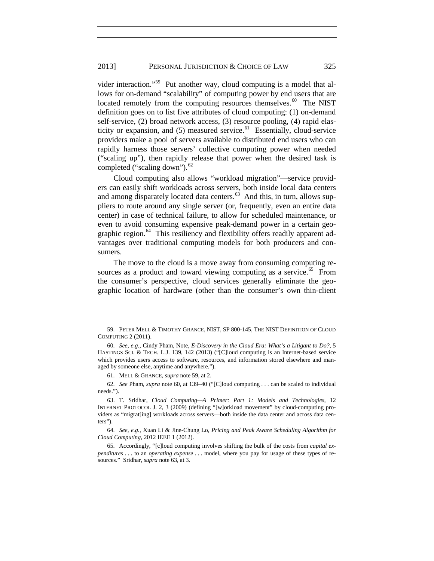<span id="page-13-0"></span>vider interaction."[59](#page-13-3) Put another way, cloud computing is a model that allows for on-demand "scalability" of computing power by end users that are located remotely from the computing resources themselves.<sup>60</sup> The NIST definition goes on to list five attributes of cloud computing: (1) on-demand self-service, (2) broad network access, (3) resource pooling, (4) rapid elasticity or expansion, and  $(5)$  measured service.<sup>[61](#page-13-5)</sup> Essentially, cloud-service providers make a pool of servers available to distributed end users who can rapidly harness those servers' collective computing power when needed ("scaling up"), then rapidly release that power when the desired task is completed ("scaling down").<sup>[62](#page-13-6)</sup>

<span id="page-13-2"></span>Cloud computing also allows "workload migration"—service providers can easily shift workloads across servers, both inside local data centers and among disparately located data centers. $63$  And this, in turn, allows suppliers to route around any single server (or, frequently, even an entire data center) in case of technical failure, to allow for scheduled maintenance, or even to avoid consuming expensive peak-demand power in a certain geographic region.<sup>64</sup> This resiliency and flexibility offers readily apparent advantages over traditional computing models for both producers and consumers.

The move to the cloud is a move away from consuming computing re-sources as a product and toward viewing computing as a service.<sup>[65](#page-13-9)</sup> From the consumer's perspective, cloud services generally eliminate the geographic location of hardware (other than the consumer's own thin-client

<span id="page-13-1"></span>

<span id="page-13-3"></span><sup>59.</sup> PETER MELL & TIMOTHY GRANCE, NIST, SP 800-145, THE NIST DEFINITION OF CLOUD COMPUTING 2 (2011).

<span id="page-13-4"></span><sup>60.</sup> *See, e.g.*, Cindy Pham, Note, *E-Discovery in the Cloud Era: What's a Litigant to Do?*, 5 HASTINGS SCI. & TECH. L.J. 139, 142 (2013) ("[C]loud computing is an Internet-based service which provides users access to software, resources, and information stored elsewhere and managed by someone else, anytime and anywhere.").

<sup>61.</sup> MELL & GRANCE, *supra* note [59,](#page-13-0) at 2.

<span id="page-13-6"></span><span id="page-13-5"></span><sup>62.</sup> *See* Pham, *supra* note [60,](#page-13-1) at 139–40 ("[C]loud computing . . . can be scaled to individual needs.").

<span id="page-13-7"></span><sup>63.</sup> T. Sridhar, *Cloud Computing—A Primer: Part 1: Models and Technologies*, 12 INTERNET PROTOCOL J. 2, 3 (2009) (defining "[w]orkload movement" by cloud-computing providers as "migrat[ing] workloads across servers—both inside the data center and across data centers").

<span id="page-13-8"></span><sup>64.</sup> *See, e.g.*, Xuan Li & Jine-Chung Lo, *Pricing and Peak Aware Scheduling Algorithm for Cloud Computing*, 2012 IEEE 1 (2012).

<span id="page-13-9"></span><sup>65.</sup> Accordingly, "[c]loud computing involves shifting the bulk of the costs from *capital expenditures* . . . to an *operating expense* . . . model, where you pay for usage of these types of resources." Sridhar, *supra* not[e 63,](#page-13-2) at 3.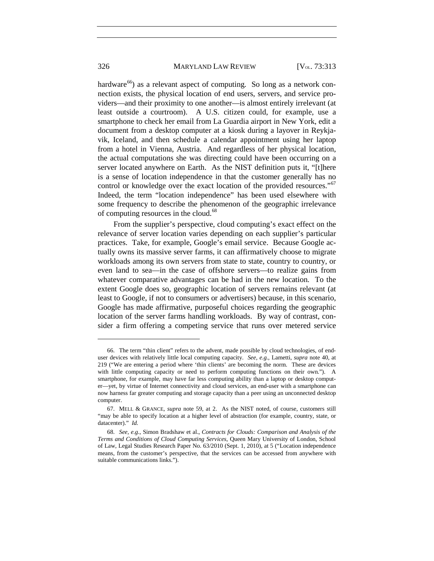#### 326 MARYLAND LAW REVIEW [V<sub>OL.</sub> 73:313]

hardware<sup>[66](#page-14-0)</sup>) as a relevant aspect of computing. So long as a network connection exists, the physical location of end users, servers, and service providers—and their proximity to one another—is almost entirely irrelevant (at least outside a courtroom). A U.S. citizen could, for example, use a smartphone to check her email from La Guardia airport in New York, edit a document from a desktop computer at a kiosk during a layover in Reykjavik, Iceland, and then schedule a calendar appointment using her laptop from a hotel in Vienna, Austria. And regardless of her physical location, the actual computations she was directing could have been occurring on a server located anywhere on Earth. As the NIST definition puts it, "[t]here is a sense of location independence in that the customer generally has no control or knowledge over the exact location of the provided resources."<sup>[67](#page-14-1)</sup> Indeed, the term "location independence" has been used elsewhere with some frequency to describe the phenomenon of the geographic irrelevance of computing resources in the cloud.<sup>[68](#page-14-2)</sup>

<span id="page-14-3"></span>From the supplier's perspective, cloud computing's exact effect on the relevance of server location varies depending on each supplier's particular practices. Take, for example, Google's email service. Because Google actually owns its massive server farms, it can affirmatively choose to migrate workloads among its own servers from state to state, country to country, or even land to sea—in the case of offshore servers—to realize gains from whatever comparative advantages can be had in the new location. To the extent Google does so, geographic location of servers remains relevant (at least to Google, if not to consumers or advertisers) because, in this scenario, Google has made affirmative, purposeful choices regarding the geographic location of the server farms handling workloads. By way of contrast, consider a firm offering a competing service that runs over metered service

<span id="page-14-0"></span><sup>66.</sup> The term "thin client" refers to the advent, made possible by cloud technologies, of enduser devices with relatively little local computing capacity. *See, e.g.*, Lametti, *supra* note [40,](#page-9-4) at 219 ("We are entering a period where 'thin clients' are becoming the norm. These are devices with little computing capacity or need to perform computing functions on their own."). A smartphone, for example, may have far less computing ability than a laptop or desktop computer—yet, by virtue of Internet connectivity and cloud services, an end-user with a smartphone can now harness far greater computing and storage capacity than a peer using an unconnected desktop computer.

<span id="page-14-1"></span><sup>67.</sup> MELL & GRANCE, *supra* note [59,](#page-13-0) at 2. As the NIST noted, of course, customers still "may be able to specify location at a higher level of abstraction (for example, country, state, or datacenter)." *Id.*

<span id="page-14-2"></span><sup>68.</sup> *See, e.g.*, Simon Bradshaw et al., *Contracts for Clouds: Comparison and Analysis of the Terms and Conditions of Cloud Computing Services*, Queen Mary University of London, School of Law, Legal Studies Research Paper No. 63/2010 (Sept. 1, 2010), at 5 ("Location independence means, from the customer's perspective, that the services can be accessed from anywhere with suitable communications links.").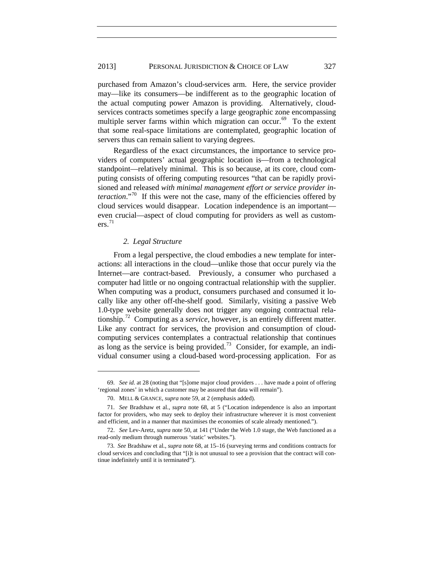purchased from Amazon's cloud-services arm. Here, the service provider may—like its consumers—be indifferent as to the geographic location of the actual computing power Amazon is providing. Alternatively, cloudservices contracts sometimes specify a large geographic zone encompassing multiple server farms within which migration can occur. $69$  To the extent that some real-space limitations are contemplated, geographic location of servers thus can remain salient to varying degrees.

Regardless of the exact circumstances, the importance to service providers of computers' actual geographic location is—from a technological standpoint—relatively minimal. This is so because, at its core, cloud computing consists of offering computing resources "that can be rapidly provisioned and released *with minimal management effort or service provider interaction*."<sup>70</sup> If this were not the case, many of the efficiencies offered by cloud services would disappear. Location independence is an important even crucial—aspect of cloud computing for providers as well as custom- $ers.<sup>71</sup>$  $ers.<sup>71</sup>$  $ers.<sup>71</sup>$ 

#### *2. Legal Structure*

 $\overline{a}$ 

From a legal perspective, the cloud embodies a new template for interactions: all interactions in the cloud—unlike those that occur purely via the Internet—are contract-based. Previously, a consumer who purchased a computer had little or no ongoing contractual relationship with the supplier. When computing was a product, consumers purchased and consumed it locally like any other off-the-shelf good. Similarly, visiting a passive Web 1.0-type website generally does not trigger any ongoing contractual relationship.[72](#page-15-3) Computing as a *service*, however, is an entirely different matter. Like any contract for services, the provision and consumption of cloudcomputing services contemplates a contractual relationship that continues as long as the service is being provided.<sup>[73](#page-15-4)</sup> Consider, for example, an individual consumer using a cloud-based word-processing application. For as

<span id="page-15-0"></span><sup>69.</sup> *See id.* at 28 (noting that "[s]ome major cloud providers . . . have made a point of offering 'regional zones' in which a customer may be assured that data will remain").

<sup>70.</sup> MELL & GRANCE, *supra* note [59,](#page-13-0) at 2 (emphasis added).

<span id="page-15-2"></span><span id="page-15-1"></span><sup>71.</sup> *See* Bradshaw et al., *supra* note [68,](#page-14-3) at 5 ("Location independence is also an important factor for providers, who may seek to deploy their infrastructure wherever it is most convenient and efficient, and in a manner that maximises the economies of scale already mentioned.").

<span id="page-15-3"></span><sup>72.</sup> *See* Lev-Aretz, *supra* note [50,](#page-11-7) at 141 ("Under the Web 1.0 stage, the Web functioned as a read-only medium through numerous 'static' websites.").

<span id="page-15-4"></span><sup>73</sup>*. See* Bradshaw et al., *supra* not[e 68,](#page-14-3) at 15–16 (surveying terms and conditions contracts for cloud services and concluding that "[i]t is not unusual to see a provision that the contract will continue indefinitely until it is terminated").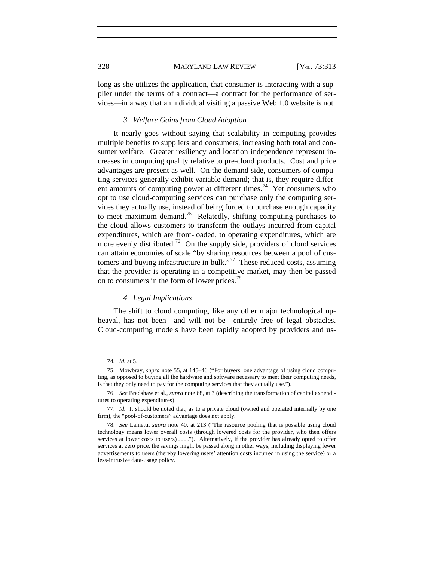#### 328 MARYLAND LAW REVIEW [V<sub>OL.</sub> 73:313

long as she utilizes the application, that consumer is interacting with a supplier under the terms of a contract—a contract for the performance of services—in a way that an individual visiting a passive Web 1.0 website is not.

#### *3. Welfare Gains from Cloud Adoption*

It nearly goes without saying that scalability in computing provides multiple benefits to suppliers and consumers, increasing both total and consumer welfare. Greater resiliency and location independence represent increases in computing quality relative to pre-cloud products. Cost and price advantages are present as well. On the demand side, consumers of computing services generally exhibit variable demand; that is, they require different amounts of computing power at different times.<sup>74</sup> Yet consumers who opt to use cloud-computing services can purchase only the computing services they actually use, instead of being forced to purchase enough capacity to meet maximum demand.<sup>[75](#page-16-1)</sup> Relatedly, shifting computing purchases to the cloud allows customers to transform the outlays incurred from capital expenditures, which are front-loaded, to operating expenditures, which are more evenly distributed.<sup>[76](#page-16-2)</sup> On the supply side, providers of cloud services can attain economies of scale "by sharing resources between a pool of customers and buying infrastructure in bulk."<sup>77</sup> These reduced costs, assuming that the provider is operating in a competitive market, may then be passed on to consumers in the form of lower prices.[78](#page-16-4)

#### *4. Legal Implications*

The shift to cloud computing, like any other major technological upheaval, has not been—and will not be—entirely free of legal obstacles. Cloud-computing models have been rapidly adopted by providers and us-

<sup>74.</sup> *Id.* at 5.

<span id="page-16-1"></span><span id="page-16-0"></span><sup>75.</sup> Mowbray, *supra* note [55,](#page-12-0) at 145–46 ("For buyers, one advantage of using cloud computing, as opposed to buying all the hardware and software necessary to meet their computing needs, is that they only need to pay for the computing services that they actually use.").

<span id="page-16-2"></span><sup>76.</sup> *See* Bradshaw et al., *supra* not[e 68,](#page-14-3) at 3 (describing the transformation of capital expenditures to operating expenditures).

<span id="page-16-3"></span><sup>77.</sup> *Id.* It should be noted that, as to a private cloud (owned and operated internally by one firm), the "pool-of-customers" advantage does not apply.

<span id="page-16-4"></span><sup>78.</sup> *See* Lametti, *supra* note [40,](#page-9-4) at 213 ("The resource pooling that is possible using cloud technology means lower overall costs (through lowered costs for the provider, who then offers services at lower costs to users) . . . ."). Alternatively, if the provider has already opted to offer services at zero price, the savings might be passed along in other ways, including displaying fewer advertisements to users (thereby lowering users' attention costs incurred in using the service) or a less-intrusive data-usage policy.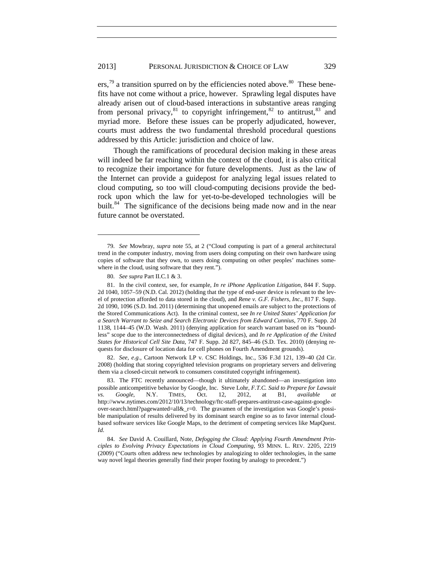<span id="page-17-8"></span><span id="page-17-1"></span><span id="page-17-0"></span> $\text{ers.}^{79}$  $\text{ers.}^{79}$  $\text{ers.}^{79}$  a transition spurred on by the efficiencies noted above.<sup>[80](#page-17-3)</sup> These benefits have not come without a price, however. Sprawling legal disputes have already arisen out of cloud-based interactions in substantive areas ranging from personal privacy, $81$  to copyright infringement, $82$  to antitrust,  $83$  and myriad more. Before these issues can be properly adjudicated, however, courts must address the two fundamental threshold procedural questions addressed by this Article: jurisdiction and choice of law.

Though the ramifications of procedural decision making in these areas will indeed be far reaching within the context of the cloud, it is also critical to recognize their importance for future developments. Just as the law of the Internet can provide a guidepost for analyzing legal issues related to cloud computing, so too will cloud-computing decisions provide the bedrock upon which the law for yet-to-be-developed technologies will be built.<sup>[84](#page-17-7)</sup> The significance of the decisions being made now and in the near future cannot be overstated.

 $\overline{a}$ 

<span id="page-17-5"></span>82. *See, e.g.*, Cartoon Network LP v. CSC Holdings, Inc., 536 F.3d 121, 139–40 (2d Cir. 2008) (holding that storing copyrighted television programs on proprietary servers and delivering them via a closed-circuit network to consumers constituted copyright infringement).

<span id="page-17-6"></span>83. The FTC recently announced—though it ultimately abandoned—an investigation into possible anticompetitive behavior by Google, Inc. Steve Lohr, *F.T.C. Said to Prepare for Lawsuit vs. Google*, N.Y. TIMES, Oct. 12, 2012, at B1, *available at* http://www.nytimes.com/2012/10/13/technology/ftc-staff-prepares-antitrust-case-against-googleover-search.html?pagewanted=all&\_r=0. The gravamen of the investigation was Google's possible manipulation of results delivered by its dominant search engine so as to favor internal cloudbased software services like Google Maps, to the detriment of competing services like MapQuest. *Id.*

<span id="page-17-2"></span><sup>79.</sup> *See* Mowbray, *supra* note [55,](#page-12-0) at 2 ("Cloud computing is part of a general architectural trend in the computer industry, moving from users doing computing on their own hardware using copies of software that they own, to users doing computing on other peoples' machines somewhere in the cloud, using software that they rent.").

<sup>80.</sup> *See supra* Part II.C.1 & 3.

<span id="page-17-4"></span><span id="page-17-3"></span><sup>81.</sup> In the civil context, see, for example, *In re iPhone Application Litigation*, 844 F. Supp. 2d 1040, 1057–59 (N.D. Cal. 2012) (holding that the type of end-user device is relevant to the level of protection afforded to data stored in the cloud), and *Rene v. G.F. Fishers, Inc.*, 817 F. Supp. 2d 1090, 1096 (S.D. Ind. 2011) (determining that unopened emails are subject to the protections of the Stored Communications Act). In the criminal context, see *In re United States' Application for a Search Warrant to Seize and Search Electronic Devices from Edward Cunnius*, 770 F. Supp. 2d 1138, 1144–45 (W.D. Wash. 2011) (denying application for search warrant based on its "boundless" scope due to the interconnectedness of digital devices), and *In re Application of the United States for Historical Cell Site Data*, 747 F. Supp. 2d 827, 845–46 (S.D. Tex. 2010) (denying requests for disclosure of location data for cell phones on Fourth Amendment grounds).

<span id="page-17-7"></span><sup>84.</sup> *See* David A. Couillard, Note, *Defogging the Cloud: Applying Fourth Amendment Principles to Evolving Privacy Expectations in Cloud Computing*, 93 MINN. L. REV. 2205, 2219 (2009) ("Courts often address new technologies by analogizing to older technologies, in the same way novel legal theories generally find their proper footing by analogy to precedent.")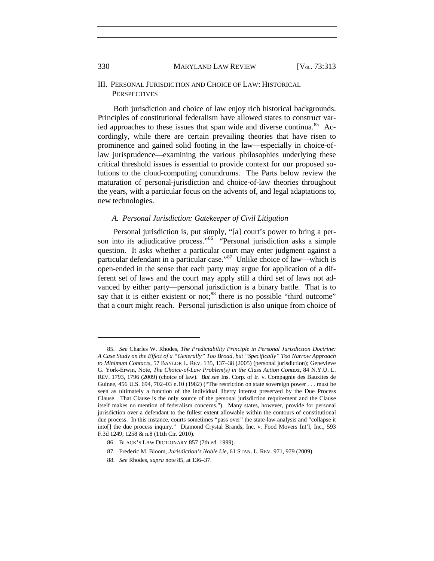#### III. PERSONAL JURISDICTION AND CHOICE OF LAW: HISTORICAL **PERSPECTIVES**

<span id="page-18-0"></span>Both jurisdiction and choice of law enjoy rich historical backgrounds. Principles of constitutional federalism have allowed states to construct var-ied approaches to these issues that span wide and diverse continua.<sup>[85](#page-18-1)</sup> Accordingly, while there are certain prevailing theories that have risen to prominence and gained solid footing in the law—especially in choice-oflaw jurisprudence—examining the various philosophies underlying these critical threshold issues is essential to provide context for our proposed solutions to the cloud-computing conundrums. The Parts below review the maturation of personal-jurisdiction and choice-of-law theories throughout the years, with a particular focus on the advents of, and legal adaptations to, new technologies.

#### <span id="page-18-5"></span>*A. Personal Jurisdiction: Gatekeeper of Civil Litigation*

Personal jurisdiction is, put simply, "[a] court's power to bring a person into its adjudicative process."<sup>86</sup> "Personal jurisdiction asks a simple question. It asks whether a particular court may enter judgment against a particular defendant in a particular case."<sup>87</sup> Unlike choice of law—which is open-ended in the sense that each party may argue for application of a different set of laws and the court may apply still a third set of laws not advanced by either party—personal jurisdiction is a binary battle. That is to say that it is either existent or not; $88$  there is no possible "third outcome" that a court might reach. Personal jurisdiction is also unique from choice of

<span id="page-18-1"></span><sup>85.</sup> *See* Charles W. Rhodes, *The Predictability Principle in Personal Jurisdiction Doctrine: A Case Study on the Effect of a "Generally" Too Broad, but "Specifically" Too Narrow Approach to Minimum Contacts*, 57 BAYLOR L. REV. 135, 137–38 (2005) (personal jurisdiction); Genevieve G. York-Erwin, Note, *The Choice-of-Law Problem(s) in the Class Action Context*, 84 N.Y.U. L. REV. 1793, 1796 (2009) (choice of law). *But see* Ins. Corp. of Ir. v. Compagnie des Bauxites de Guinee, 456 U.S. 694, 702–03 n.10 (1982) ("The restriction on state sovereign power . . . must be seen as ultimately a function of the individual liberty interest preserved by the Due Process Clause. That Clause is the only source of the personal jurisdiction requirement and the Clause itself makes no mention of federalism concerns."). Many states, however, provide for personal jurisdiction over a defendant to the fullest extent allowable within the contours of constitutional due process. In this instance, courts sometimes "pass over" the state-law analysis and "collapse it into[] the due process inquiry." Diamond Crystal Brands, Inc. v. Food Movers Int'l, Inc., 593 F.3d 1249, 1258 & n.8 (11th Cir. 2010).

<span id="page-18-3"></span><span id="page-18-2"></span><sup>86.</sup> BLACK'S LAW DICTIONARY 857 (7th ed. 1999).

<sup>87.</sup> Frederic M. Bloom, *Jurisdiction's Noble Lie*, 61 STAN. L. REV. 971, 979 (2009).

<span id="page-18-4"></span><sup>88.</sup> *See* Rhodes, *supra* not[e 85,](#page-18-0) at 136–37.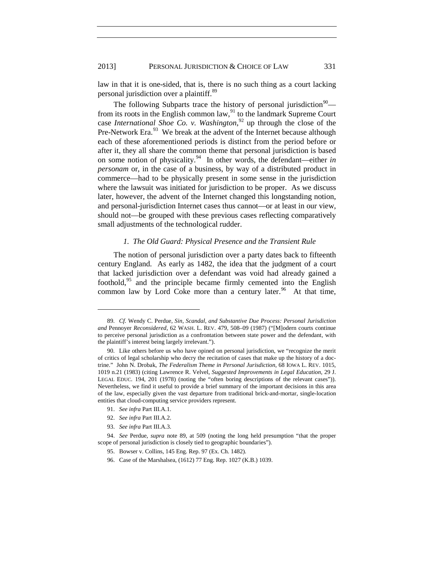<span id="page-19-0"></span>law in that it is one-sided, that is, there is no such thing as a court lacking personal jurisdiction over a plaintiff.<sup>[89](#page-19-1)</sup>

The following Subparts trace the history of personal jurisdiction<sup>90</sup>— from its roots in the English common law,<sup>[91](#page-19-3)</sup> to the landmark Supreme Court case *International Shoe Co. v. Washington*, [92](#page-19-4) up through the close of the Pre-Network Era.<sup>[93](#page-19-5)</sup> We break at the advent of the Internet because although each of these aforementioned periods is distinct from the period before or after it, they all share the common theme that personal jurisdiction is based on some notion of physicality.[94](#page-19-6) In other words, the defendant—either *in personam* or, in the case of a business, by way of a distributed product in commerce—had to be physically present in some sense in the jurisdiction where the lawsuit was initiated for jurisdiction to be proper. As we discuss later, however, the advent of the Internet changed this longstanding notion, and personal-jurisdiction Internet cases thus cannot—or at least in our view, should not—be grouped with these previous cases reflecting comparatively small adjustments of the technological rudder.

#### *1. The Old Guard: Physical Presence and the Transient Rule*

The notion of personal jurisdiction over a party dates back to fifteenth century England. As early as 1482, the idea that the judgment of a court that lacked jurisdiction over a defendant was void had already gained a foothold,  $95$  and the principle became firmly cemented into the English common law by Lord Coke more than a century later.<sup>96</sup> At that time,

91. *See infra* Part III.A.1.

- 92. *See infra* Part III.A.2.
- 93. *See infra* Part III.A.3.

<span id="page-19-1"></span><sup>89.</sup> *Cf.* Wendy C. Perdue, *Sin, Scandal, and Substantive Due Process: Personal Jurisdiction and* Pennoyer *Reconsidered*, 62 WASH. L. REV. 479, 508–09 (1987) ("[M]odern courts continue to perceive personal jurisdiction as a confrontation between state power and the defendant, with the plaintiff's interest being largely irrelevant.").

<span id="page-19-2"></span><sup>90.</sup> Like others before us who have opined on personal jurisdiction, we "recognize the merit of critics of legal scholarship who decry the recitation of cases that make up the history of a doctrine." John N. Drobak, *The Federalism Theme in Personal Jurisdiction*, 68 IOWA L. REV. 1015, 1019 n.21 (1983) (citing Lawrence R. Velvel, *Suggested Improvements in Legal Education*, 29 J. LEGAL EDUC. 194, 201 (1978) (noting the "often boring descriptions of the relevant cases")). Nevertheless, we find it useful to provide a brief summary of the important decisions in this area of the law, especially given the vast departure from traditional brick-and-mortar, single-location entities that cloud-computing service providers represent.

<span id="page-19-8"></span><span id="page-19-7"></span><span id="page-19-6"></span><span id="page-19-5"></span><span id="page-19-4"></span><span id="page-19-3"></span><sup>94.</sup> *See* Perdue, *supra* note [89,](#page-19-0) at 509 (noting the long held presumption "that the proper scope of personal jurisdiction is closely tied to geographic boundaries").

<sup>95.</sup> Bowser v. Collins, 145 Eng. Rep. 97 (Ex. Ch. 1482).

<sup>96.</sup> Case of the Marshalsea, (1612) 77 Eng. Rep. 1027 (K.B.) 1039.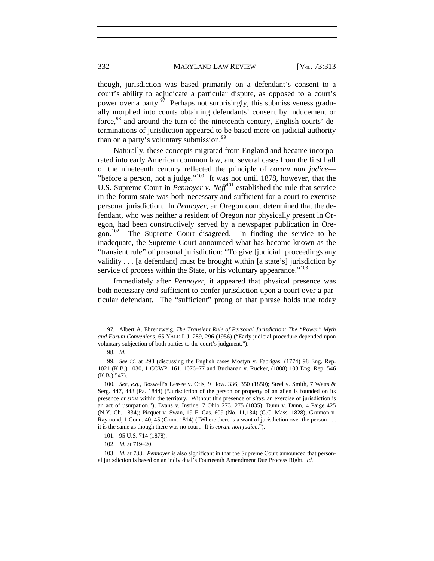<span id="page-20-8"></span>

<span id="page-20-7"></span>though, jurisdiction was based primarily on a defendant's consent to a court's ability to adjudicate a particular dispute, as opposed to a court's power over a party. $97$  Perhaps not surprisingly, this submissiveness gradually morphed into courts obtaining defendants' consent by inducement or force.<sup>[98](#page-20-1)</sup> and around the turn of the nineteenth century, English courts' determinations of jurisdiction appeared to be based more on judicial authority than on a party's voluntary submission.<sup>[99](#page-20-2)</sup>

Naturally, these concepts migrated from England and became incorporated into early American common law, and several cases from the first half of the nineteenth century reflected the principle of *coram non judice*— "before a person, not a judge."<sup>[100](#page-20-3)</sup> It was not until 1878, however, that the U.S. Supreme Court in *Pennoyer v. Neff*<sup>[101](#page-20-4)</sup> established the rule that service in the forum state was both necessary and sufficient for a court to exercise personal jurisdiction. In *Pennoyer*, an Oregon court determined that the defendant, who was neither a resident of Oregon nor physically present in Oregon, had been constructively served by a newspaper publication in Ore-gon.<sup>[102](#page-20-5)</sup> The Supreme Court disagreed. In finding the service to be inadequate, the Supreme Court announced what has become known as the "transient rule" of personal jurisdiction: "To give [judicial] proceedings any validity . . . [a defendant] must be brought within [a state's] jurisdiction by service of process within the State, or his voluntary appearance."<sup>[103](#page-20-6)</sup>

Immediately after *Pennoyer*, it appeared that physical presence was both necessary *and* sufficient to confer jurisdiction upon a court over a particular defendant. The "sufficient" prong of that phrase holds true today

<span id="page-20-0"></span><sup>97</sup>*.* Albert A. Ehrenzweig, *The Transient Rule of Personal Jurisdiction: The "Power" Myth and Forum Conveniens*, 65 YALE L.J. 289, 296 (1956) ("Early judicial procedure depended upon voluntary subjection of both parties to the court's judgment.").

<sup>98.</sup> *Id.*

<span id="page-20-2"></span><span id="page-20-1"></span><sup>99.</sup> *See id.* at 298 (discussing the English cases Mostyn v. Fabrigas, (1774) 98 Eng. Rep. 1021 (K.B.) 1030, 1 COWP. 161, 1076–77 and Buchanan v. Rucker, (1808) 103 Eng. Rep. 546 (K.B.) 547).

<span id="page-20-3"></span><sup>100.</sup> *See, e.g.*, Boswell's Lessee v. Otis, 9 How. 336, 350 (1850); Steel v. Smith, 7 Watts & Serg. 447, 448 (Pa. 1844) ("Jurisdiction of the person or property of an alien is founded on its presence or *situs* within the territory. Without this presence or *situs*, an exercise of jurisdiction is an act of usurpation."); Evans v. Instine, 7 Ohio 273, 275 (1835); Dunn v. Dunn, 4 Paige 425 (N.Y. Ch. 1834); Picquet v. Swan, 19 F. Cas. 609 (No. 11,134) (C.C. Mass. 1828); Grumon v. Raymond, 1 Conn. 40, 45 (Conn. 1814) ("Where there is a want of jurisdiction over the person . . . it is the same as though there was no court. It is *coram non judice*.").

<sup>101.</sup> 95 U.S. 714 (1878).

<sup>102.</sup> *Id.* at 719–20.

<span id="page-20-6"></span><span id="page-20-5"></span><span id="page-20-4"></span><sup>103.</sup> *Id.* at 733. *Pennoyer* is also significant in that the Supreme Court announced that personal jurisdiction is based on an individual's Fourteenth Amendment Due Process Right. *Id.*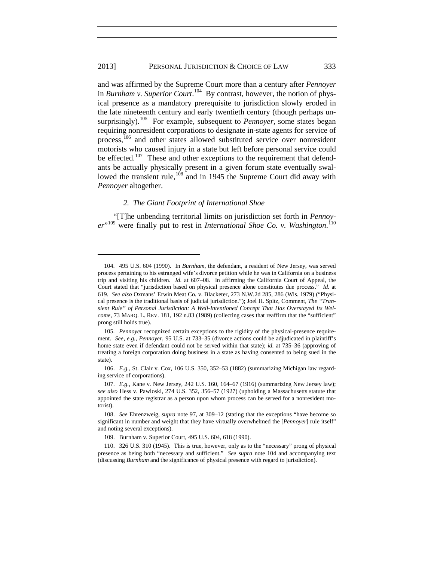#### 2013] PERSONAL JURISDICTION & CHOICE OF LAW 333

<span id="page-21-0"></span>and was affirmed by the Supreme Court more than a century after *Pennoyer*  in *Burnham v. Superior Court*. [104](#page-21-1) By contrast, however, the notion of physical presence as a mandatory prerequisite to jurisdiction slowly eroded in the late nineteenth century and early twentieth century (though perhaps unsurprisingly).<sup>105</sup> For example, subsequent to *Pennoyer*, some states began requiring nonresident corporations to designate in-state agents for service of process,[106](#page-21-3) and other states allowed substituted service over nonresident motorists who caused injury in a state but left before personal service could be effected.<sup>[107](#page-21-4)</sup> These and other exceptions to the requirement that defendants be actually physically present in a given forum state eventually swal-lowed the transient rule,<sup>[108](#page-21-5)</sup> and in 1945 the Supreme Court did away with *Pennoyer* altogether.

#### *2. The Giant Footprint of International Shoe*

 $\overline{a}$ 

"[T]he unbending territorial limits on jurisdiction set forth in *Pennoy-*er<sup>"[109](#page-21-6)</sup> were finally put to rest in *International Shoe Co. v. Washington.*<sup>[110](#page-21-7)</sup>

<span id="page-21-1"></span><sup>104.</sup> 495 U.S. 604 (1990). In *Burnham*, the defendant, a resident of New Jersey, was served process pertaining to his estranged wife's divorce petition while he was in California on a business trip and visiting his children. *Id.* at 607–08. In affirming the California Court of Appeal, the Court stated that "jurisdiction based on physical presence alone constitutes due process." *Id.* at 619. *See also* Oxmans' Erwin Meat Co. v. Blacketer, 273 N.W.2d 285, 286 (Wis. 1979) ("Physical presence is the traditional basis of judicial jurisdiction."); Joel H. Spitz, Comment, *The "Transient Rule" of Personal Jurisdiction: A Well-Intentioned Concept That Has Overstayed Its Welcome*, 73 MARQ. L. REV. 181, 192 n.83 (1989) (collecting cases that reaffirm that the "sufficient" prong still holds true).

<span id="page-21-2"></span><sup>105.</sup> *Pennoyer* recognized certain exceptions to the rigidity of the physical-presence requirement. *See, e.g.*, *Pennoyer*, 95 U.S. at 733–35 (divorce actions could be adjudicated in plaintiff's home state even if defendant could not be served within that state); *id.* at 735–36 (approving of treating a foreign corporation doing business in a state as having consented to being sued in the state).

<span id="page-21-3"></span><sup>106.</sup> *E.g.*, St. Clair v. Cox, 106 U.S. 350, 352–53 (1882) (summarizing Michigan law regarding service of corporations).

<span id="page-21-4"></span><sup>107.</sup> *E.g.*, Kane v. New Jersey, 242 U.S. 160, 164–67 (1916) (summarizing New Jersey law); *see also* Hess v. Pawloski, 274 U.S. 352, 356–57 (1927) (upholding a Massachusetts statute that appointed the state registrar as a person upon whom process can be served for a nonresident motorist).

<span id="page-21-5"></span><sup>108.</sup> *See* Ehrenzweig, *supra* note [97,](#page-20-7) at 309–12 (stating that the exceptions "have become so significant in number and weight that they have virtually overwhelmed the [*Pennoyer*] rule itself" and noting several exceptions).

<sup>109.</sup> Burnham v. Superior Court, 495 U.S. 604, 618 (1990).

<span id="page-21-7"></span><span id="page-21-6"></span><sup>110.</sup> 326 U.S. 310 (1945). This is true, however, only as to the "necessary" prong of physical presence as being both "necessary and sufficient." *See supra* note [104](#page-21-0) and accompanying text (discussing *Burnham* and the significance of physical presence with regard to jurisdiction).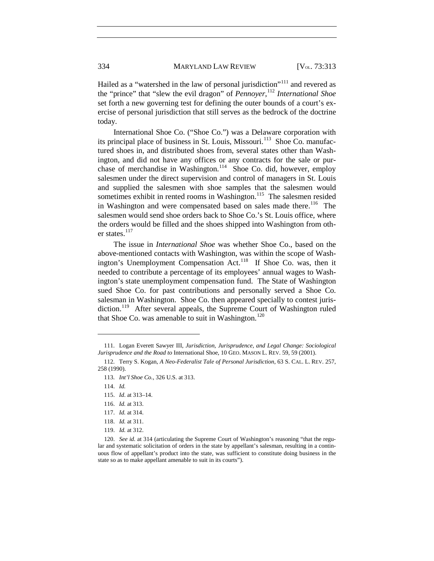<span id="page-22-10"></span>

Hailed as a "watershed in the law of personal jurisdiction"<sup>[111](#page-22-0)</sup> and revered as the "prince" that "slew the evil dragon" of *Pennoyer*, [112](#page-22-1) *International Shoe* set forth a new governing test for defining the outer bounds of a court's exercise of personal jurisdiction that still serves as the bedrock of the doctrine today.

International Shoe Co. ("Shoe Co.") was a Delaware corporation with its principal place of business in St. Louis, Missouri.<sup>113</sup> Shoe Co. manufactured shoes in, and distributed shoes from, several states other than Washington, and did not have any offices or any contracts for the sale or purchase of merchandise in Washington.<sup>114</sup> Shoe Co. did, however, employ salesmen under the direct supervision and control of managers in St. Louis and supplied the salesmen with shoe samples that the salesmen would sometimes exhibit in rented rooms in Washington.<sup>115</sup> The salesmen resided in Washington and were compensated based on sales made there.<sup>116</sup> The salesmen would send shoe orders back to Shoe Co.'s St. Louis office, where the orders would be filled and the shoes shipped into Washington from other states. $117$ 

The issue in *International Shoe* was whether Shoe Co., based on the above-mentioned contacts with Washington, was within the scope of Wash-ington's Unemployment Compensation Act.<sup>[118](#page-22-7)</sup> If Shoe Co. was, then it needed to contribute a percentage of its employees' annual wages to Washington's state unemployment compensation fund. The State of Washington sued Shoe Co. for past contributions and personally served a Shoe Co. salesman in Washington. Shoe Co. then appeared specially to contest juris-diction.<sup>[119](#page-22-8)</sup> After several appeals, the Supreme Court of Washington ruled that Shoe Co. was amenable to suit in Washington.<sup>[120](#page-22-9)</sup>

<span id="page-22-0"></span><sup>111.</sup> Logan Everett Sawyer III, *Jurisdiction, Jurisprudence, and Legal Change: Sociological Jurisprudence and the Road to* International Shoe, 10 GEO. MASON L. REV. 59, 59 (2001).

<span id="page-22-3"></span><span id="page-22-2"></span><span id="page-22-1"></span><sup>112.</sup> Terry S. Kogan, *A Neo-Federalist Tale of Personal Jurisdiction*, 63 S. CAL. L. REV. 257, 258 (1990).

<sup>113.</sup> *Int'l Shoe Co.*, 326 U.S. at 313.

<sup>114.</sup> *Id.*

<span id="page-22-5"></span><span id="page-22-4"></span><sup>115.</sup> *Id*. at 313–14.

<sup>116.</sup> *Id.* at 313.

<sup>117.</sup> *Id.* at 314.

<sup>118.</sup> *Id.* at 311.

<sup>119.</sup> *Id.* at 312.

<span id="page-22-9"></span><span id="page-22-8"></span><span id="page-22-7"></span><span id="page-22-6"></span><sup>120.</sup> *See id.* at 314 (articulating the Supreme Court of Washington's reasoning "that the regular and systematic solicitation of orders in the state by appellant's salesman, resulting in a continuous flow of appellant's product into the state, was sufficient to constitute doing business in the state so as to make appellant amenable to suit in its courts").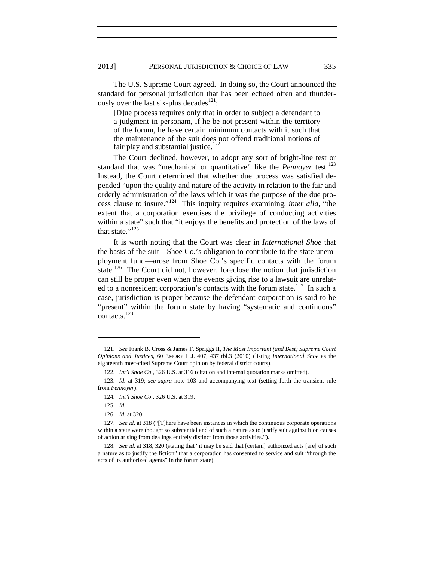The U.S. Supreme Court agreed. In doing so, the Court announced the standard for personal jurisdiction that has been echoed often and thunder-ously over the last six-plus decades<sup>[121](#page-23-0)</sup>:

[D]ue process requires only that in order to subject a defendant to a judgment in personam, if he be not present within the territory of the forum, he have certain minimum contacts with it such that the maintenance of the suit does not offend traditional notions of fair play and substantial justice.<sup>[122](#page-23-1)</sup>

The Court declined, however, to adopt any sort of bright-line test or standard that was "mechanical or quantitative" like the *Pennoyer* test.<sup>[123](#page-23-2)</sup> Instead, the Court determined that whether due process was satisfied depended "upon the quality and nature of the activity in relation to the fair and orderly administration of the laws which it was the purpose of the due process clause to insure."[124](#page-23-3) This inquiry requires examining, *inter alia*, "the extent that a corporation exercises the privilege of conducting activities within a state" such that "it enjoys the benefits and protection of the laws of that state."<sup>[125](#page-23-4)</sup>

It is worth noting that the Court was clear in *International Shoe* that the basis of the suit—Shoe Co.'s obligation to contribute to the state unemployment fund—arose from Shoe Co.'s specific contacts with the forum state.<sup>126</sup> The Court did not, however, foreclose the notion that jurisdiction can still be proper even when the events giving rise to a lawsuit are unrelat-ed to a nonresident corporation's contacts with the forum state.<sup>[127](#page-23-6)</sup> In such a case, jurisdiction is proper because the defendant corporation is said to be "present" within the forum state by having "systematic and continuous" contacts.[128](#page-23-7)

<span id="page-23-0"></span><sup>121.</sup> *See* Frank B. Cross & James F. Spriggs II, *The Most Important (and Best) Supreme Court Opinions and Justices*, 60 EMORY L.J. 407, 437 tbl.3 (2010) (listing *International Shoe* as the eighteenth most-cited Supreme Court opinion by federal district courts).

<sup>122.</sup> *Int'l Shoe Co.*, 326 U.S. at 316 (citation and internal quotation marks omitted).

<span id="page-23-3"></span><span id="page-23-2"></span><span id="page-23-1"></span><sup>123.</sup> *Id.* at 319; *see supra* note [103](#page-20-8) and accompanying text (setting forth the transient rule from *Pennoyer*).

<sup>124.</sup> *Int'l Shoe Co.*, 326 U.S. at 319.

<sup>125.</sup> *Id.*

<sup>126.</sup> *Id.* at 320.

<span id="page-23-6"></span><span id="page-23-5"></span><span id="page-23-4"></span><sup>127.</sup> *See id.* at 318 ("[T]here have been instances in which the continuous corporate operations within a state were thought so substantial and of such a nature as to justify suit against it on causes of action arising from dealings entirely distinct from those activities.").

<span id="page-23-7"></span><sup>128.</sup> *See id.* at 318, 320 (stating that "it may be said that [certain] authorized acts [are] of such a nature as to justify the fiction" that a corporation has consented to service and suit "through the acts of its authorized agents" in the forum state).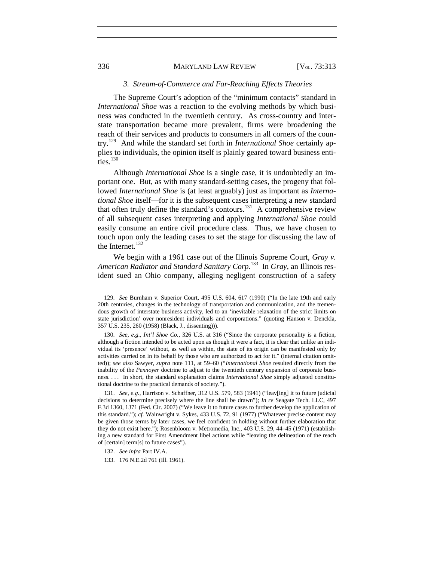#### *3. Stream-of-Commerce and Far-Reaching Effects Theories*

The Supreme Court's adoption of the "minimum contacts" standard in *International Shoe* was a reaction to the evolving methods by which business was conducted in the twentieth century. As cross-country and interstate transportation became more prevalent, firms were broadening the reach of their services and products to consumers in all corners of the country.[129](#page-24-0) And while the standard set forth in *International Shoe* certainly applies to individuals, the opinion itself is plainly geared toward business entities $^{130}$  $^{130}$  $^{130}$ 

Although *International Shoe* is a single case, it is undoubtedly an important one. But, as with many standard-setting cases, the progeny that followed *International Shoe* is (at least arguably) just as important as *International Shoe* itself—for it is the subsequent cases interpreting a new standard that often truly define the standard's contours.<sup>131</sup> A comprehensive review of all subsequent cases interpreting and applying *International Shoe* could easily consume an entire civil procedure class. Thus, we have chosen to touch upon only the leading cases to set the stage for discussing the law of the Internet.<sup>[132](#page-24-3)</sup>

We begin with a 1961 case out of the Illinois Supreme Court, *Gray v. American Radiator and Standard Sanitary Corp.*[133](#page-24-4) In *Gray*, an Illinois resident sued an Ohio company, alleging negligent construction of a safety

<span id="page-24-0"></span><sup>129.</sup> *See* Burnham v. Superior Court, 495 U.S. 604, 617 (1990) ("In the late 19th and early 20th centuries, changes in the technology of transportation and communication, and the tremendous growth of interstate business activity, led to an 'inevitable relaxation of the strict limits on state jurisdiction' over nonresident individuals and corporations." (quoting Hanson v. Denckla, 357 U.S. 235, 260 (1958) (Black, J., dissenting))).

<span id="page-24-1"></span><sup>130.</sup> *See, e.g.*, *Int'l Shoe Co.*, 326 U.S. at 316 ("Since the corporate personality is a fiction, although a fiction intended to be acted upon as though it were a fact, it is clear that unlike an individual its 'presence' without, as well as within, the state of its origin can be manifested only by activities carried on in its behalf by those who are authorized to act for it." (internal citation omitted)); *see also* Sawyer, *supra* note [111,](#page-22-10) at 59–60 ("*International Shoe* resulted directly from the inability of the *Pennoyer* doctrine to adjust to the twentieth century expansion of corporate business. . . . In short, the standard explanation claims *International Shoe* simply adjusted constitutional doctrine to the practical demands of society.").

<span id="page-24-2"></span><sup>131.</sup> *See, e.g.*, Harrison v. Schaffner, 312 U.S. 579, 583 (1941) ("leav[ing] it to future judicial decisions to determine precisely where the line shall be drawn"); *In re* Seagate Tech. LLC, 497 F.3d 1360, 1371 (Fed. Cir. 2007) ("We leave it to future cases to further develop the application of this standard."); *cf.* Wainwright v. Sykes, 433 U.S. 72, 91 (1977) ("Whatever precise content may be given those terms by later cases, we feel confident in holding without further elaboration that they do not exist here."); Rosenbloom v. Metromedia, Inc., 403 U.S. 29, 44–45 (1971) (establishing a new standard for First Amendment libel actions while "leaving the delineation of the reach of [certain] term[s] to future cases").

<span id="page-24-3"></span><sup>132.</sup> *See infra* Part IV.A.

<span id="page-24-4"></span><sup>133.</sup> 176 N.E.2d 761 (Ill. 1961).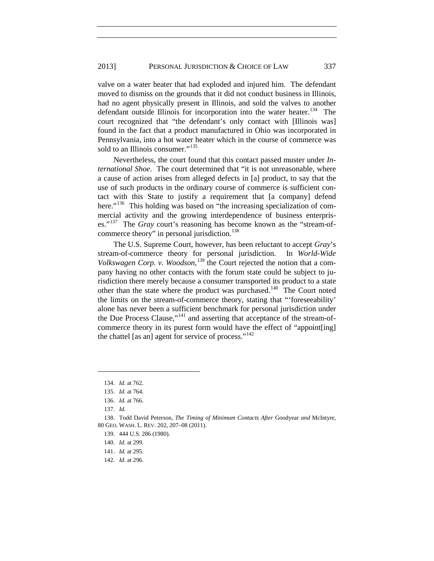valve on a water heater that had exploded and injured him. The defendant moved to dismiss on the grounds that it did not conduct business in Illinois, had no agent physically present in Illinois, and sold the valves to another defendant outside Illinois for incorporation into the water heater.<sup>134</sup> The court recognized that "the defendant's only contact with [Illinois was] found in the fact that a product manufactured in Ohio was incorporated in Pennsylvania, into a hot water heater which in the course of commerce was sold to an Illinois consumer."<sup>[135](#page-25-1)</sup>

Nevertheless, the court found that this contact passed muster under *International Shoe*. The court determined that "it is not unreasonable, where a cause of action arises from alleged defects in [a] product, to say that the use of such products in the ordinary course of commerce is sufficient contact with this State to justify a requirement that [a company] defend here."<sup>136</sup> This holding was based on "the increasing specialization of commercial activity and the growing interdependence of business enterprises."[137](#page-25-3) The *Gray* court's reasoning has become known as the "stream-of-commerce theory" in personal jurisdiction.<sup>[138](#page-25-4)</sup>

<span id="page-25-9"></span>The U.S. Supreme Court, however, has been reluctant to accept *Gray*'s stream-of-commerce theory for personal jurisdiction. In *World-Wide Volkswagen Corp. v. Woodson*, [139](#page-25-5) the Court rejected the notion that a company having no other contacts with the forum state could be subject to jurisdiction there merely because a consumer transported its product to a state other than the state where the product was purchased.<sup>[140](#page-25-6)</sup> The Court noted the limits on the stream-of-commerce theory, stating that "'foreseeability' alone has never been a sufficient benchmark for personal jurisdiction under the Due Process Clause,"[141](#page-25-7) and asserting that acceptance of the stream-ofcommerce theory in its purest form would have the effect of "appoint[ing] the chattel [as an] agent for service of process." $142$ 

<span id="page-25-0"></span><sup>134.</sup> *Id.* at 762.

<sup>135.</sup> *Id.* at 764.

<sup>136.</sup> *Id.* at 766.

<sup>137.</sup> *Id.*

<span id="page-25-6"></span><span id="page-25-5"></span><span id="page-25-4"></span><span id="page-25-3"></span><span id="page-25-2"></span><span id="page-25-1"></span><sup>138.</sup> Todd David Peterson, *The Timing of Minimum Contacts After* Goodyear *and* McIntyre, 80 GEO. WASH. L. REV. 202, 207–08 (2011).

<sup>139.</sup> 444 U.S. 286 (1980).

<sup>140.</sup> *Id.* at 299.

<span id="page-25-8"></span><span id="page-25-7"></span><sup>141.</sup> *Id.* at 295.

<sup>142.</sup> *Id.* at 296.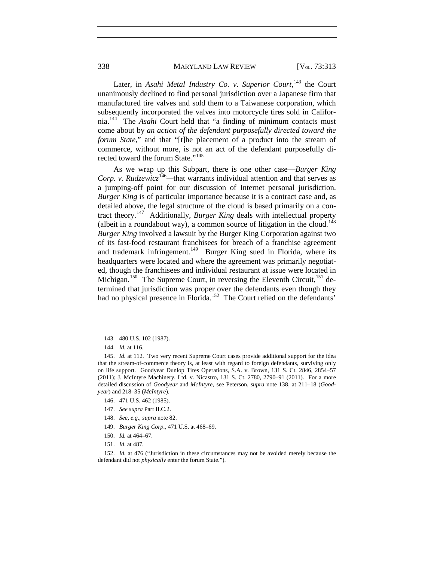338 MARYLAND LAW REVIEW [V<sub>OL.</sub> 73:313

Later, in *Asahi Metal Industry Co. v. Superior Court*,<sup>[143](#page-26-0)</sup> the Court unanimously declined to find personal jurisdiction over a Japanese firm that manufactured tire valves and sold them to a Taiwanese corporation, which subsequently incorporated the valves into motorcycle tires sold in California.[144](#page-26-1) The *Asahi* Court held that "a finding of minimum contacts must come about by *an action of the defendant purposefully directed toward the forum State*," and that "[t]he placement of a product into the stream of commerce, without more, is not an act of the defendant purposefully di-rected toward the forum State."<sup>[145](#page-26-2)</sup>

As we wrap up this Subpart, there is one other case—*Burger King Corp. v. Rudzewicz*<sup>[146](#page-26-3)</sup>—that warrants individual attention and that serves as a jumping-off point for our discussion of Internet personal jurisdiction. *Burger King* is of particular importance because it is a contract case and, as detailed above, the legal structure of the cloud is based primarily on a contract theory.[147](#page-26-4) Additionally, *Burger King* deals with intellectual property (albeit in a roundabout way), a common source of litigation in the cloud.<sup>[148](#page-26-5)</sup> *Burger King* involved a lawsuit by the Burger King Corporation against two of its fast-food restaurant franchisees for breach of a franchise agreement and trademark infringement.<sup>[149](#page-26-6)</sup> Burger King sued in Florida, where its headquarters were located and where the agreement was primarily negotiated, though the franchisees and individual restaurant at issue were located in Michigan.<sup>150</sup> The Supreme Court, in reversing the Eleventh Circuit,<sup>[151](#page-26-8)</sup> determined that jurisdiction was proper over the defendants even though they had no physical presence in Florida.<sup>[152](#page-26-9)</sup> The Court relied on the defendants'

 $\overline{a}$ 

- <span id="page-26-3"></span>146. 471 U.S. 462 (1985).
- <span id="page-26-4"></span>147. *See supra* Part II.C.2.
- 148. *See, e.g.*, *supra* note [82.](#page-17-8)
- 149. *Burger King Corp.*, 471 U.S. at 468–69.
- 150. *Id.* at 464–67.
- 151. *Id*. at 487.

<span id="page-26-9"></span><span id="page-26-8"></span><span id="page-26-7"></span><span id="page-26-6"></span><span id="page-26-5"></span>152. *Id.* at 476 ("Jurisdiction in these circumstances may not be avoided merely because the defendant did not *physically* enter the forum State.").

<sup>143.</sup> 480 U.S. 102 (1987).

<sup>144.</sup> *Id.* at 116.

<span id="page-26-2"></span><span id="page-26-1"></span><span id="page-26-0"></span><sup>145.</sup> *Id.* at 112. Two very recent Supreme Court cases provide additional support for the idea that the stream-of-commerce theory is, at least with regard to foreign defendants, surviving only on life support. Goodyear Dunlop Tires Operations, S.A. v. Brown, 131 S. Ct. 2846, 2854–57 (2011); J. McIntyre Machinery, Ltd. v. Nicastro, 131 S. Ct. 2780, 2790–91 (2011). For a more detailed discussion of *Goodyear* and *McIntyre*, see Peterson, *supra* note [138,](#page-25-9) at 211–18 (*Goodyear*) and 218–35 (*McIntyre*).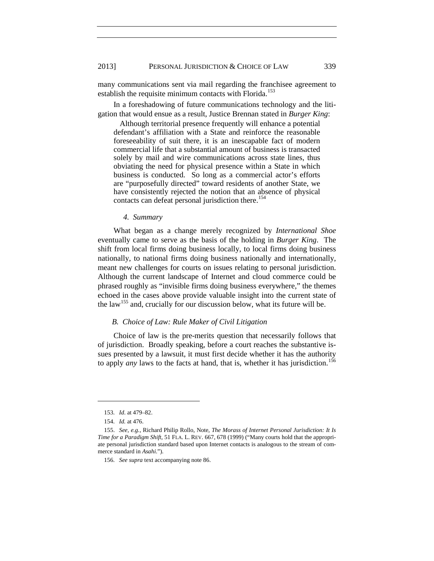many communications sent via mail regarding the franchisee agreement to establish the requisite minimum contacts with Florida.<sup>[153](#page-27-0)</sup>

In a foreshadowing of future communications technology and the litigation that would ensue as a result, Justice Brennan stated in *Burger King*:

Although territorial presence frequently will enhance a potential defendant's affiliation with a State and reinforce the reasonable foreseeability of suit there, it is an inescapable fact of modern commercial life that a substantial amount of business is transacted solely by mail and wire communications across state lines, thus obviating the need for physical presence within a State in which business is conducted. So long as a commercial actor's efforts are "purposefully directed" toward residents of another State, we have consistently rejected the notion that an absence of physical contacts can defeat personal jurisdiction there.<sup>[154](#page-27-1)</sup>

*4. Summary*

What began as a change merely recognized by *International Shoe* eventually came to serve as the basis of the holding in *Burger King*. The shift from local firms doing business locally, to local firms doing business nationally, to national firms doing business nationally and internationally, meant new challenges for courts on issues relating to personal jurisdiction. Although the current landscape of Internet and cloud commerce could be phrased roughly as "invisible firms doing business everywhere," the themes echoed in the cases above provide valuable insight into the current state of the law<sup>[155](#page-27-2)</sup> and, crucially for our discussion below, what its future will be.

#### *B. Choice of Law: Rule Maker of Civil Litigation*

Choice of law is the pre-merits question that necessarily follows that of jurisdiction. Broadly speaking, before a court reaches the substantive issues presented by a lawsuit, it must first decide whether it has the authority to apply *any* laws to the facts at hand, that is, whether it has jurisdiction.<sup>[156](#page-27-3)</sup>

<sup>153.</sup> *Id*. at 479–82.

<sup>154.</sup> *Id.* at 476.

<span id="page-27-3"></span><span id="page-27-2"></span><span id="page-27-1"></span><span id="page-27-0"></span><sup>155.</sup> *See, e.g.*, Richard Philip Rollo, Note, *The Morass of Internet Personal Jurisdiction: It Is Time for a Paradigm Shift*, 51 FLA. L. REV. 667, 678 (1999) ("Many courts hold that the appropriate personal jurisdiction standard based upon Internet contacts is analogous to the stream of commerce standard in *Asahi*.").

<sup>156.</sup> *See supra* text accompanying note [86.](#page-18-5)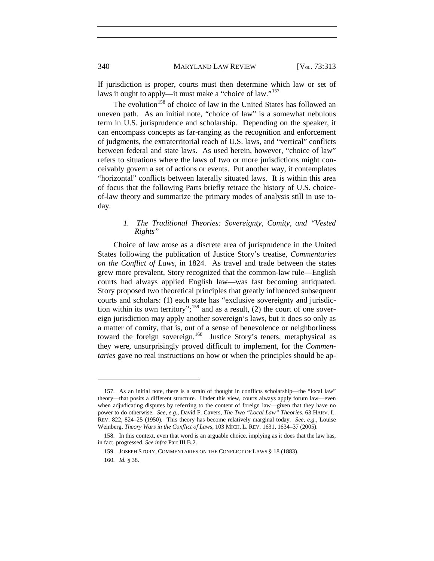<span id="page-28-4"></span>If jurisdiction is proper, courts must then determine which law or set of laws it ought to apply—it must make a "choice of law."<sup>[157](#page-28-0)</sup>

The evolution<sup>[158](#page-28-1)</sup> of choice of law in the United States has followed an uneven path. As an initial note, "choice of law" is a somewhat nebulous term in U.S. jurisprudence and scholarship. Depending on the speaker, it can encompass concepts as far-ranging as the recognition and enforcement of judgments, the extraterritorial reach of U.S. laws, and "vertical" conflicts between federal and state laws. As used herein, however, "choice of law" refers to situations where the laws of two or more jurisdictions might conceivably govern a set of actions or events. Put another way, it contemplates "horizontal" conflicts between laterally situated laws. It is within this area of focus that the following Parts briefly retrace the history of U.S. choiceof-law theory and summarize the primary modes of analysis still in use today.

#### *1. The Traditional Theories: Sovereignty, Comity, and "Vested Rights"*

Choice of law arose as a discrete area of jurisprudence in the United States following the publication of Justice Story's treatise, *Commentaries on the Conflict of Laws*, in 1824. As travel and trade between the states grew more prevalent, Story recognized that the common-law rule—English courts had always applied English law—was fast becoming antiquated. Story proposed two theoretical principles that greatly influenced subsequent courts and scholars: (1) each state has "exclusive sovereignty and jurisdic-tion within its own territory";<sup>[159](#page-28-2)</sup> and as a result, (2) the court of one sovereign jurisdiction may apply another sovereign's laws, but it does so only as a matter of comity, that is, out of a sense of benevolence or neighborliness toward the foreign sovereign.<sup>160</sup> Justice Story's tenets, metaphysical as they were, unsurprisingly proved difficult to implement, for the *Commentaries* gave no real instructions on how or when the principles should be ap-

<span id="page-28-0"></span><sup>157.</sup> As an initial note, there is a strain of thought in conflicts scholarship—the "local law" theory—that posits a different structure. Under this view, courts always apply forum law—even when adjudicating disputes by referring to the content of foreign law—given that they have no power to do otherwise. *See, e.g.*, David F. Cavers, *The Two "Local Law" Theories*, 63 HARV. L. REV. 822, 824–25 (1950). This theory has become relatively marginal today. *See, e.g.*, Louise Weinberg, *Theory Wars in the Conflict of Laws*, 103 MICH. L. REV. 1631, 1634–37 (2005).

<span id="page-28-3"></span><span id="page-28-2"></span><span id="page-28-1"></span><sup>158.</sup> In this context, even that word is an arguable choice, implying as it does that the law has, in fact, progressed. *See infra* Part III.B.2.

<sup>159.</sup> JOSEPH STORY, COMMENTARIES ON THE CONFLICT OF LAWS § 18 (1883).

<sup>160.</sup> *Id.* § 38.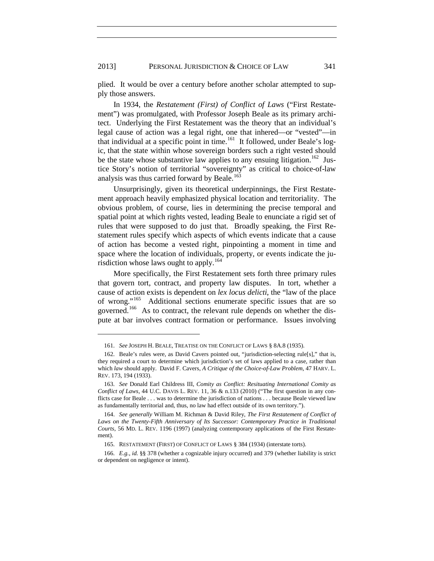plied. It would be over a century before another scholar attempted to supply those answers.

In 1934, the *Restatement (First) of Conflict of Laws* ("First Restatement") was promulgated, with Professor Joseph Beale as its primary architect. Underlying the First Restatement was the theory that an individual's legal cause of action was a legal right, one that inhered—or "vested"—in that individual at a specific point in time.<sup>161</sup> It followed, under Beale's logic, that the state within whose sovereign borders such a right vested should be the state whose substantive law applies to any ensuing litigation.<sup>162</sup> Justice Story's notion of territorial "sovereignty" as critical to choice-of-law analysis was thus carried forward by Beale.<sup>[163](#page-29-2)</sup>

<span id="page-29-7"></span>Unsurprisingly, given its theoretical underpinnings, the First Restatement approach heavily emphasized physical location and territoriality. The obvious problem, of course, lies in determining the precise temporal and spatial point at which rights vested, leading Beale to enunciate a rigid set of rules that were supposed to do just that. Broadly speaking, the First Restatement rules specify which aspects of which events indicate that a cause of action has become a vested right, pinpointing a moment in time and space where the location of individuals, property, or events indicate the ju-risdiction whose laws ought to apply.<sup>[164](#page-29-3)</sup>

<span id="page-29-6"></span>More specifically, the First Restatement sets forth three primary rules that govern tort, contract, and property law disputes. In tort, whether a cause of action exists is dependent on *lex locus delicti*, the "law of the place of wrong."[165](#page-29-4) Additional sections enumerate specific issues that are so governed.<sup>166</sup> As to contract, the relevant rule depends on whether the dispute at bar involves contract formation or performance. Issues involving

<sup>161.</sup> *See* JOSEPH H. BEALE, TREATISE ON THE CONFLICT OF LAWS § 8A.8 (1935).

<span id="page-29-1"></span><span id="page-29-0"></span><sup>162.</sup> Beale's rules were, as David Cavers pointed out, "jurisdiction-selecting rule[s]," that is, they required a court to determine which jurisdiction's set of laws applied to a case, rather than which *law* should apply. David F. Cavers, *A Critique of the Choice-of-Law Problem*, 47 HARV. L. REV. 173, 194 (1933).

<span id="page-29-2"></span><sup>163.</sup> *See* Donald Earl Childress III, *Comity as Conflict: Resituating International Comity as Conflict of Laws*, 44 U.C. DAVIS L. REV. 11, 36 & n.133 (2010) ("The first question in any conflicts case for Beale . . . was to determine the jurisdiction of nations . . . because Beale viewed law as fundamentally territorial and, thus, no law had effect outside of its own territory.").

<span id="page-29-3"></span><sup>164.</sup> *See generally* William M. Richman & David Riley, *The First Restatement of Conflict of*  Laws on the Twenty-Fifth Anniversary of Its Successor: Contemporary Practice in Traditional *Courts*, 56 MD. L. REV. 1196 (1997) (analyzing contemporary applications of the First Restatement).

<sup>165.</sup> RESTATEMENT (FIRST) OF CONFLICT OF LAWS § 384 (1934) (interstate torts).

<span id="page-29-5"></span><span id="page-29-4"></span><sup>166.</sup> *E.g.*, *id.* §§ 378 (whether a cognizable injury occurred) and 379 (whether liability is strict or dependent on negligence or intent).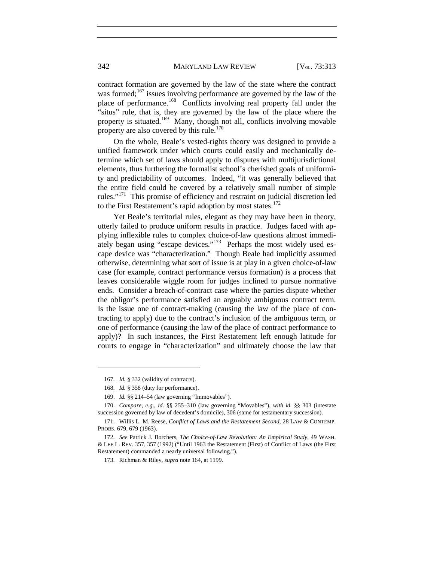contract formation are governed by the law of the state where the contract was formed; $167$  issues involving performance are governed by the law of the place of performance.<sup>168</sup> Conflicts involving real property fall under the "situs" rule, that is, they are governed by the law of the place where the property is situated.[169](#page-30-2) Many, though not all, conflicts involving movable property are also covered by this rule.<sup>[170](#page-30-3)</sup>

On the whole, Beale's vested-rights theory was designed to provide a unified framework under which courts could easily and mechanically determine which set of laws should apply to disputes with multijurisdictional elements, thus furthering the formalist school's cherished goals of uniformity and predictability of outcomes. Indeed, "it was generally believed that the entire field could be covered by a relatively small number of simple rules."[171](#page-30-4) This promise of efficiency and restraint on judicial discretion led to the First Restatement's rapid adoption by most states.<sup>[172](#page-30-5)</sup>

Yet Beale's territorial rules, elegant as they may have been in theory, utterly failed to produce uniform results in practice. Judges faced with applying inflexible rules to complex choice-of-law questions almost immedi-ately began using "escape devices."<sup>[173](#page-30-6)</sup> Perhaps the most widely used escape device was "characterization." Though Beale had implicitly assumed otherwise, determining what sort of issue is at play in a given choice-of-law case (for example, contract performance versus formation) is a process that leaves considerable wiggle room for judges inclined to pursue normative ends. Consider a breach-of-contract case where the parties dispute whether the obligor's performance satisfied an arguably ambiguous contract term. Is the issue one of contract-making (causing the law of the place of contracting to apply) due to the contract's inclusion of the ambiguous term, or one of performance (causing the law of the place of contract performance to apply)? In such instances, the First Restatement left enough latitude for courts to engage in "characterization" and ultimately choose the law that

<sup>167.</sup> *Id.* § 332 (validity of contracts).

<sup>168.</sup> *Id.* § 358 (duty for performance).

<sup>169.</sup> *Id.* §§ 214–54 (law governing "Immovables").

<span id="page-30-3"></span><span id="page-30-2"></span><span id="page-30-1"></span><span id="page-30-0"></span><sup>170.</sup> *Compare, e.g.*, *id.* §§ 255–310 (law governing "Movables"), *with id.* §§ 303 (intestate succession governed by law of decedent's domicile), 306 (same for testamentary succession).

<span id="page-30-4"></span><sup>171.</sup> Willis L. M. Reese, *Conflict of Laws and the Restatement Second*, 28 LAW & CONTEMP. PROBS. 679, 679 (1963).

<span id="page-30-6"></span><span id="page-30-5"></span><sup>172.</sup> *See* Patrick J. Borchers, *The Choice-of-Law Revolution: An Empirical Study*, 49 WASH. & LEE L. REV. 357, 357 (1992) ("Until 1963 the Restatement (First) of Conflict of Laws (the First Restatement) commanded a nearly universal following.").

<sup>173.</sup> Richman & Riley, *supra* not[e 164,](#page-29-6) at 1199.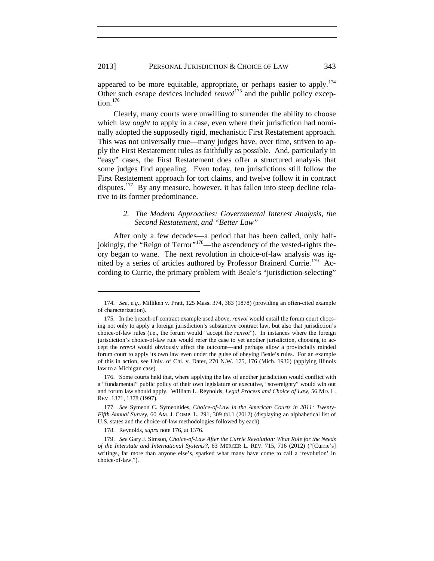appeared to be more equitable, appropriate, or perhaps easier to apply.<sup>[174](#page-31-1)</sup> Other such escape devices included *renvoi*<sup>[175](#page-31-2)</sup> and the public policy excep-tion.<sup>[176](#page-31-3)</sup>

<span id="page-31-0"></span>Clearly, many courts were unwilling to surrender the ability to choose which law *ought* to apply in a case, even where their jurisdiction had nominally adopted the supposedly rigid, mechanistic First Restatement approach. This was not universally true—many judges have, over time, striven to apply the First Restatement rules as faithfully as possible. And, particularly in "easy" cases, the First Restatement does offer a structured analysis that some judges find appealing. Even today, ten jurisdictions still follow the First Restatement approach for tort claims, and twelve follow it in contract disputes.<sup>177</sup> By any measure, however, it has fallen into steep decline relative to its former predominance.

#### <span id="page-31-7"></span>*2. The Modern Approaches: Governmental Interest Analysis, the Second Restatement, and "Better Law"*

After only a few decades—a period that has been called, only half-jokingly, the "Reign of Terror"<sup>[178](#page-31-5)</sup>—the ascendency of the vested-rights theory began to wane. The next revolution in choice-of-law analysis was ig-nited by a series of articles authored by Professor Brainerd Currie.<sup>[179](#page-31-6)</sup> According to Currie, the primary problem with Beale's "jurisdiction-selecting"

<span id="page-31-1"></span><sup>174.</sup> *See, e.g.*, Milliken v. Pratt, 125 Mass. 374, 383 (1878) (providing an often-cited example of characterization).

<span id="page-31-2"></span><sup>175.</sup> In the breach-of-contract example used above, *renvoi* would entail the forum court choosing not only to apply a foreign jurisdiction's substantive contract law, but also that jurisdiction's choice-of-law rules (i.e., the forum would "accept the *renvoi*"). In instances where the foreign jurisdiction's choice-of-law rule would refer the case to yet another jurisdiction, choosing to accept the *renvoi* would obviously affect the outcome—and perhaps allow a provincially minded forum court to apply its own law even under the guise of obeying Beale's rules. For an example of this in action, see Univ. of Chi. v. Dater, 270 N.W. 175, 176 (Mich. 1936) (applying Illinois law to a Michigan case).

<span id="page-31-3"></span><sup>176.</sup> Some courts held that, where applying the law of another jurisdiction would conflict with a "fundamental" public policy of their own legislature or executive, "sovereignty" would win out and forum law should apply. William L. Reynolds, *Legal Process and Choice of Law*, 56 MD. L. REV. 1371, 1378 (1997).

<span id="page-31-4"></span><sup>177.</sup> *See* Symeon C. Symeonides, *Choice-of-Law in the American Courts in 2011: Twenty-Fifth Annual Survey*, 60 AM. J. COMP. L. 291, 309 tbl.1 (2012) (displaying an alphabetical list of U.S. states and the choice-of-law methodologies followed by each).

<sup>178.</sup> Reynolds, *supra* not[e 176,](#page-31-0) at 1376.

<span id="page-31-6"></span><span id="page-31-5"></span><sup>179.</sup> *See* Gary J. Simson, *Choice-of-Law After the Currie Revolution: What Role for the Needs of the Interstate and International Systems?*, 63 MERCER L. REV. 715, 716 (2012) ("[Currie's] writings, far more than anyone else's, sparked what many have come to call a 'revolution' in choice-of-law.").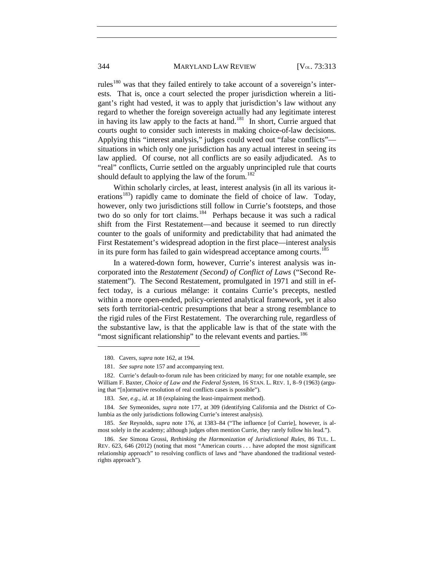#### 344 MARYLAND LAW REVIEW [V<sub>OL.</sub> 73:313

rules<sup>[180](#page-32-0)</sup> was that they failed entirely to take account of a sovereign's interests. That is, once a court selected the proper jurisdiction wherein a litigant's right had vested, it was to apply that jurisdiction's law without any regard to whether the foreign sovereign actually had any legitimate interest in having its law apply to the facts at hand.<sup>181</sup> In short, Currie argued that courts ought to consider such interests in making choice-of-law decisions. Applying this "interest analysis," judges could weed out "false conflicts" situations in which only one jurisdiction has any actual interest in seeing its law applied. Of course, not all conflicts are so easily adjudicated. As to "real" conflicts, Currie settled on the arguably unprincipled rule that courts should default to applying the law of the forum.<sup>[182](#page-32-2)</sup>

Within scholarly circles, at least, interest analysis (in all its various iterations<sup>183</sup>) rapidly came to dominate the field of choice of law. Today, however, only two jurisdictions still follow in Currie's footsteps, and those two do so only for tort claims.<sup>[184](#page-32-4)</sup> Perhaps because it was such a radical shift from the First Restatement—and because it seemed to run directly counter to the goals of uniformity and predictability that had animated the First Restatement's widespread adoption in the first place—interest analysis in its pure form has failed to gain widespread acceptance among courts.<sup>[185](#page-32-5)</sup>

In a watered-down form, however, Currie's interest analysis was incorporated into the *Restatement (Second) of Conflict of Laws* ("Second Restatement"). The Second Restatement, promulgated in 1971 and still in effect today, is a curious mélange: it contains Currie's precepts, nestled within a more open-ended, policy-oriented analytical framework, yet it also sets forth territorial-centric presumptions that bear a strong resemblance to the rigid rules of the First Restatement. The overarching rule, regardless of the substantive law, is that the applicable law is that of the state with the "most significant relationship" to the relevant events and parties.<sup>[186](#page-32-6)</sup>

<sup>180.</sup> Cavers, *supra* not[e 162,](#page-29-7) at 194.

<sup>181.</sup> *See supra* not[e 157](#page-28-4) and accompanying text.

<span id="page-32-2"></span><span id="page-32-1"></span><span id="page-32-0"></span><sup>182.</sup> Currie's default-to-forum rule has been criticized by many; for one notable example, see William F. Baxter, *Choice of Law and the Federal System*, 16 STAN. L. REV. 1, 8–9 (1963) (arguing that "[n]ormative resolution of real conflicts cases is possible").

<sup>183.</sup> *See, e.g.*, *id.* at 18 (explaining the least-impairment method).

<span id="page-32-4"></span><span id="page-32-3"></span><sup>184.</sup> *See* Symeonides, *supra* note [177,](#page-31-7) at 309 (identifying California and the District of Columbia as the only jurisdictions following Currie's interest analysis).

<span id="page-32-5"></span><sup>185.</sup> *See* Reynolds, *supra* note [176,](#page-31-0) at 1383–84 ("The influence [of Currie], however, is almost solely in the academy; although judges often mention Currie, they rarely follow his lead.").

<span id="page-32-6"></span><sup>186.</sup> *See* Simona Grossi, *Rethinking the Harmonization of Jurisdictional Rules*, 86 TUL. L. REV. 623, 646 (2012) (noting that most "American courts . . . have adopted the most significant relationship approach" to resolving conflicts of laws and "have abandoned the traditional vestedrights approach").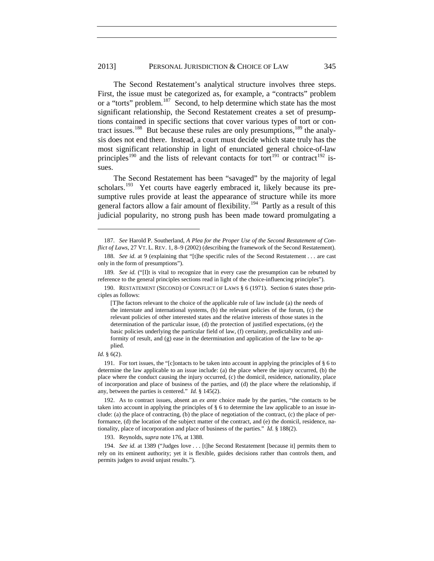#### 2013] PERSONAL JURISDICTION & CHOICE OF LAW 345

The Second Restatement's analytical structure involves three steps. First, the issue must be categorized as, for example, a "contracts" problem or a "torts" problem.<sup>187</sup> Second, to help determine which state has the most significant relationship, the Second Restatement creates a set of presumptions contained in specific sections that cover various types of tort or con-tract issues.<sup>188</sup> But because these rules are only presumptions,<sup>[189](#page-33-2)</sup> the analysis does not end there. Instead, a court must decide which state truly has the most significant relationship in light of enunciated general choice-of-law principles<sup>[190](#page-33-3)</sup> and the lists of relevant contacts for tort<sup>[191](#page-33-4)</sup> or contract<sup>[192](#page-33-5)</sup> issues.

The Second Restatement has been "savaged" by the majority of legal scholars.<sup>193</sup> Yet courts have eagerly embraced it, likely because its presumptive rules provide at least the appearance of structure while its more general factors allow a fair amount of flexibility.[194](#page-33-7) Partly as a result of this judicial popularity, no strong push has been made toward promulgating a

#### *Id.* § 6(2).

<span id="page-33-0"></span><sup>187.</sup> *See* Harold P. Southerland, *A Plea for the Proper Use of the Second Restatement of Conflict of Laws*, 27 VT. L. REV. 1, 8–9 (2002) (describing the framework of the Second Restatement). 188. *See id.* at 9 (explaining that "[t]he specific rules of the Second Restatement . . . are cast

<span id="page-33-1"></span>only in the form of presumptions").

<span id="page-33-2"></span><sup>189</sup>*. See id.* ("[I]t is vital to recognize that in every case the presumption can be rebutted by reference to the general principles sections read in light of the choice-influencing principles").

<span id="page-33-3"></span><sup>190.</sup> RESTATEMENT (SECOND) OF CONFLICT OF LAWS § 6 (1971). Section 6 states those principles as follows:

<sup>[</sup>T]he factors relevant to the choice of the applicable rule of law include (a) the needs of the interstate and international systems, (b) the relevant policies of the forum, (c) the relevant policies of other interested states and the relative interests of those states in the determination of the particular issue, (d) the protection of justified expectations, (e) the basic policies underlying the particular field of law, (f) certainty, predictability and uniformity of result, and (g) ease in the determination and application of the law to be applied.

<span id="page-33-4"></span><sup>191.</sup> For tort issues, the "[c]ontacts to be taken into account in applying the principles of § 6 to determine the law applicable to an issue include: (a) the place where the injury occurred, (b) the place where the conduct causing the injury occurred, (c) the domicil, residence, nationality, place of incorporation and place of business of the parties, and (d) the place where the relationship, if any, between the parties is centered." *Id.* § 145(2).

<span id="page-33-5"></span><sup>192.</sup> As to contract issues, absent an *ex ante* choice made by the parties, "the contacts to be taken into account in applying the principles of § 6 to determine the law applicable to an issue include: (a) the place of contracting, (b) the place of negotiation of the contract, (c) the place of performance, (d) the location of the subject matter of the contract, and (e) the domicil, residence, nationality, place of incorporation and place of business of the parties." *Id.* § 188(2).

<sup>193.</sup> Reynolds, *supra* not[e 176,](#page-31-0) at 1388.

<span id="page-33-7"></span><span id="page-33-6"></span><sup>194.</sup> *See id.* at 1389 ("Judges love . . . [t]he Second Restatement [because it] permits them to rely on its eminent authority; yet it is flexible, guides decisions rather than controls them, and permits judges to avoid unjust results.").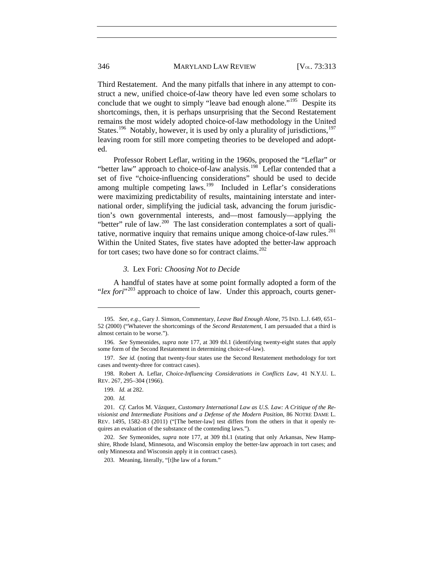Third Restatement. And the many pitfalls that inhere in any attempt to construct a new, unified choice-of-law theory have led even some scholars to conclude that we ought to simply "leave bad enough alone."<sup>195</sup> Despite its shortcomings, then, it is perhaps unsurprising that the Second Restatement remains the most widely adopted choice-of-law methodology in the United States.<sup>196</sup> Notably, however, it is used by only a plurality of jurisdictions,<sup>[197](#page-34-2)</sup> leaving room for still more competing theories to be developed and adopted.

Professor Robert Leflar, writing in the 1960s, proposed the "Leflar" or "better law" approach to choice-of-law analysis.<sup>[198](#page-34-3)</sup> Leflar contended that a set of five "choice-influencing considerations" should be used to decide among multiple competing laws.<sup>[199](#page-34-4)</sup> Included in Leflar's considerations were maximizing predictability of results, maintaining interstate and international order, simplifying the judicial task, advancing the forum jurisdiction's own governmental interests, and—most famously—applying the "better" rule of law.<sup>200</sup> The last consideration contemplates a sort of quali-tative, normative inquiry that remains unique among choice-of-law rules.<sup>[201](#page-34-6)</sup> Within the United States, five states have adopted the better-law approach for tort cases; two have done so for contract claims. $202$ 

#### *3.* Lex Fori*: Choosing Not to Decide*

A handful of states have at some point formally adopted a form of the "*lex fori*<sup>"[203](#page-34-8)</sup> approach to choice of law. Under this approach, courts gener-

<span id="page-34-0"></span><sup>195.</sup> *See, e.g.*, Gary J. Simson, Commentary, *Leave Bad Enough Alone*, 75 IND. L.J. 649, 651– 52 (2000) ("Whatever the shortcomings of the *Second Restatement*, I am persuaded that a third is almost certain to be worse.").

<span id="page-34-1"></span><sup>196.</sup> *See* Symeonides, *supra* note [177,](#page-31-7) at 309 tbl.1 (identifying twenty-eight states that apply some form of the Second Restatement in determining choice-of-law).

<span id="page-34-2"></span><sup>197.</sup> *See id.* (noting that twenty-four states use the Second Restatement methodology for tort cases and twenty-three for contract cases).

<span id="page-34-4"></span><span id="page-34-3"></span><sup>198.</sup> Robert A. Leflar, *Choice-Influencing Considerations in Conflicts Law*, 41 N.Y.U. L. REV. 267, 295–304 (1966).

<sup>199.</sup> *Id.* at 282.

<sup>200.</sup> *Id.*

<span id="page-34-6"></span><span id="page-34-5"></span><sup>201.</sup> *Cf.* Carlos M. Vázquez, *Customary International Law as U.S. Law: A Critique of the Revisionist and Intermediate Positions and a Defense of the Modern Position*, 86 NOTRE DAME L. REV. 1495, 1582–83 (2011) ("[The better-law] test differs from the others in that it openly requires an evaluation of the substance of the contending laws.").

<span id="page-34-8"></span><span id="page-34-7"></span><sup>202.</sup> *See* Symeonides, *supra* note [177,](#page-31-7) at 309 tbl.1 (stating that only Arkansas, New Hampshire, Rhode Island, Minnesota, and Wisconsin employ the better-law approach in tort cases; and only Minnesota and Wisconsin apply it in contract cases).

<sup>203.</sup> Meaning, literally, "[t]he law of a forum."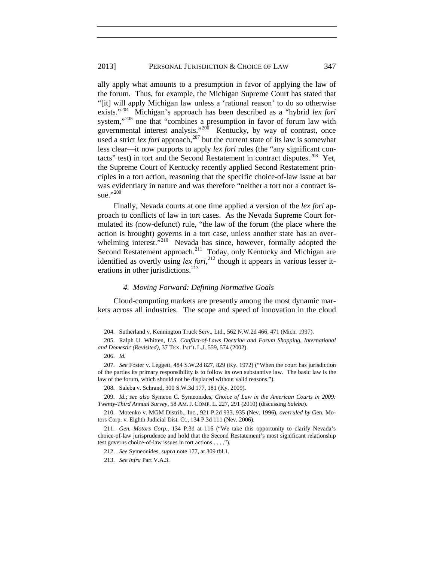ally apply what amounts to a presumption in favor of applying the law of the forum. Thus, for example, the Michigan Supreme Court has stated that "[it] will apply Michigan law unless a 'rational reason' to do so otherwise exists."[204](#page-35-0) Michigan's approach has been described as a "hybrid *lex fori* system,"<sup>[205](#page-35-1)</sup> one that "combines a presumption in favor of forum law with governmental interest analysis."<sup>20 $\delta$ </sup> Kentucky, by way of contrast, once used a strict *lex fori* approach,<sup>[207](#page-35-3)</sup> but the current state of its law is somewhat less clear—it now purports to apply *lex fori* rules (the "any significant contacts" test) in tort and the Second Restatement in contract disputes.<sup>208</sup> Yet, the Supreme Court of Kentucky recently applied Second Restatement principles in a tort action, reasoning that the specific choice-of-law issue at bar was evidentiary in nature and was therefore "neither a tort nor a contract is-sue."<sup>[209](#page-35-5)</sup>

Finally, Nevada courts at one time applied a version of the *lex fori* approach to conflicts of law in tort cases. As the Nevada Supreme Court formulated its (now-defunct) rule, "the law of the forum (the place where the action is brought) governs in a tort case, unless another state has an over-whelming interest."<sup>[210](#page-35-6)</sup> Nevada has since, however, formally adopted the Second Restatement approach.<sup>[211](#page-35-7)</sup> Today, only Kentucky and Michigan are identified as overtly using *lex fori*, [212](#page-35-8) though it appears in various lesser it-erations in other jurisdictions.<sup>[213](#page-35-9)</sup>

#### *4. Moving Forward: Defining Normative Goals*

Cloud-computing markets are presently among the most dynamic markets across all industries. The scope and speed of innovation in the cloud

<sup>204.</sup> Sutherland v. Kennington Truck Serv., Ltd., 562 N.W.2d 466, 471 (Mich. 1997).

<span id="page-35-1"></span><span id="page-35-0"></span><sup>205.</sup> Ralph U. Whitten, *U.S. Conflict-of-Laws Doctrine and Forum Shopping, International and Domestic (Revisited)*, 37 TEX. INT'L L.J. 559, 574 (2002).

<sup>206.</sup> *Id.*

<span id="page-35-3"></span><span id="page-35-2"></span><sup>207.</sup> *See* Foster v. Leggett, 484 S.W.2d 827, 829 (Ky. 1972) ("When the court has jurisdiction of the parties its primary responsibility is to follow its own substantive law. The basic law is the law of the forum, which should not be displaced without valid reasons.").

<sup>208.</sup> Saleba v. Schrand, 300 S.W.3d 177, 181 (Ky. 2009).

<span id="page-35-5"></span><span id="page-35-4"></span><sup>209.</sup> *Id.*; *see also* Symeon C. Symeonides, *Choice of Law in the American Courts in 2009: Twenty-Third Annual Survey*, 58 AM. J. COMP. L. 227, 291 (2010) (discussing *Saleba*).

<span id="page-35-6"></span><sup>210.</sup> Motenko v. MGM Distrib., Inc., 921 P.2d 933, 935 (Nev. 1996), *overruled by* Gen. Motors Corp. v. Eighth Judicial Dist. Ct., 134 P.3d 111 (Nev. 2006).

<span id="page-35-9"></span><span id="page-35-8"></span><span id="page-35-7"></span><sup>211.</sup> *Gen. Motors Corp.*, 134 P.3d at 116 ("We take this opportunity to clarify Nevada's choice-of-law jurisprudence and hold that the Second Restatement's most significant relationship test governs choice-of-law issues in tort actions . . . .").

<sup>212.</sup> *See* Symeonides, *supra* not[e 177,](#page-31-7) at 309 tbl.1.

<sup>213.</sup> *See infra* Part V.A.3.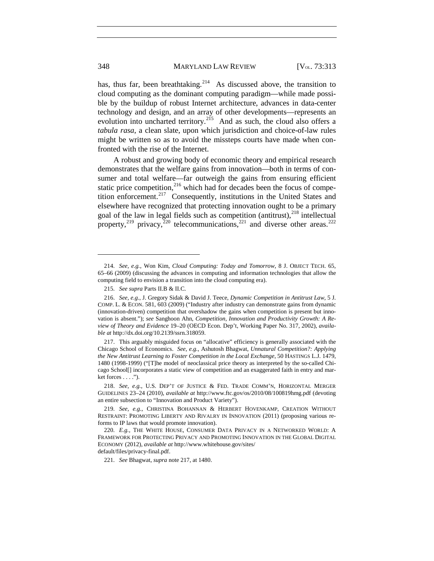has, thus far, been breathtaking.<sup>214</sup> As discussed above, the transition to cloud computing as the dominant computing paradigm—while made possible by the buildup of robust Internet architecture, advances in data-center technology and design, and an array of other developments—represents an evolution into uncharted territory.<sup>[215](#page-36-2)</sup> And as such, the cloud also offers a *tabula rasa*, a clean slate, upon which jurisdiction and choice-of-law rules might be written so as to avoid the missteps courts have made when confronted with the rise of the Internet.

<span id="page-36-0"></span>A robust and growing body of economic theory and empirical research demonstrates that the welfare gains from innovation—both in terms of consumer and total welfare—far outweigh the gains from ensuring efficient static price competition, $2^{16}$  which had for decades been the focus of compe-tition enforcement.<sup>[217](#page-36-4)</sup> Consequently, institutions in the United States and elsewhere have recognized that protecting innovation ought to be a primary goal of the law in legal fields such as competition (antitrust), $^{218}$  $^{218}$  $^{218}$  intellectual property,<sup>[219](#page-36-6)</sup> privacy,<sup>[220](#page-36-7)</sup> telecommunications,<sup>[221](#page-36-8)</sup> and diverse other areas.<sup>[222](#page-36-9)</sup>

<span id="page-36-8"></span>

<span id="page-36-1"></span><sup>214.</sup> *See, e.g.*, Won Kim, *Cloud Computing: Today and Tomorrow*, 8 J. OBJECT TECH. 65, 65–66 (2009) (discussing the advances in computing and information technologies that allow the computing field to envision a transition into the cloud computing era).

<sup>215.</sup> *See supra* Parts II.B & II.C.

<span id="page-36-3"></span><span id="page-36-2"></span><sup>216.</sup> *See, e.g.*, J. Gregory Sidak & David J. Teece, *Dynamic Competition in Antitrust Law*, 5 J. COMP. L. & ECON. 581, 603 (2009) ("Industry after industry can demonstrate gains from dynamic (innovation-driven) competition that overshadow the gains when competition is present but innovation is absent."); *see* Sanghoon Ahn, *Competition, Innovation and Productivity Growth: A Review of Theory and Evidence* 19–20 (OECD Econ. Dep't, Working Paper No. 317, 2002), *available at* http://dx.doi.org/10.2139/ssrn.318059.

<span id="page-36-9"></span><span id="page-36-4"></span><sup>217.</sup> This arguably misguided focus on "allocative" efficiency is generally associated with the Chicago School of Economics. *See, e.g.*, Ashutosh Bhagwat, *Unnatural Competition?: Applying the New Antitrust Learning to Foster Competition in the Local Exchange*, 50 HASTINGS L.J. 1479, 1480 (1998-1999) ("[T]he model of neoclassical price theory as interpreted by the so-called Chicago School[] incorporates a static view of competition and an exaggerated faith in entry and mar $ket forces \dots$ ").

<span id="page-36-5"></span><sup>218.</sup> *See, e.g.*, U.S. DEP'T OF JUSTICE & FED. TRADE COMM'N, HORIZONTAL MERGER GUIDELINES 23–24 (2010), *available at* http://www.ftc.gov/os/2010/08/100819hmg.pdf (devoting an entire subsection to "Innovation and Product Variety").

<span id="page-36-6"></span><sup>219.</sup> *See, e.g.*, CHRISTINA BOHANNAN & HERBERT HOVENKAMP, CREATION WITHOUT RESTRAINT: PROMOTING LIBERTY AND RIVALRY IN INNOVATION (2011) (proposing various reforms to IP laws that would promote innovation).

<span id="page-36-7"></span><sup>220.</sup> *E.g.*, THE WHITE HOUSE, CONSUMER DATA PRIVACY IN A NETWORKED WORLD: A FRAMEWORK FOR PROTECTING PRIVACY AND PROMOTING INNOVATION IN THE GLOBAL DIGITAL ECONOMY (2012), *available at* http://www.whitehouse.gov/sites/ default/files/privacy-final.pdf.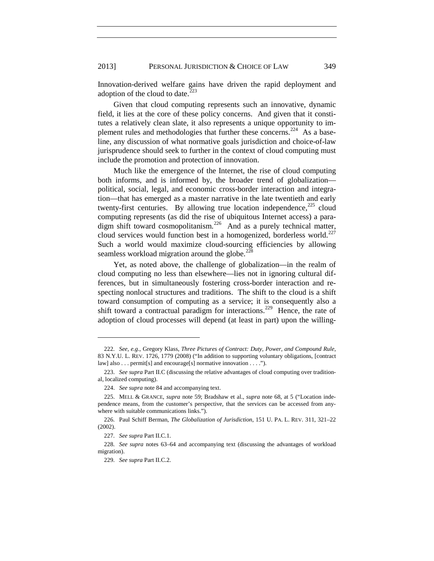2013] PERSONAL JURISDICTION & CHOICE OF LAW 349

Innovation-derived welfare gains have driven the rapid deployment and adoption of the cloud to date. $223$ 

Given that cloud computing represents such an innovative, dynamic field, it lies at the core of these policy concerns. And given that it constitutes a relatively clean slate, it also represents a unique opportunity to im-plement rules and methodologies that further these concerns.<sup>[224](#page-37-1)</sup> As a baseline, any discussion of what normative goals jurisdiction and choice-of-law jurisprudence should seek to further in the context of cloud computing must include the promotion and protection of innovation.

Much like the emergence of the Internet, the rise of cloud computing both informs, and is informed by, the broader trend of globalization political, social, legal, and economic cross-border interaction and integration—that has emerged as a master narrative in the late twentieth and early twenty-first centuries. By allowing true location independence, $225$  cloud computing represents (as did the rise of ubiquitous Internet access) a para-digm shift toward cosmopolitanism.<sup>[226](#page-37-3)</sup> And as a purely technical matter, cloud services would function best in a homogenized, borderless world.<sup>[227](#page-37-4)</sup> Such a world would maximize cloud-sourcing efficiencies by allowing seamless workload migration around the globe.<sup>[228](#page-37-5)</sup>

<span id="page-37-7"></span>Yet, as noted above, the challenge of globalization—in the realm of cloud computing no less than elsewhere—lies not in ignoring cultural differences, but in simultaneously fostering cross-border interaction and respecting nonlocal structures and traditions. The shift to the cloud is a shift toward consumption of computing as a service; it is consequently also a shift toward a contractual paradigm for interactions.<sup>229</sup> Hence, the rate of adoption of cloud processes will depend (at least in part) upon the willing-

<sup>222.</sup> *See, e.g.*, Gregory Klass, *Three Pictures of Contract: Duty, Power, and Compound Rule*, 83 N.Y.U. L. REV. 1726, 1779 (2008) ("In addition to supporting voluntary obligations, [contract law] also . . . permit[s] and encourage[s] normative innovation . . . .").

<span id="page-37-0"></span><sup>223.</sup> *See supra* Part II.C (discussing the relative advantages of cloud computing over traditional, localized computing).

<sup>224.</sup> *See supra* not[e 84](#page-17-0) and accompanying text.

<span id="page-37-2"></span><span id="page-37-1"></span><sup>225.</sup> MELL & GRANCE, *supra* note [59;](#page-13-0) Bradshaw et al., *supra* note [68,](#page-14-0) at 5 ("Location independence means, from the customer's perspective, that the services can be accessed from anywhere with suitable communications links.").

<span id="page-37-3"></span><sup>226.</sup> Paul Schiff Berman, *The Globalization of Jurisdiction*, 151 U. PA. L. REV. 311, 321–22 (2002).

<sup>227.</sup> *See supra* Part II.C.1.

<span id="page-37-6"></span><span id="page-37-5"></span><span id="page-37-4"></span><sup>228.</sup> *See supra* notes [63](#page-13-1)[–64](#page-13-2) and accompanying text (discussing the advantages of workload migration).

<sup>229.</sup> *See supra* Part II.C.2.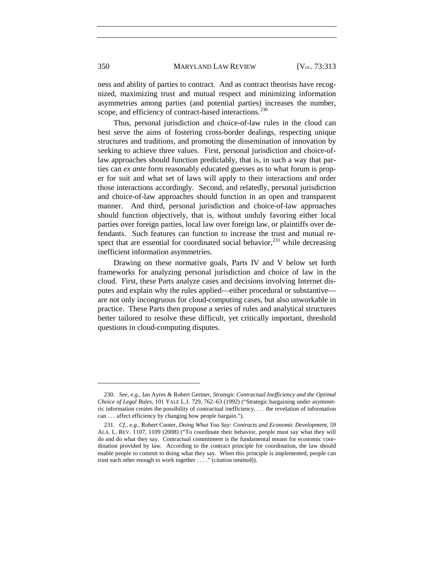ness and ability of parties to contract. And as contract theorists have recognized, maximizing trust and mutual respect and minimizing information asymmetries among parties (and potential parties) increases the number, scope, and efficiency of contract-based interactions.<sup>[230](#page-40-0)</sup>

Thus, personal jurisdiction and choice-of-law rules in the cloud can best serve the aims of fostering cross-border dealings, respecting unique structures and traditions, and promoting the dissemination of innovation by seeking to achieve three values. First, personal jurisdiction and choice-oflaw approaches should function predictably, that is, in such a way that parties can *ex ante* form reasonably educated guesses as to what forum is proper for suit and what set of laws will apply to their interactions and order those interactions accordingly. Second, and relatedly, personal jurisdiction and choice-of-law approaches should function in an open and transparent manner. And third, personal jurisdiction and choice-of-law approaches should function objectively, that is, without unduly favoring either local parties over foreign parties, local law over foreign law, or plaintiffs over defendants. Such features can function to increase the trust and mutual respect that are essential for coordinated social behavior,  $^{231}$  $^{231}$  $^{231}$  while decreasing inefficient information asymmetries.

Drawing on these normative goals, Parts IV and V below set forth frameworks for analyzing personal jurisdiction and choice of law in the cloud. First, these Parts analyze cases and decisions involving Internet disputes and explain why the rules applied—either procedural or substantive are not only incongruous for cloud-computing cases, but also unworkable in practice. These Parts then propose a series of rules and analytical structures better tailored to resolve these difficult, yet critically important, threshold questions in cloud-computing disputes.

<sup>230.</sup> *See, e.g.*, Ian Ayres & Robert Gertner, *Strategic Contractual Inefficiency and the Optimal Choice of Legal Rules*, 101 YALE L.J. 729, 762–63 (1992) ("Strategic bargaining under asymmetric information creates the possibility of contractual inefficiency, . . . the revelation of information can . . . affect efficiency by changing how people bargain.").

<span id="page-38-0"></span><sup>231.</sup> *Cf., e.g.*, Robert Cooter, *Doing What You Say: Contracts and Economic Development*, 59 ALA. L. REV. 1107, 1109 (2008) ("To coordinate their behavior, people must say what they will do and do what they say. Contractual commitment is the fundamental means for economic coordination provided by law. According to the contract principle for coordination, the law should enable people to commit to doing what they say. When this principle is implemented, people can trust each other enough to work together . . . ." (citation omitted)).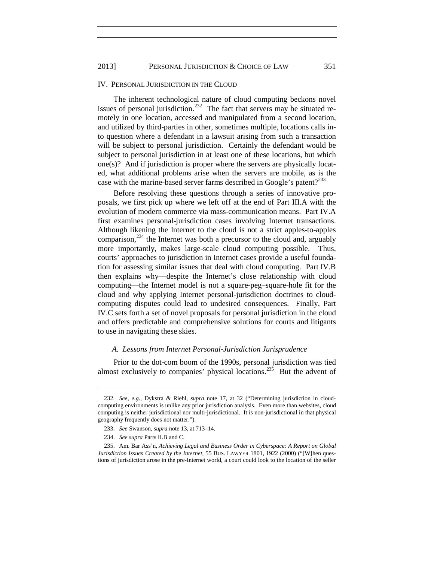### IV. PERSONAL JURISDICTION IN THE CLOUD

The inherent technological nature of cloud computing beckons novel issues of personal jurisdiction.<sup>[232](#page-41-0)</sup> The fact that servers may be situated remotely in one location, accessed and manipulated from a second location, and utilized by third-parties in other, sometimes multiple, locations calls into question where a defendant in a lawsuit arising from such a transaction will be subject to personal jurisdiction. Certainly the defendant would be subject to personal jurisdiction in at least one of these locations, but which one(s)? And if jurisdiction is proper where the servers are physically located, what additional problems arise when the servers are mobile, as is the case with the marine-based server farms described in Google's patent?<sup>[233](#page-39-0)</sup>

Before resolving these questions through a series of innovative proposals, we first pick up where we left off at the end of Part III.A with the evolution of modern commerce via mass-communication means. Part IV.A first examines personal-jurisdiction cases involving Internet transactions. Although likening the Internet to the cloud is not a strict apples-to-apples comparison, $^{234}$  $^{234}$  $^{234}$  the Internet was both a precursor to the cloud and, arguably more importantly, makes large-scale cloud computing possible. Thus, courts' approaches to jurisdiction in Internet cases provide a useful foundation for assessing similar issues that deal with cloud computing. Part IV.B then explains why—despite the Internet's close relationship with cloud computing—the Internet model is not a square-peg–square-hole fit for the cloud and why applying Internet personal-jurisdiction doctrines to cloudcomputing disputes could lead to undesired consequences. Finally, Part IV.C sets forth a set of novel proposals for personal jurisdiction in the cloud and offers predictable and comprehensive solutions for courts and litigants to use in navigating these skies.

### *A. Lessons from Internet Personal-Jurisdiction Jurisprudence*

Prior to the dot-com boom of the 1990s, personal jurisdiction was tied almost exclusively to companies' physical locations.<sup>235</sup> But the advent of

<sup>232.</sup> *See, e.g.*, Dykstra & Riehl, *supra* note [17,](#page-4-0) at 32 ("Determining jurisdiction in cloudcomputing environments is unlike any prior jurisdiction analysis. Even more than websites, cloud computing is neither jurisdictional nor multi-jurisdictional. It is non-jurisdictional in that physical geography frequently does not matter.").

<sup>233.</sup> *See* Swanson*, supra* not[e 13,](#page-4-1) at 713–14.

<sup>234.</sup> *See supra* Parts II.B and C.

<span id="page-39-1"></span><span id="page-39-0"></span><sup>235.</sup> Am. Bar Ass'n, *Achieving Legal and Business Order in Cyberspace: A Report on Global Jurisdiction Issues Created by the Internet*, 55 BUS. LAWYER 1801, 1922 (2000) ("[W]hen questions of jurisdiction arose in the pre-Internet world, a court could look to the location of the seller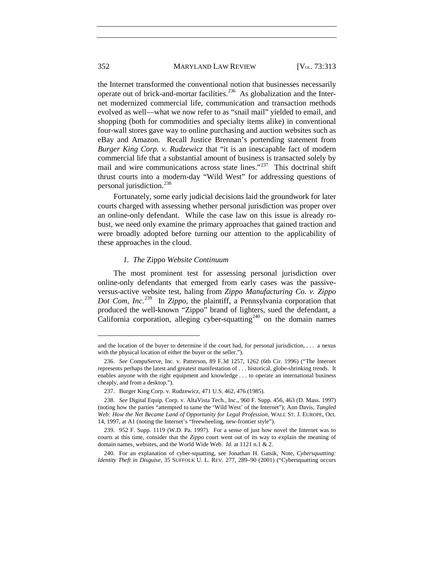the Internet transformed the conventional notion that businesses necessarily operate out of brick-and-mortar facilities.<sup>[236](#page-40-1)</sup> As globalization and the Internet modernized commercial life, communication and transaction methods evolved as well—what we now refer to as "snail mail" yielded to email, and shopping (both for commodities and specialty items alike) in conventional four-wall stores gave way to online purchasing and auction websites such as eBay and Amazon. Recall Justice Brennan's portending statement from *Burger King Corp. v. Rudzewicz* that "it is an inescapable fact of modern commercial life that a substantial amount of business is transacted solely by mail and wire communications across state lines."<sup>237</sup> This doctrinal shift thrust courts into a modern-day "Wild West" for addressing questions of personal jurisdiction.[238](#page-40-3)

Fortunately, some early judicial decisions laid the groundwork for later courts charged with assessing whether personal jurisdiction was proper over an online-only defendant. While the case law on this issue is already robust, we need only examine the primary approaches that gained traction and were broadly adopted before turning our attention to the applicability of these approaches in the cloud.

## <span id="page-40-4"></span>*1. The* Zippo *Website Continuum*

The most prominent test for assessing personal jurisdiction over online-only defendants that emerged from early cases was the passiveversus-active website test, haling from *Zippo Manufacturing Co. v. Zippo Dot Com, Inc.*[239](#page-43-0) In *Zippo*, the plaintiff, a Pennsylvania corporation that produced the well-known "Zippo" brand of lighters, sued the defendant, a California corporation, alleging cyber-squatting<sup>[240](#page-43-1)</sup> on the domain names

and the location of the buyer to determine if the court had, for personal jurisdiction, . . . a nexus with the physical location of either the buyer or the seller.").

<span id="page-40-1"></span><sup>236.</sup> *See* CompuServe, Inc. v. Patterson, 89 F.3d 1257, 1262 (6th Cir. 1996) ("The Internet represents perhaps the latest and greatest manifestation of . . . historical, globe-shrinking trends. It enables anyone with the right equipment and knowledge . . . to operate an international business cheaply, and from a desktop.").

<sup>237.</sup> Burger King Corp. v. Rudzewicz, 471 U.S. 462, 476 (1985).

<span id="page-40-3"></span><span id="page-40-2"></span><span id="page-40-0"></span><sup>238.</sup> *See* Digital Equip. Corp. v. AltaVista Tech., Inc., 960 F. Supp. 456, 463 (D. Mass. 1997) (noting how the parties "attempted to tame the 'Wild West' of the Internet"); Ann Davis, *Tangled Web: How the Net Became Land of Opportunity for Legal Profession*, WALL ST. J. EUROPE, Oct. 14, 1997, at A1 (noting the Internet's "freewheeling, new-frontier style").

<sup>239.</sup> 952 F. Supp. 1119 (W.D. Pa. 1997). For a sense of just how novel the Internet was to courts at this time, consider that the *Zippo* court went out of its way to explain the meaning of domain names, websites, and the World Wide Web. *Id.* at 1121 n.1 & 2.

<sup>240.</sup> For an explanation of cyber-squatting, see Jonathan H. Gatsik, Note, *Cybersquatting: Identity Theft in Disguise*, 35 SUFFOLK U. L. REV. 277, 289–90 (2001) ("Cybersquatting occurs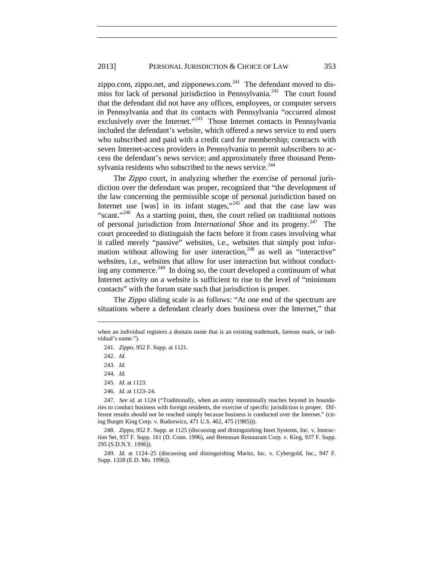### 2013] PERSONAL JURISDICTION & CHOICE OF LAW 353

zippo.com, zippo.net, and zipponews.com. $241$  The defendant moved to dis-miss for lack of personal jurisdiction in Pennsylvania.<sup>[242](#page-41-2)</sup> The court found that the defendant did not have any offices, employees, or computer servers in Pennsylvania and that its contacts with Pennsylvania "occurred almost exclusively over the Internet."<sup>243</sup> Those Internet contacts in Pennsylvania included the defendant's website, which offered a news service to end users who subscribed and paid with a credit card for membership; contracts with seven Internet-access providers in Pennsylvania to permit subscribers to access the defendant's news service; and approximately three thousand Penn-sylvania residents who subscribed to the news service.<sup>[244](#page-41-4)</sup>

The *Zippo* court, in analyzing whether the exercise of personal jurisdiction over the defendant was proper, recognized that "the development of the law concerning the permissible scope of personal jurisdiction based on Internet use  $[was]$  in its infant stages," $245$  and that the case law was "scant."[246](#page-41-6) As a starting point, then, the court relied on traditional notions of personal jurisdiction from *International Shoe* and its progeny.[247](#page-41-7) The court proceeded to distinguish the facts before it from cases involving what it called merely "passive" websites, i.e., websites that simply post information without allowing for user interaction, $248$  as well as "interactive" websites, i.e., websites that allow for user interaction but without conduct-ing any commerce.<sup>[249](#page-44-1)</sup> In doing so, the court developed a continuum of what Internet activity on a website is sufficient to rise to the level of "minimum contacts" with the forum state such that jurisdiction is proper.

The *Zippo* sliding scale is as follows: "At one end of the spectrum are situations where a defendant clearly does business over the Internet," that

<span id="page-41-3"></span><span id="page-41-2"></span><span id="page-41-1"></span>when an individual registers a domain name that is an existing trademark, famous mark, or individual's name.").

<sup>241.</sup> *Zippo*, 952 F. Supp. at 1121.

<sup>242.</sup> *Id.*

<sup>243.</sup> *Id.*

<sup>244.</sup> *Id.*

<sup>245.</sup> *Id.* at 1123.

<sup>246.</sup> *Id.* at 1123–24.

<span id="page-41-7"></span><span id="page-41-6"></span><span id="page-41-5"></span><span id="page-41-4"></span><span id="page-41-0"></span><sup>247.</sup> *See id.* at 1124 ("Traditionally, when an entity intentionally reaches beyond its boundaries to conduct business with foreign residents, the exercise of specific jurisdiction is proper. Different results should not be reached simply because business is conducted over the Internet." (citing Burger King Corp. v. Rudzewicz, 471 U.S. 462, 475 (1985))).

<sup>248.</sup> *Zippo*, 952 F. Supp. at 1125 (discussing and distinguishing Inset Systems, Inc. v. Instruction Set, 937 F. Supp. 161 (D. Conn. 1996), and Bensusan Restaurant Corp. v. King, 937 F. Supp. 295 (S.D.N.Y. 1996)).

<sup>249.</sup> *Id.* at 1124–25 (discussing and distinguishing Maritz, Inc. v. Cybergold, Inc., 947 F. Supp. 1328 (E.D. Mo. 1996)).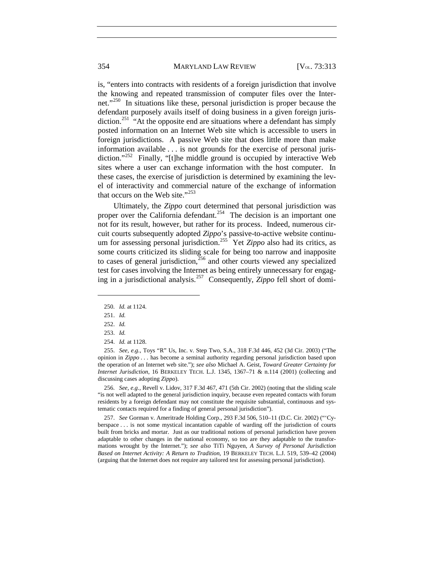### 354 MARYLAND LAW REVIEW [V<sub>OL.</sub> 73:313

is, "enters into contracts with residents of a foreign jurisdiction that involve the knowing and repeated transmission of computer files over the Internet."[250](#page-42-1) In situations like these, personal jurisdiction is proper because the defendant purposely avails itself of doing business in a given foreign juris-diction.<sup>[251](#page-42-2)</sup> "At the opposite end are situations where a defendant has simply posted information on an Internet Web site which is accessible to users in foreign jurisdictions. A passive Web site that does little more than make information available . . . is not grounds for the exercise of personal juris-diction."<sup>[252](#page-42-3)</sup> Finally, "[t]he middle ground is occupied by interactive Web sites where a user can exchange information with the host computer. In these cases, the exercise of jurisdiction is determined by examining the level of interactivity and commercial nature of the exchange of information that occurs on the Web site."<sup>[253](#page-42-4)</sup>

<span id="page-42-7"></span>Ultimately, the *Zippo* court determined that personal jurisdiction was proper over the California defendant.<sup>254</sup> The decision is an important one not for its result, however, but rather for its process. Indeed, numerous circuit courts subsequently adopted *Zippo*'s passive-to-active website continu-um for assessing personal jurisdiction.<sup>[255](#page-42-6)</sup> Yet *Zippo* also had its critics, as some courts criticized its sliding scale for being too narrow and inapposite to cases of general jurisdiction, $256$  and other courts viewed any specialized test for cases involving the Internet as being entirely unnecessary for engaging in a jurisdictional analysis.[257](#page-45-1) Consequently, *Zippo* fell short of domi-

<span id="page-42-2"></span><span id="page-42-1"></span> $\overline{a}$ 

<span id="page-42-6"></span><span id="page-42-5"></span><span id="page-42-4"></span><span id="page-42-3"></span>255. *See, e.g.*, Toys "R" Us, Inc. v. Step Two, S.A., 318 F.3d 446, 452 (3d Cir. 2003) ("The opinion in *Zippo* . . . has become a seminal authority regarding personal jurisdiction based upon the operation of an Internet web site."); *see also* Michael A. Geist, *Toward Greater Certainty for Internet Jurisdiction*, 16 BERKELEY TECH. L.J. 1345, 1367–71 & n.114 (2001) (collecting and discussing cases adopting *Zippo*).

256. *See, e.g.*, Revell v. Lidov, 317 F.3d 467, 471 (5th Cir. 2002) (noting that the sliding scale "is not well adapted to the general jurisdiction inquiry, because even repeated contacts with forum residents by a foreign defendant may not constitute the requisite substantial, continuous and systematic contacts required for a finding of general personal jurisdiction").

<span id="page-42-0"></span>257. *See* Gorman v. Ameritrade Holding Corp., 293 F.3d 506, 510–11 (D.C. Cir. 2002) ("'Cyberspace . . . is not some mystical incantation capable of warding off the jurisdiction of courts built from bricks and mortar. Just as our traditional notions of personal jurisdiction have proven adaptable to other changes in the national economy, so too are they adaptable to the transformations wrought by the Internet."); *see also* TiTi Nguyen, *A Survey of Personal Jurisdiction Based on Internet Activity: A Return to Tradition*, 19 BERKELEY TECH. L.J. 519, 539–42 (2004) (arguing that the Internet does not require any tailored test for assessing personal jurisdiction).

<sup>250.</sup> *Id.* at 1124.

<sup>251.</sup> *Id.*

<sup>252.</sup> *Id.*

<sup>253.</sup> *Id.*

<sup>254.</sup> *Id.* at 1128.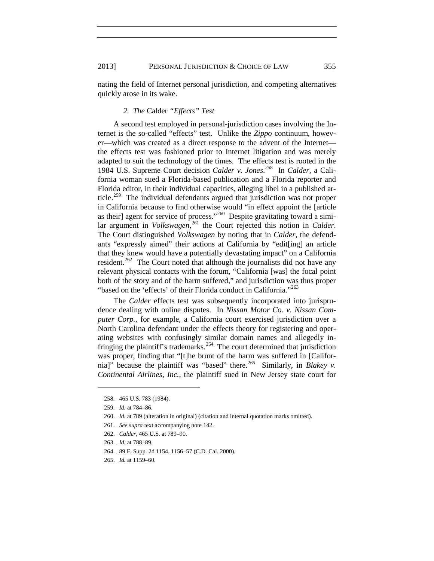nating the field of Internet personal jurisdiction, and competing alternatives quickly arose in its wake.

## *2. The* Calder *"Effects" Test*

A second test employed in personal-jurisdiction cases involving the Internet is the so-called "effects" test. Unlike the *Zippo* continuum, however—which was created as a direct response to the advent of the Internet the effects test was fashioned prior to Internet litigation and was merely adapted to suit the technology of the times. The effects test is rooted in the 1984 U.S. Supreme Court decision *Calder v. Jones*. [258](#page-43-2) In *Calder*, a California woman sued a Florida-based publication and a Florida reporter and Florida editor, in their individual capacities, alleging libel in a published article.<sup>259</sup> The individual defendants argued that jurisdiction was not proper in California because to find otherwise would "in effect appoint the [article as their] agent for service of process."[260](#page-43-4) Despite gravitating toward a similar argument in *Volkswagen*, [261](#page-43-5) the Court rejected this notion in *Calder*. The Court distinguished *Volkswagen* by noting that in *Calder*, the defendants "expressly aimed" their actions at California by "edit[ing] an article that they knew would have a potentially devastating impact" on a California resident.<sup>[262](#page-43-6)</sup> The Court noted that although the journalists did not have any relevant physical contacts with the forum, "California [was] the focal point both of the story and of the harm suffered," and jurisdiction was thus proper "based on the 'effects' of their Florida conduct in California."<sup>[263](#page-46-0)</sup>

The *Calder* effects test was subsequently incorporated into jurisprudence dealing with online disputes. In *Nissan Motor Co. v. Nissan Computer Corp.*, for example, a California court exercised jurisdiction over a North Carolina defendant under the effects theory for registering and operating websites with confusingly similar domain names and allegedly in-fringing the plaintiff's trademarks.<sup>[264](#page-46-1)</sup> The court determined that jurisdiction was proper, finding that "[t]he brunt of the harm was suffered in [Califor-nia]" because the plaintiff was "based" there.<sup>[265](#page-46-2)</sup> Similarly, in *Blakey v. Continental Airlines, Inc.*, the plaintiff sued in New Jersey state court for

<span id="page-43-2"></span><sup>258.</sup> 465 U.S. 783 (1984).

<span id="page-43-3"></span><sup>259.</sup> *Id.* at 784–86.

<span id="page-43-4"></span><sup>260.</sup> *Id.* at 789 (alteration in original) (citation and internal quotation marks omitted).

<span id="page-43-5"></span><span id="page-43-0"></span><sup>261.</sup> *See supra* text accompanying note [142.](#page-25-0)

<sup>262.</sup> *Calder*, 465 U.S. at 789–90.

<span id="page-43-6"></span><sup>263.</sup> *Id.* at 788–89.

<span id="page-43-1"></span><sup>264.</sup> 89 F. Supp. 2d 1154, 1156–57 (C.D. Cal. 2000).

<sup>265.</sup> *Id.* at 1159–60.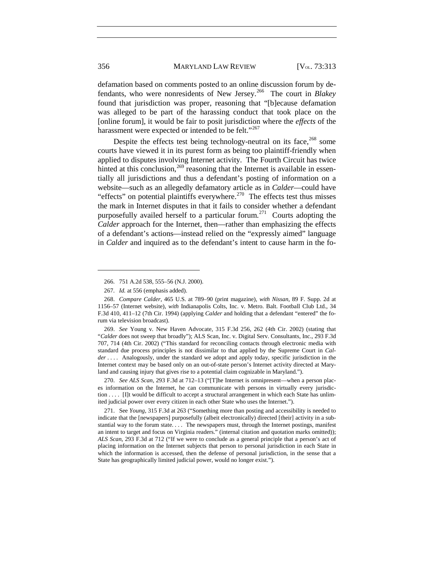defamation based on comments posted to an online discussion forum by defendants, who were nonresidents of New Jersey.[266](#page-44-2) The court in *Blakey* found that jurisdiction was proper, reasoning that "[b]ecause defamation was alleged to be part of the harassing conduct that took place on the [online forum], it would be fair to posit jurisdiction where the *effects* of the harassment were expected or intended to be felt."<sup>[267](#page-44-3)</sup>

<span id="page-44-6"></span>Despite the effects test being technology-neutral on its face,  $^{268}$  $^{268}$  $^{268}$  some courts have viewed it in its purest form as being too plaintiff-friendly when applied to disputes involving Internet activity. The Fourth Circuit has twice hinted at this conclusion,  $^{269}$  $^{269}$  $^{269}$  reasoning that the Internet is available in essentially all jurisdictions and thus a defendant's posting of information on a website—such as an allegedly defamatory article as in *Calder*—could have "effects" on potential plaintiffs everywhere.<sup>270</sup> The effects test thus misses the mark in Internet disputes in that it fails to consider whether a defendant purposefully availed herself to a particular forum.<sup>[271](#page-47-1)</sup> Courts adopting the *Calder* approach for the Internet, then—rather than emphasizing the effects of a defendant's actions—instead relied on the "expressly aimed" language in *Calder* and inquired as to the defendant's intent to cause harm in the fo-

270. *See ALS Scan*, 293 F.3d at 712–13 ("[T]he Internet is omnipresent—when a person places information on the Internet, he can communicate with persons in virtually every jurisdiction . . . . [I]t would be difficult to accept a structural arrangement in which each State has unlimited judicial power over every citizen in each other State who uses the Internet.").

<span id="page-44-1"></span><span id="page-44-0"></span>271. See *Young*, 315 F.3d at 263 ("Something more than posting and accessibility is needed to indicate that the [newspapers] purposefully (albeit electronically) directed [their] activity in a substantial way to the forum state. . . . The newspapers must, through the Internet postings, manifest an intent to target and focus on Virginia readers." (internal citation and quotation marks omitted)); *ALS Scan*, 293 F.3d at 712 ("If we were to conclude as a general principle that a person's act of placing information on the Internet subjects that person to personal jurisdiction in each State in which the information is accessed, then the defense of personal jurisdiction, in the sense that a State has geographically limited judicial power, would no longer exist.").

<sup>266.</sup> 751 A.2d 538, 555–56 (N.J. 2000).

<sup>267.</sup> *Id.* at 556 (emphasis added).

<span id="page-44-4"></span><span id="page-44-3"></span><span id="page-44-2"></span><sup>268.</sup> *Compare Calder*, 465 U.S. at 789–90 (print magazine), *with Nissan*, 89 F. Supp. 2d at 1156–57 (Internet website), *with* Indianapolis Colts, Inc. v. Metro. Balt. Football Club Ltd., 34 F.3d 410, 411–12 (7th Cir. 1994) (applying *Calder* and holding that a defendant "entered" the forum via television broadcast).

<span id="page-44-5"></span><sup>269.</sup> *See* Young v. New Haven Advocate, 315 F.3d 256, 262 (4th Cir. 2002) (stating that "*Calder* does not sweep that broadly"); ALS Scan, Inc. v. Digital Serv. Consultants, Inc., 293 F.3d 707, 714 (4th Cir. 2002) ("This standard for reconciling contacts through electronic media with standard due process principles is not dissimilar to that applied by the Supreme Court in *Calder* . . . .Analogously, under the standard we adopt and apply today, specific jurisdiction in the Internet context may be based only on an out-of-state person's Internet activity directed at Maryland and causing injury that gives rise to a potential claim cognizable in Maryland.").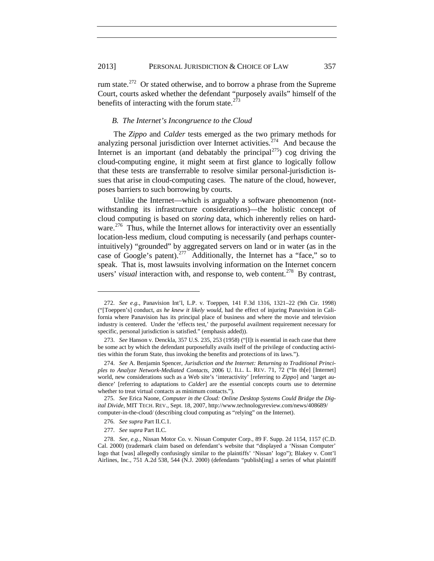rum state.[272](#page-45-2) Or stated otherwise, and to borrow a phrase from the Supreme Court, courts asked whether the defendant "purposely avails" himself of the benefits of interacting with the forum state. $273$ 

## *B. The Internet's Incongruence to the Cloud*

The *Zippo* and *Calder* tests emerged as the two primary methods for analyzing personal jurisdiction over Internet activities.<sup> $274$ </sup> And because the Internet is an important (and debatably the principal<sup>275</sup>) cog driving the cloud-computing engine, it might seem at first glance to logically follow that these tests are transferrable to resolve similar personal-jurisdiction issues that arise in cloud-computing cases. The nature of the cloud, however, poses barriers to such borrowing by courts.

Unlike the Internet—which is arguably a software phenomenon (notwithstanding its infrastructure considerations)—the holistic concept of cloud computing is based on *storing* data, which inherently relies on hard-ware.<sup>[276](#page-48-0)</sup> Thus, while the Internet allows for interactivity over an essentially location-less medium, cloud computing is necessarily (and perhaps counterintuitively) "grounded" by aggregated servers on land or in water (as in the case of Google's patent).<sup>277</sup> Additionally, the Internet has a "face," so to speak. That is, most lawsuits involving information on the Internet concern users' *visual* interaction with, and response to, web content.<sup>[278](#page-48-2)</sup> By contrast,

277. *See supra* Part II.C.

<span id="page-45-2"></span><sup>272.</sup> *See e.g.*, Panavision Int'l, L.P. v. Toeppen, 141 F.3d 1316, 1321–22 (9th Cir. 1998) ("[Toeppen's] conduct, *as he knew it likely would*, had the effect of injuring Panavision in California where Panavision has its principal place of business and where the movie and television industry is centered. Under the 'effects test,' the purposeful availment requirement necessary for specific, personal jurisdiction is satisfied." (emphasis added)).

<span id="page-45-3"></span><sup>273.</sup> *See* Hanson v. Denckla, 357 U.S. 235, 253 (1958) ("[I]t is essential in each case that there be some act by which the defendant purposefully avails itself of the privilege of conducting activities within the forum State, thus invoking the benefits and protections of its laws.").

<span id="page-45-4"></span><sup>274.</sup> *See* A. Benjamin Spencer, *Jurisdiction and the Internet: Returning to Traditional Principles to Analyze Network-Mediated Contacts*, 2006 U. ILL. L. REV. 71, 72 ("In th[e] [Internet] world, new considerations such as a Web site's 'interactivity' [referring to *Zippo*] and 'target audience' [referring to adaptations to *Calder*] are the essential concepts courts use to determine whether to treat virtual contacts as minimum contacts.").

<span id="page-45-5"></span><span id="page-45-1"></span><span id="page-45-0"></span><sup>275.</sup> *See* Erica Naone, *Computer in the Cloud: Online Desktop Systems Could Bridge the Digital Divide*, MIT TECH. REV., Sept. 18, 2007, http://www.technologyreview.com/news/408689/ computer-in-the-cloud/ (describing cloud computing as "relying" on the Internet).

<sup>276.</sup> *See supra* Part II.C.1.

<sup>278.</sup> *See, e.g.*, Nissan Motor Co. v. Nissan Computer Corp., 89 F. Supp. 2d 1154, 1157 (C.D. Cal. 2000) (trademark claim based on defendant's website that "displayed a 'Nissan Computer' logo that [was] allegedly confusingly similar to the plaintiffs' 'Nissan' logo"); Blakey v. Cont'l Airlines, Inc., 751 A.2d 538, 544 (N.J. 2000) (defendants "publish[ing] a series of what plaintiff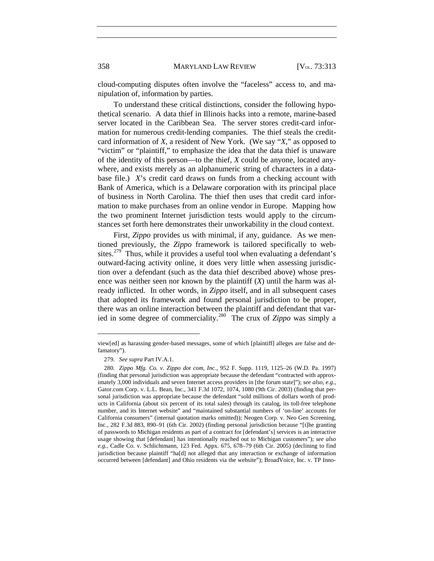cloud-computing disputes often involve the "faceless" access to, and manipulation of, information by parties.

To understand these critical distinctions, consider the following hypothetical scenario. A data thief in Illinois hacks into a remote, marine-based server located in the Caribbean Sea. The server stores credit-card information for numerous credit-lending companies. The thief steals the creditcard information of *X*, a resident of New York. (We say "*X*," as opposed to "victim" or "plaintiff," to emphasize the idea that the data thief is unaware of the identity of this person—to the thief, *X* could be anyone, located anywhere, and exists merely as an alphanumeric string of characters in a database file.) *X*'s credit card draws on funds from a checking account with Bank of America, which is a Delaware corporation with its principal place of business in North Carolina. The thief then uses that credit card information to make purchases from an online vendor in Europe. Mapping how the two prominent Internet jurisdiction tests would apply to the circumstances set forth here demonstrates their unworkability in the cloud context.

First, *Zippo* provides us with minimal, if any, guidance. As we mentioned previously, the *Zippo* framework is tailored specifically to web-sites.<sup>[279](#page-49-0)</sup> Thus, while it provides a useful tool when evaluating a defendant's outward-facing activity online, it does very little when assessing jurisdiction over a defendant (such as the data thief described above) whose presence was neither seen nor known by the plaintiff (*X*) until the harm was already inflicted. In other words, in *Zippo* itself, and in all subsequent cases that adopted its framework and found personal jurisdiction to be proper, there was an online interaction between the plaintiff and defendant that varied in some degree of commerciality.[280](#page-49-1) The crux of *Zippo* was simply a

view[ed] as harassing gender-based messages, some of which [plaintiff] alleges are false and defamatory").

<sup>279.</sup> *See supra* Part IV.A.1.

<span id="page-46-2"></span><span id="page-46-1"></span><span id="page-46-0"></span><sup>280.</sup> *Zippo Mfg. Co. v. Zippo dot com, Inc.*, 952 F. Supp. 1119, 1125–26 (W.D. Pa. 1997) (finding that personal jurisdiction was appropriate because the defendant "contracted with approximately 3,000 individuals and seven Internet access providers in [the forum state]"); *see also, e.g.*, Gator.com Corp. v. L.L. Bean, Inc., 341 F.3d 1072, 1074, 1080 (9th Cir. 2003) (finding that personal jurisdiction was appropriate because the defendant "sold millions of dollars worth of products in California (about six percent of its total sales) through its catalog, its toll-free telephone number, and its Internet website" and "maintained substantial numbers of 'on-line' accounts for California consumers" (internal quotation marks omitted)); Neogen Corp. v. Neo Gen Screening, Inc., 282 F.3d 883, 890–91 (6th Cir. 2002) (finding personal jurisdiction because "[t]he granting of passwords to Michigan residents as part of a contract for [defendant's] services is an interactive usage showing that [defendant] has intentionally reached out to Michigan customers"); *see also e.g.*, Cadle Co. v. Schlichtmann, 123 Fed. Appx. 675, 678–79 (6th Cir. 2005) (declining to find jurisdiction because plaintiff "ha[d] not alleged that any interaction or exchange of information occurred between [defendant] and Ohio residents via the website"); BroadVoice, Inc. v. TP Inno-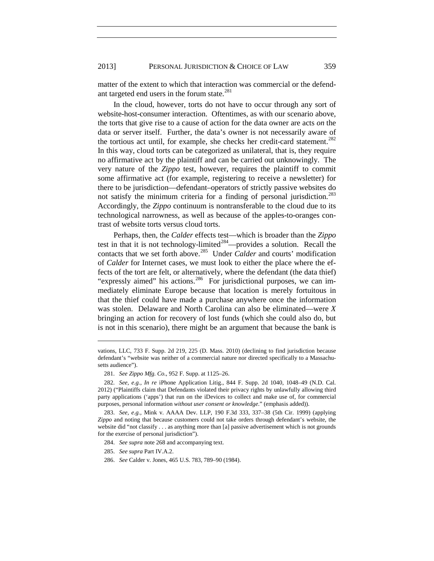matter of the extent to which that interaction was commercial or the defend-ant targeted end users in the forum state.<sup>[281](#page-47-2)</sup>

In the cloud, however, torts do not have to occur through any sort of website-host-consumer interaction. Oftentimes, as with our scenario above, the torts that give rise to a cause of action for the data owner are acts *on* the data or server itself. Further, the data's owner is not necessarily aware of the tortious act until, for example, she checks her credit-card statement.<sup>[282](#page-47-3)</sup> In this way, cloud torts can be categorized as unilateral, that is, they require no affirmative act by the plaintiff and can be carried out unknowingly. The very nature of the *Zippo* test, however, requires the plaintiff to commit some affirmative act (for example, registering to receive a newsletter) for there to be jurisdiction—defendant–operators of strictly passive websites do not satisfy the minimum criteria for a finding of personal jurisdiction.<sup>[283](#page-50-0)</sup> Accordingly, the *Zippo* continuum is nontransferable to the cloud due to its technological narrowness, as well as because of the apples-to-oranges contrast of website torts versus cloud torts.

Perhaps, then, the *Calder* effects test—which is broader than the *Zippo* test in that it is not technology-limited<sup>[284](#page-50-1)</sup>—provides a solution. Recall the contacts that we set forth above.<sup>[285](#page-50-2)</sup> Under *Calder* and courts' modification of *Calder* for Internet cases, we must look to either the place where the effects of the tort are felt, or alternatively, where the defendant (the data thief) "expressly aimed" his actions.<sup>[286](#page-50-3)</sup> For jurisdictional purposes, we can immediately eliminate Europe because that location is merely fortuitous in that the thief could have made a purchase anywhere once the information was stolen. Delaware and North Carolina can also be eliminated—were *X* bringing an action for recovery of lost funds (which she could also do, but is not in this scenario), there might be an argument that because the bank is

- 284. *See supra* not[e 268](#page-44-6) and accompanying text.
- 285. *See supra* Part IV.A.2.

 $\overline{a}$ 

286. *See* Calder v. Jones, 465 U.S. 783, 789–90 (1984).

vations, LLC, 733 F. Supp. 2d 219, 225 (D. Mass. 2010) (declining to find jurisdiction because defendant's "website was neither of a commercial nature nor directed specifically to a Massachusetts audience").

<sup>281.</sup> *See Zippo Mfg. Co.*, 952 F. Supp. at 1125–26.

<span id="page-47-3"></span><span id="page-47-2"></span><span id="page-47-0"></span><sup>282.</sup> *See, e.g.*, *In re* iPhone Application Litig., 844 F. Supp. 2d 1040, 1048–49 (N.D. Cal. 2012) ("Plaintiffs claim that Defendants violated their privacy rights by unlawfully allowing third party applications ('apps') that run on the iDevices to collect and make use of, for commercial purposes, personal information *without user consent or knowledge*." (emphasis added)).

<span id="page-47-1"></span><sup>283.</sup> *See, e.g.*, Mink v. AAAA Dev. LLP, 190 F.3d 333, 337–38 (5th Cir. 1999) (applying *Zippo* and noting that because customers could not take orders through defendant's website, the website did "not classify . . . as anything more than [a] passive advertisement which is not grounds for the exercise of personal jurisdiction").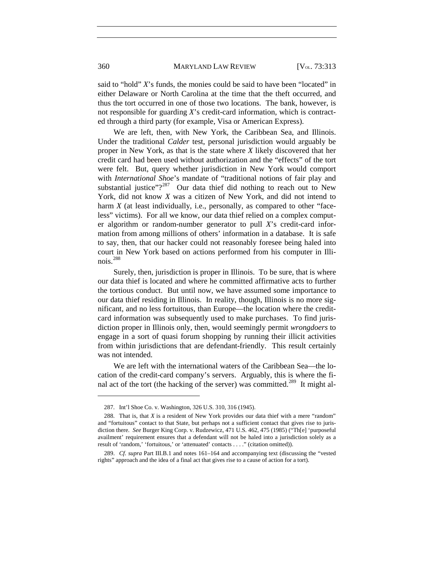### 360 MARYLAND LAW REVIEW [V<sub>OL.</sub> 73:313

said to "hold" *X*'s funds, the monies could be said to have been "located" in either Delaware or North Carolina at the time that the theft occurred, and thus the tort occurred in one of those two locations. The bank, however, is not responsible for guarding *X*'s credit-card information, which is contracted through a third party (for example, Visa or American Express).

We are left, then, with New York, the Caribbean Sea, and Illinois. Under the traditional *Calder* test, personal jurisdiction would arguably be proper in New York, as that is the state where *X* likely discovered that her credit card had been used without authorization and the "effects" of the tort were felt. But, query whether jurisdiction in New York would comport with *International Shoe*'s mandate of "traditional notions of fair play and substantial justice"? $287$  Our data thief did nothing to reach out to New York, did not know *X* was a citizen of New York, and did not intend to harm *X* (at least individually, i.e., personally, as compared to other "faceless" victims). For all we know, our data thief relied on a complex computer algorithm or random-number generator to pull *X*'s credit-card information from among millions of others' information in a database. It is safe to say, then, that our hacker could not reasonably foresee being haled into court in New York based on actions performed from his computer in Illinois.[288](#page-51-0)

Surely, then, jurisdiction is proper in Illinois. To be sure, that is where our data thief is located and where he committed affirmative acts to further the tortious conduct. But until now, we have assumed some importance to our data thief residing in Illinois. In reality, though, Illinois is no more significant, and no less fortuitous, than Europe—the location where the creditcard information was subsequently used to make purchases. To find jurisdiction proper in Illinois only, then, would seemingly permit *wrongdoers* to engage in a sort of quasi forum shopping by running their illicit activities from within jurisdictions that are defendant-friendly. This result certainly was not intended.

We are left with the international waters of the Caribbean Sea—the location of the credit-card company's servers. Arguably, this is where the final act of the tort (the hacking of the server) was committed.<sup>289</sup> It might al-

<sup>287.</sup> Int'l Shoe Co. v. Washington, 326 U.S. 310, 316 (1945).

<span id="page-48-3"></span><span id="page-48-1"></span><span id="page-48-0"></span><sup>288.</sup> That is, that *X* is a resident of New York provides our data thief with a mere "random" and "fortuitous" contact to that State, but perhaps not a sufficient contact that gives rise to jurisdiction there. *See* Burger King Corp. v. Rudzewicz, 471 U.S. 462, 475 (1985) ("Th[e] 'purposeful availment' requirement ensures that a defendant will not be haled into a jurisdiction solely as a result of 'random,' 'fortuitous,' or 'attenuated' contacts . . . ." (citation omitted)).

<span id="page-48-2"></span><sup>289.</sup> *Cf. supra* Part III.B.1 and notes [161–](#page-29-0)[164](#page-29-1) and accompanying text (discussing the "vested rights" approach and the idea of a final act that gives rise to a cause of action for a tort).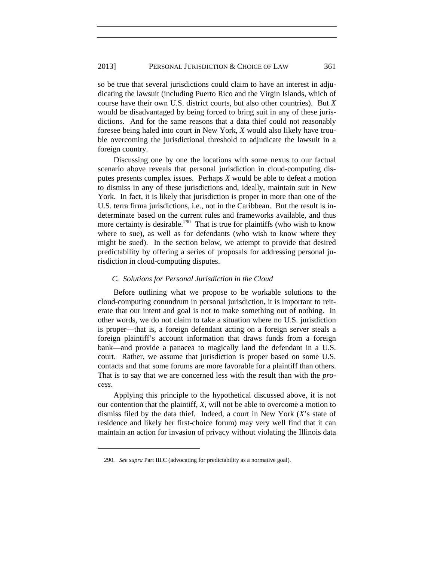### 2013] PERSONAL JURISDICTION & CHOICE OF LAW 361

so be true that several jurisdictions could claim to have an interest in adjudicating the lawsuit (including Puerto Rico and the Virgin Islands, which of course have their own U.S. district courts, but also other countries). But *X* would be disadvantaged by being forced to bring suit in any of these jurisdictions. And for the same reasons that a data thief could not reasonably foresee being haled into court in New York, *X* would also likely have trouble overcoming the jurisdictional threshold to adjudicate the lawsuit in a foreign country.

Discussing one by one the locations with some nexus to our factual scenario above reveals that personal jurisdiction in cloud-computing disputes presents complex issues. Perhaps *X* would be able to defeat a motion to dismiss in any of these jurisdictions and, ideally, maintain suit in New York. In fact, it is likely that jurisdiction is proper in more than one of the U.S. terra firma jurisdictions, i.e., not in the Caribbean. But the result is indeterminate based on the current rules and frameworks available, and thus more certainty is desirable.<sup>[290](#page-52-0)</sup> That is true for plaintiffs (who wish to know where to sue), as well as for defendants (who wish to know where they might be sued). In the section below, we attempt to provide that desired predictability by offering a series of proposals for addressing personal jurisdiction in cloud-computing disputes.

### *C. Solutions for Personal Jurisdiction in the Cloud*

Before outlining what we propose to be workable solutions to the cloud-computing conundrum in personal jurisdiction, it is important to reiterate that our intent and goal is not to make something out of nothing. In other words, we do not claim to take a situation where no U.S. jurisdiction is proper—that is, a foreign defendant acting on a foreign server steals a foreign plaintiff's account information that draws funds from a foreign bank—and provide a panacea to magically land the defendant in a U.S. court. Rather, we assume that jurisdiction is proper based on some U.S. contacts and that some forums are more favorable for a plaintiff than others. That is to say that we are concerned less with the result than with the *process*.

<span id="page-49-1"></span><span id="page-49-0"></span>Applying this principle to the hypothetical discussed above, it is not our contention that the plaintiff, *X*, will not be able to overcome a motion to dismiss filed by the data thief. Indeed, a court in New York (*X*'s state of residence and likely her first-choice forum) may very well find that it can maintain an action for invasion of privacy without violating the Illinois data

<sup>290.</sup> *See supra* Part III.C (advocating for predictability as a normative goal).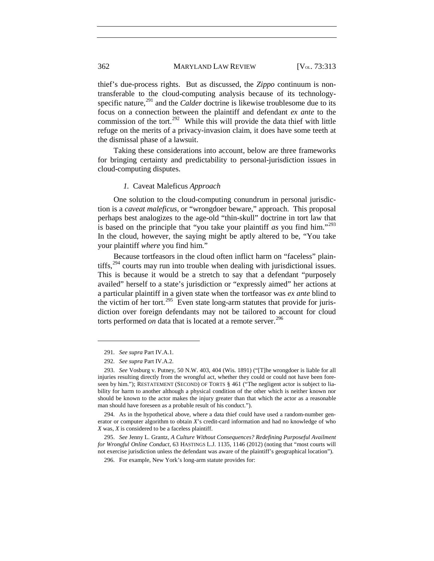### 362 MARYLAND LAW REVIEW [V<sub>OL.</sub> 73:313

thief's due-process rights. But as discussed, the *Zippo* continuum is nontransferable to the cloud-computing analysis because of its technology-specific nature,<sup>[291](#page-50-4)</sup> and the *Calder* doctrine is likewise troublesome due to its focus on a connection between the plaintiff and defendant *ex ante* to the commission of the tort.<sup>[292](#page-50-5)</sup> While this will provide the data thief with little refuge on the merits of a privacy-invasion claim, it does have some teeth at the dismissal phase of a lawsuit.

Taking these considerations into account, below are three frameworks for bringing certainty and predictability to personal-jurisdiction issues in cloud-computing disputes.

### *1.* Caveat Maleficus *Approach*

One solution to the cloud-computing conundrum in personal jurisdiction is a *caveat maleficus*, or "wrongdoer beware," approach. This proposal perhaps best analogizes to the age-old "thin-skull" doctrine in tort law that is based on the principle that "you take your plaintiff *as* you find him."[293](#page-53-0) In the cloud, however, the saying might be aptly altered to be, "You take your plaintiff *where* you find him."

Because tortfeasors in the cloud often inflict harm on "faceless" plain-tiffs,<sup>[294](#page-53-1)</sup> courts may run into trouble when dealing with jurisdictional issues. This is because it would be a stretch to say that a defendant "purposely availed" herself to a state's jurisdiction or "expressly aimed" her actions at a particular plaintiff in a given state when the tortfeasor was *ex ante* blind to the victim of her tort.<sup>[295](#page-53-2)</sup> Even state long-arm statutes that provide for jurisdiction over foreign defendants may not be tailored to account for cloud torts performed *on* data that is located at a remote server.<sup>[296](#page-53-3)</sup>

<span id="page-50-6"></span> $\overline{a}$ 

<span id="page-50-0"></span>294. As in the hypothetical above, where a data thief could have used a random-number generator or computer algorithm to obtain *X*'s credit-card information and had no knowledge of who *X* was, *X* is considered to be a faceless plaintiff.

<span id="page-50-3"></span><span id="page-50-2"></span><span id="page-50-1"></span>295. *See* Jenny L. Grantz, *A Culture Without Consequences? Redefining Purposeful Availment for Wrongful Online Conduct*, 63 HASTINGS L.J. 1135, 1146 (2012) (noting that "most courts will not exercise jurisdiction unless the defendant was aware of the plaintiff's geographical location").

296. For example, New York's long-arm statute provides for:

<span id="page-50-7"></span><sup>291.</sup> *See supra* Part IV.A.1.

<sup>292.</sup> *See supra* Part IV.A.2.

<span id="page-50-5"></span><span id="page-50-4"></span><sup>293.</sup> *See* Vosburg v. Putney, 50 N.W. 403, 404 (Wis. 1891) ("[T]he wrongdoer is liable for all injuries resulting directly from the wrongful act, whether they could or could not have been foreseen by him."); RESTATEMENT (SECOND) OF TORTS § 461 ("The negligent actor is subject to liability for harm to another although a physical condition of the other which is neither known nor should be known to the actor makes the injury greater than that which the actor as a reasonable man should have foreseen as a probable result of his conduct.").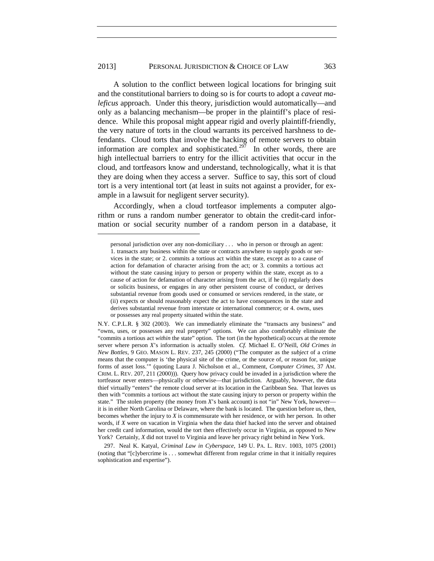### 2013] PERSONAL JURISDICTION & CHOICE OF LAW 363

A solution to the conflict between logical locations for bringing suit and the constitutional barriers to doing so is for courts to adopt a *caveat maleficus* approach. Under this theory, jurisdiction would automatically—and only as a balancing mechanism—be proper in the plaintiff's place of residence. While this proposal might appear rigid and overly plaintiff-friendly, the very nature of torts in the cloud warrants its perceived harshness to defendants. Cloud torts that involve the hacking of remote servers to obtain information are complex and sophisticated.<sup>297</sup> In other words, there are high intellectual barriers to entry for the illicit activities that occur in the cloud, and tortfeasors know and understand, technologically, what it is that they are doing when they access a server. Suffice to say, this sort of cloud tort is a very intentional tort (at least in suits not against a provider, for example in a lawsuit for negligent server security).

Accordingly, when a cloud tortfeasor implements a computer algorithm or runs a random number generator to obtain the credit-card information or social security number of a random person in a database, it

 $\overline{a}$ 

<span id="page-51-1"></span><span id="page-51-0"></span>297. Neal K. Katyal, *Criminal Law in Cyberspace*, 149 U. PA. L. REV. 1003, 1075 (2001) (noting that "[c]ybercrime is . . . somewhat different from regular crime in that it initially requires sophistication and expertise").

personal jurisdiction over any non-domiciliary . . . who in person or through an agent: 1. transacts any business within the state or contracts anywhere to supply goods or services in the state; or 2. commits a tortious act within the state, except as to a cause of action for defamation of character arising from the act; or 3. commits a tortious act without the state causing injury to person or property within the state, except as to a cause of action for defamation of character arising from the act, if he (i) regularly does or solicits business, or engages in any other persistent course of conduct, or derives substantial revenue from goods used or consumed or services rendered, in the state, or (ii) expects or should reasonably expect the act to have consequences in the state and derives substantial revenue from interstate or international commerce; or 4. owns, uses or possesses any real property situated within the state.

N.Y. C.P.L.R. § 302 (2003). We can immediately eliminate the "transacts any business" and "owns, uses, or possesses any real property" options. We can also comfortably eliminate the "commits a tortious act *within* the state" option. The tort (in the hypothetical) occurs at the remote server where person *X*'s information is actually stolen. *Cf.* Michael E. O'Neill, *Old Crimes in New Bottles*, 9 GEO. MASON L. REV. 237, 245 (2000) ("The computer as the *subject* of a crime means that the computer is 'the physical site of the crime, or the source of, or reason for, unique forms of asset loss.'" (quoting Laura J. Nicholson et al., Comment, *Computer Crimes*, 37 AM. CRIM. L. REV. 207, 211 (2000))). Query how privacy could be invaded in a jurisdiction where the tortfeasor never enters—physically or otherwise—that jurisdiction. Arguably, however, the data thief virtually "enters" the remote cloud server at its location in the Caribbean Sea. That leaves us then with "commits a tortious act without the state causing injury to person or property within the state." The stolen property (the money from *X*'s bank account) is not "in" New York, however it is in either North Carolina or Delaware, where the bank is located. The question before us, then, becomes whether the injury to *X* is commensurate with her residence, or with her person. In other words, if *X* were on vacation in Virginia when the data thief hacked into the server and obtained her credit card information, would the tort then effectively occur in Virginia, as opposed to New York? Certainly, *X* did not travel to Virginia and leave her privacy right behind in New York.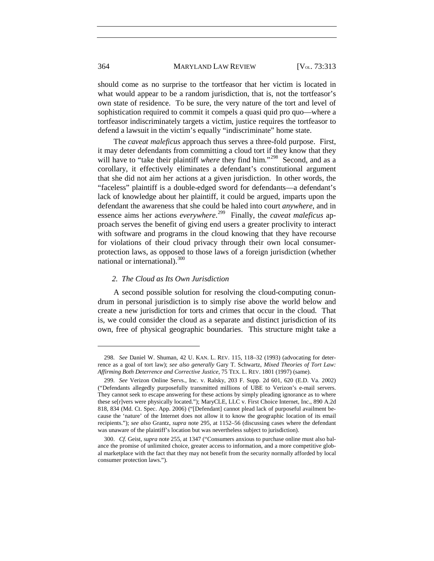### 364 MARYLAND LAW REVIEW [V<sub>OL.</sub> 73:313

should come as no surprise to the tortfeasor that her victim is located in what would appear to be a random jurisdiction, that is, not the tortfeasor's own state of residence. To be sure, the very nature of the tort and level of sophistication required to commit it compels a quasi quid pro quo—where a tortfeasor indiscriminately targets a victim, justice requires the tortfeasor to defend a lawsuit in the victim's equally "indiscriminate" home state.

The *caveat maleficus* approach thus serves a three-fold purpose. First, it may deter defendants from committing a cloud tort if they know that they will have to "take their plaintiff *where* they find him."<sup>[298](#page-55-0)</sup> Second, and as a corollary, it effectively eliminates a defendant's constitutional argument that she did not aim her actions at a given jurisdiction. In other words, the "faceless" plaintiff is a double-edged sword for defendants—a defendant's lack of knowledge about her plaintiff, it could be argued, imparts upon the defendant the awareness that she could be haled into court *anywhere*, and in essence aims her actions *everywhere*. [299](#page-55-1) Finally, the *caveat maleficus* approach serves the benefit of giving end users a greater proclivity to interact with software and programs in the cloud knowing that they have recourse for violations of their cloud privacy through their own local consumerprotection laws, as opposed to those laws of a foreign jurisdiction (whether national or international).<sup>[300](#page-55-2)</sup>

### *2. The Cloud as Its Own Jurisdiction*

A second possible solution for resolving the cloud-computing conundrum in personal jurisdiction is to simply rise above the world below and create a new jurisdiction for torts and crimes that occur in the cloud. That is, we could consider the cloud as a separate and distinct jurisdiction of its own, free of physical geographic boundaries. This structure might take a

<sup>298.</sup> *See* Daniel W. Shuman, 42 U. KAN. L. REV. 115, 118–32 (1993) (advocating for deterrence as a goal of tort law); *see also generally* Gary T. Schwartz, *Mixed Theories of Tort Law: Affirming Both Deterrence and Corrective Justice*, 75 TEX. L. REV. 1801 (1997) (same).

<sup>299.</sup> *See* Verizon Online Servs., Inc. v. Ralsky, 203 F. Supp. 2d 601, 620 (E.D. Va. 2002) ("Defendants allegedly purposefully transmitted millions of UBE to Verizon's e-mail servers. They cannot seek to escape answering for these actions by simply pleading ignorance as to where these se[r]vers were physically located."); MaryCLE, LLC v. First Choice Internet, Inc., 890 A.2d 818, 834 (Md. Ct. Spec. App. 2006) ("[Defendant] cannot plead lack of purposeful availment because the 'nature' of the Internet does not allow it to know the geographic location of its email recipients."); *see also* Grantz, *supra* note [295,](#page-50-6) at 1152–56 (discussing cases where the defendant was unaware of the plaintiff's location but was nevertheless subject to jurisdiction).

<span id="page-52-0"></span><sup>300.</sup> *Cf.* Geist, *supra* not[e 255,](#page-42-7) at 1347 ("Consumers anxious to purchase online must also balance the promise of unlimited choice, greater access to information, and a more competitive global marketplace with the fact that they may not benefit from the security normally afforded by local consumer protection laws.").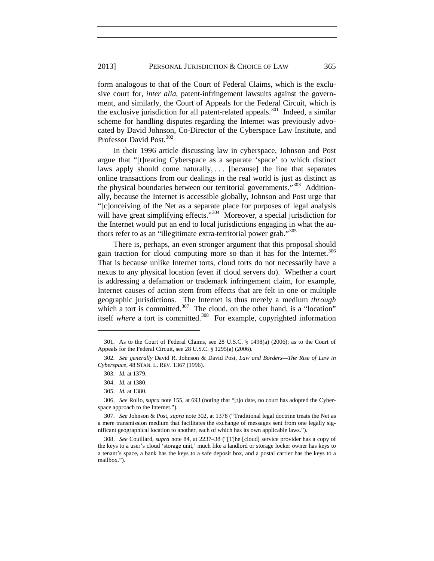form analogous to that of the Court of Federal Claims, which is the exclusive court for, *inter alia*, patent-infringement lawsuits against the government, and similarly, the Court of Appeals for the Federal Circuit, which is the exclusive jurisdiction for all patent-related appeals.<sup>[301](#page-53-5)</sup> Indeed, a similar scheme for handling disputes regarding the Internet was previously advocated by David Johnson, Co-Director of the Cyberspace Law Institute, and Professor David Post.<sup>[302](#page-56-0)</sup>

<span id="page-53-4"></span>In their 1996 article discussing law in cyberspace, Johnson and Post argue that "[t]reating Cyberspace as a separate 'space' to which distinct laws apply should come naturally,  $\ldots$  [because] the line that separates online transactions from our dealings in the real world is just as distinct as the physical boundaries between our territorial governments."<sup>303</sup> Additionally, because the Internet is accessible globally, Johnson and Post urge that "[c]onceiving of the Net as a separate place for purposes of legal analysis will have great simplifying effects."<sup>304</sup> Moreover, a special jurisdiction for the Internet would put an end to local jurisdictions engaging in what the authors refer to as an "illegitimate extra-territorial power grab."[305](#page-56-3)

There is, perhaps, an even stronger argument that this proposal should gain traction for cloud computing more so than it has for the Internet.<sup>[306](#page-56-4)</sup> That is because unlike Internet torts, cloud torts do not necessarily have a nexus to any physical location (even if cloud servers do). Whether a court is addressing a defamation or trademark infringement claim, for example, Internet causes of action stem from effects that are felt in one or multiple geographic jurisdictions. The Internet is thus merely a medium *through* which a tort is committed. $307$  The cloud, on the other hand, is a "location" itself *where* a tort is committed.<sup>308</sup> For example, copyrighted information

<span id="page-53-5"></span><sup>301.</sup> As to the Court of Federal Claims, see 28 U.S.C. § 1498(a) (2006); as to the Court of Appeals for the Federal Circuit, see 28 U.S.C. § 1295(a) (2006).

<span id="page-53-0"></span><sup>302.</sup> *See generally* David R. Johnson & David Post, *Law and Borders—The Rise of Law in Cyberspace*, 48 STAN. L. REV. 1367 (1996).

<sup>303.</sup> *Id.* at 1379.

<sup>304.</sup> *Id.* at 1380.

<sup>305.</sup> *Id.* at 1380.

<sup>306.</sup> *See* Rollo, *supra* not[e 155,](#page-27-0) at 693 (noting that "[t]o date, no court has adopted the Cyberspace approach to the Internet.").

<span id="page-53-1"></span><sup>307.</sup> *See* Johnson & Post, *supra* not[e 302,](#page-53-4) at 1378 ("Traditional legal doctrine treats the Net as a mere transmission medium that facilitates the exchange of messages sent from one legally significant geographical location to another, each of which has its own applicable laws.").

<span id="page-53-3"></span><span id="page-53-2"></span><sup>308.</sup> *See* Couillard, *supra* note [84,](#page-17-0) at 2237–38 ("[T]he [cloud] service provider has a copy of the keys to a user's cloud 'storage unit,' much like a landlord or storage locker owner has keys to a tenant's space, a bank has the keys to a safe deposit box, and a postal carrier has the keys to a mailbox.").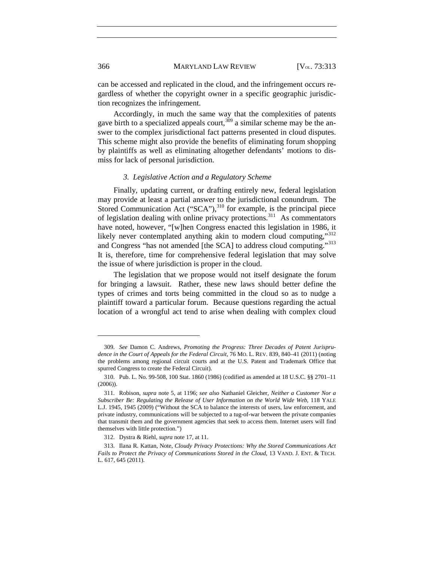can be accessed and replicated in the cloud, and the infringement occurs regardless of whether the copyright owner in a specific geographic jurisdiction recognizes the infringement.

Accordingly, in much the same way that the complexities of patents gave birth to a specialized appeals court,  $309$  a similar scheme may be the answer to the complex jurisdictional fact patterns presented in cloud disputes. This scheme might also provide the benefits of eliminating forum shopping by plaintiffs as well as eliminating altogether defendants' motions to dismiss for lack of personal jurisdiction.

### *3. Legislative Action and a Regulatory Scheme*

Finally, updating current, or drafting entirely new, federal legislation may provide at least a partial answer to the jurisdictional conundrum. The Stored Communication Act  $("SCA")$ ,<sup>[310](#page-57-1)</sup> for example, is the principal piece of legislation dealing with online privacy protections.<sup>311</sup> As commentators have noted, however, "[w]hen Congress enacted this legislation in 1986, it likely never contemplated anything akin to modern cloud computing,"<sup>[312](#page-57-3)</sup> and Congress "has not amended [the SCA] to address cloud computing."[313](#page-57-4) It is, therefore, time for comprehensive federal legislation that may solve the issue of where jurisdiction is proper in the cloud.

The legislation that we propose would not itself designate the forum for bringing a lawsuit. Rather, these new laws should better define the types of crimes and torts being committed in the cloud so as to nudge a plaintiff toward a particular forum. Because questions regarding the actual location of a wrongful act tend to arise when dealing with complex cloud

<sup>309.</sup> *See* Damon C. Andrews, *Promoting the Progress: Three Decades of Patent Jurisprudence in the Court of Appeals for the Federal Circuit*, 76 MO. L. REV. 839, 840–41 (2011) (noting the problems among regional circuit courts and at the U.S. Patent and Trademark Office that spurred Congress to create the Federal Circuit).

<sup>310.</sup> Pub. L. No. 99-508, 100 Stat. 1860 (1986) (codified as amended at 18 U.S.C. §§ 2701–11 (2006)).

<sup>311.</sup> Robison, *supra* note [5,](#page-2-0) at 1196; *see also* Nathaniel Gleicher, *Neither a Customer Nor a Subscriber Be: Regulating the Release of User Information on the World Wide Web*, 118 YALE L.J. 1945, 1945 (2009) ("Without the SCA to balance the interests of users, law enforcement, and private industry, communications will be subjected to a tug-of-war between the private companies that transmit them and the government agencies that seek to access them. Internet users will find themselves with little protection.")

<sup>312.</sup> Dystra & Riehl, *supra* not[e 17,](#page-4-0) at 11.

<span id="page-54-0"></span><sup>313.</sup> Ilana R. Kattan, Note, *Cloudy Privacy Protections: Why the Stored Communications Act Fails to Protect the Privacy of Communications Stored in the Cloud*, 13 VAND. J. ENT. & TECH. L. 617, 645 (2011).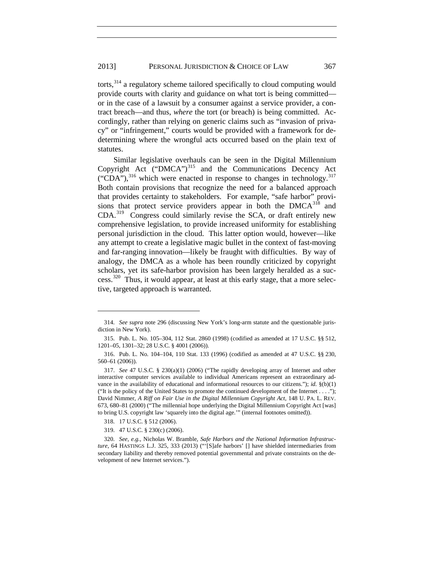torts,<sup>[314](#page-55-3)</sup> a regulatory scheme tailored specifically to cloud computing would provide courts with clarity and guidance on what tort is being committed or in the case of a lawsuit by a consumer against a service provider, a contract breach—and thus, *where* the tort (or breach) is being committed. Accordingly, rather than relying on generic claims such as "invasion of privacy" or "infringement," courts would be provided with a framework for dedetermining where the wrongful acts occurred based on the plain text of statutes.

Similar legislative overhauls can be seen in the Digital Millennium Copyright Act ("DMCA") $^{315}$  $^{315}$  $^{315}$  and the Communications Decency Act ("CDA"), $^{316}$  $^{316}$  $^{316}$  which were enacted in response to changes in technology. $^{317}$  $^{317}$  $^{317}$ Both contain provisions that recognize the need for a balanced approach that provides certainty to stakeholders. For example, "safe harbor" provisions that protect service providers appear in both the  $DMCA^{318}$  $DMCA^{318}$  $DMCA^{318}$  and CDA.[319](#page-58-4) Congress could similarly revise the SCA, or draft entirely new comprehensive legislation, to provide increased uniformity for establishing personal jurisdiction in the cloud. This latter option would, however—like any attempt to create a legislative magic bullet in the context of fast-moving and far-ranging innovation—likely be fraught with difficulties. By way of analogy, the DMCA as a whole has been roundly criticized by copyright scholars, yet its safe-harbor provision has been largely heralded as a suc-cess.<sup>[320](#page-58-5)</sup> Thus, it would appear, at least at this early stage, that a more selective, targeted approach is warranted.

<span id="page-55-3"></span><sup>314.</sup> *See supra* note [296](#page-50-7) (discussing New York's long-arm statute and the questionable jurisdiction in New York).

<sup>315.</sup> Pub. L. No. 105–304, 112 Stat. 2860 (1998) (codified as amended at 17 U.S.C. §§ 512, 1201–05, 1301–32; 28 U.S.C. § 4001 (2006)).

<span id="page-55-0"></span><sup>316.</sup> Pub. L. No. 104–104, 110 Stat. 133 (1996) (codified as amended at 47 U.S.C. §§ 230, 560–61 (2006)).

<span id="page-55-1"></span><sup>317.</sup> *See* 47 U.S.C. § 230(a)(1) (2006) ("The rapidly developing array of Internet and other interactive computer services available to individual Americans represent an extraordinary advance in the availability of educational and informational resources to our citizens."); *id.* §(b)(1) ("It is the policy of the United States to promote the continued development of the Internet  $\dots$ "); David Nimmer, *A Riff on Fair Use in the Digital Millennium Copyright Act*, 148 U. PA. L. REV. 673, 680–81 (2000) ("The millennial hope underlying the Digital Millennium Copyright Act [was] to bring U.S. copyright law 'squarely into the digital age.'" (internal footnotes omitted)).

<sup>318.</sup> 17 U.S.C. § 512 (2006).

<sup>319.</sup> 47 U.S.C. § 230(c) (2006).

<span id="page-55-2"></span><sup>320.</sup> *See, e.g.*, Nicholas W. Bramble, *Safe Harbors and the National Information Infrastructure*, 64 HASTINGS L.J. 325, 333 (2013) ("'[S]afe harbors' [] have shielded intermediaries from secondary liability and thereby removed potential governmental and private constraints on the development of new Internet services.").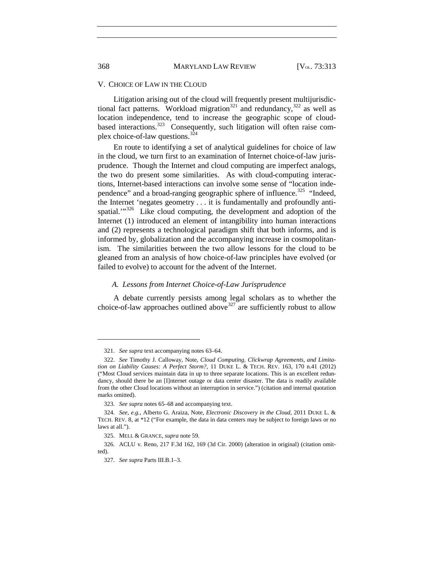### V. CHOICE OF LAW IN THE CLOUD

Litigation arising out of the cloud will frequently present multijurisdic-tional fact patterns. Workload migration<sup>[321](#page-59-0)</sup> and redundancy,  $322$  as well as location independence, tend to increase the geographic scope of cloud-based interactions.<sup>[323](#page-59-2)</sup> Consequently, such litigation will often raise complex choice-of-law questions.[324](#page-59-3)

En route to identifying a set of analytical guidelines for choice of law in the cloud, we turn first to an examination of Internet choice-of-law jurisprudence. Though the Internet and cloud computing are imperfect analogs, the two do present some similarities. As with cloud-computing interactions, Internet-based interactions can involve some sense of "location inde-pendence" and a broad-ranging geographic sphere of influence.<sup>[325](#page-59-4)</sup> "Indeed, the Internet 'negates geometry . . . it is fundamentally and profoundly antispatial. $1^{1.326}$  $1^{1.326}$  $1^{1.326}$  Like cloud computing, the development and adoption of the Internet (1) introduced an element of intangibility into human interactions and (2) represents a technological paradigm shift that both informs, and is informed by, globalization and the accompanying increase in cosmopolitanism. The similarities between the two allow lessons for the cloud to be gleaned from an analysis of how choice-of-law principles have evolved (or failed to evolve) to account for the advent of the Internet.

## *A. Lessons from Internet Choice-of-Law Jurisprudence*

A debate currently persists among legal scholars as to whether the choice-of-law approaches outlined above  $327$  are sufficiently robust to allow

<sup>321.</sup> *See supra* text accompanying notes [63–](#page-13-1)[64.](#page-13-2)

<span id="page-56-2"></span><span id="page-56-1"></span><span id="page-56-0"></span><sup>322.</sup> *See* Timothy J. Calloway, Note, *Cloud Computing, Clickwrap Agreements, and Limitation on Liability Causes: A Perfect Storm?*, 11 DUKE L. & TECH. REV. 163, 170 n.41 (2012) ("Most Cloud services maintain data in up to three separate locations. This is an excellent redundancy, should there be an [I]nternet outage or data center disaster. The data is readily available from the other Cloud locations without an interruption in service.") (citation and internal quotation marks omitted).

<sup>323.</sup> *See supra* note[s 65](#page-13-3)[–68](#page-14-0) and accompanying text.

<span id="page-56-5"></span><span id="page-56-4"></span><span id="page-56-3"></span><sup>324.</sup> *See, e.g.*, Alberto G. Araiza, Note, *Electronic Discovery in the Cloud*, 2011 DUKE L. & TECH. REV. 8, at \*12 ("For example, the data in data centers may be subject to foreign laws or no laws at all.").

<sup>325.</sup> MELL & GRANCE, *supra* note [59.](#page-13-0)

<span id="page-56-6"></span><sup>326.</sup> ACLU v. Reno, 217 F.3d 162, 169 (3d Cir. 2000) (alteration in original) (citation omitted).

<sup>327.</sup> *See supra* Parts III.B.1–3.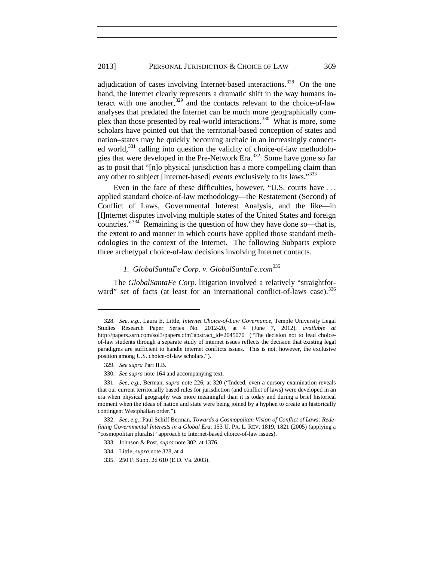<span id="page-57-5"></span>adjudication of cases involving Internet-based interactions.<sup>328</sup> On the one hand, the Internet clearly represents a dramatic shift in the way humans interact with one another, $329$  and the contacts relevant to the choice-of-law analyses that predated the Internet can be much more geographically complex than those presented by real-world interactions.[330](#page-60-2) What is more, some scholars have pointed out that the territorial-based conception of states and nation–states may be quickly becoming archaic in an increasingly connected world, $331$  calling into question the validity of choice-of-law methodologies that were developed in the Pre-Network Era.[332](#page-60-4) Some have gone so far as to posit that "[n]o physical jurisdiction has a more compelling claim than any other to subject [Internet-based] events exclusively to its laws."<sup>[333](#page-60-5)</sup>

<span id="page-57-6"></span>Even in the face of these difficulties, however, "U.S. courts have ... applied standard choice-of-law methodology—the Restatement (Second) of Conflict of Laws, Governmental Interest Analysis, and the like—in [I]nternet disputes involving multiple states of the United States and foreign countries." $334$  Remaining is the question of how they have done so—that is, the extent to and manner in which courts have applied those standard methodologies in the context of the Internet. The following Subparts explore three archetypal choice-of-law decisions involving Internet contacts.

# *1. GlobalSantaFe Corp. v. GlobalSantaFe.com* [335](#page-61-0)

The *GlobalSantaFe Corp.* litigation involved a relatively "straightfor-ward" set of facts (at least for an international conflict-of-laws case).<sup>[336](#page-61-1)</sup>

 $\overline{a}$ 

335. 250 F. Supp. 2d 610 (E.D. Va. 2003).

<span id="page-57-0"></span><sup>328.</sup> *See, e.g.*, Laura E. Little, *Internet Choice-of-Law Governance*, Temple University Legal Studies Research Paper Series No. 2012-20, at 4 (June 7, 2012), *available at* http://papers.ssrn.com/sol3/papers.cfm?abstract\_id=2045070 ("The decision not to lead choiceof-law students through a separate study of internet issues reflects the decision that existing legal paradigms are sufficient to handle internet conflicts issues. This is not, however, the exclusive position among U.S. choice-of-law scholars.").

<sup>329.</sup> *See supra* Part II.B.

<sup>330.</sup> *See supra* not[e 164](#page-29-1) and accompanying text.

<span id="page-57-2"></span><span id="page-57-1"></span><sup>331.</sup> *See, e.g.*, Berman, *supra* note [226,](#page-37-7) at 320 ("Indeed, even a cursory examination reveals that our current territorially based rules for jurisdiction (and conflict of laws) were developed in an era when physical geography was more meaningful than it is today and during a brief historical moment when the ideas of nation and state were being joined by a hyphen to create an historically contingent Westphalian order.").

<span id="page-57-4"></span><span id="page-57-3"></span><sup>332.</sup> *See, e.g.*, Paul Schiff Berman, *Towards a Cosmopolitan Vision of Conflict of Laws: Redefining Governmental Interests in a Global Era*, 153 U. PA. L. REV. 1819, 1821 (2005) (applying a "cosmopolitan pluralist" approach to Internet-based choice-of-law issues).

<sup>333.</sup> Johnson & Post, *supra* note [302,](#page-53-4) at 1376.

<sup>334.</sup> Little, *supra* not[e 328,](#page-57-5) at 4.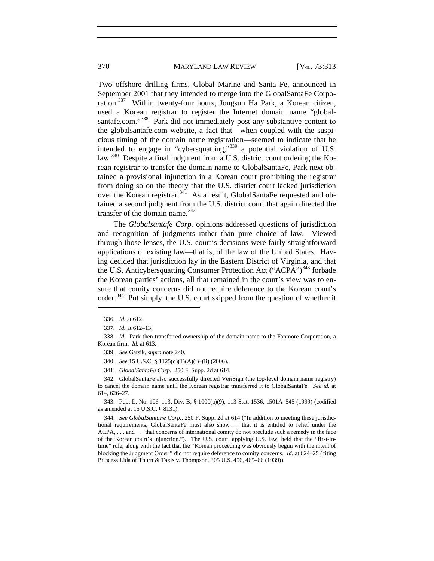### 370 MARYLAND LAW REVIEW [V<sub>OL.</sub> 73:313]

Two offshore drilling firms, Global Marine and Santa Fe, announced in September 2001 that they intended to merge into the GlobalSantaFe Corporation.[337](#page-58-6) Within twenty-four hours, Jongsun Ha Park, a Korean citizen, used a Korean registrar to register the Internet domain name "global-santafe.com."<sup>[338](#page-58-7)</sup> Park did not immediately post any substantive content to the globalsantafe.com website, a fact that—when coupled with the suspicious timing of the domain name registration—seemed to indicate that he intended to engage in "cybersquatting,"<sup>[339](#page-58-8)</sup> a potential violation of U.S. law.<sup>340</sup> Despite a final judgment from a U.S. district court ordering the Korean registrar to transfer the domain name to GlobalSantaFe, Park next obtained a provisional injunction in a Korean court prohibiting the registrar from doing so on the theory that the U.S. district court lacked jurisdiction over the Korean registrar.<sup>[341](#page-58-2)</sup> As a result, GlobalSantaFe requested and obtained a second judgment from the U.S. district court that again directed the transfer of the domain name. $342$ 

The *Globalsantafe Corp.* opinions addressed questions of jurisdiction and recognition of judgments rather than pure choice of law. Viewed through those lenses, the U.S. court's decisions were fairly straightforward applications of existing law—that is, of the law of the United States. Having decided that jurisdiction lay in the Eastern District of Virginia, and that the U.S. Anticybersquatting Consumer Protection Act ("ACPA")<sup>[343](#page-58-11)</sup> forbade the Korean parties' actions, all that remained in the court's view was to ensure that comity concerns did not require deference to the Korean court's order.<sup>344</sup> Put simply, the U.S. court skipped from the question of whether it

 $\overline{a}$ 

<span id="page-58-10"></span><span id="page-58-9"></span><span id="page-58-2"></span>342. GlobalSantaFe also successfully directed VeriSign (the top-level domain name registry) to cancel the domain name until the Korean registrar transferred it to GlobalSantaFe. *See id.* at 614, 626–27.

<span id="page-58-11"></span>343. Pub. L. No. 106–113, Div. B, § 1000(a)(9), 113 Stat. 1536, 1501A–545 (1999) (codified as amended at 15 U.S.C. § 8131).

<span id="page-58-5"></span><span id="page-58-4"></span><span id="page-58-3"></span>344. *See GlobalSantaFe Corp.*, 250 F. Supp. 2d at 614 ("In addition to meeting these jurisdictional requirements, GlobalSantaFe must also show . . . that it is entitled to relief under the ACPA, . . . and . . . that concerns of international comity do not preclude such a remedy in the face of the Korean court's injunction."). The U.S. court, applying U.S. law, held that the "first-intime" rule, along with the fact that the "Korean proceeding was obviously begun with the intent of blocking the Judgment Order," did not require deference to comity concerns. *Id.* at 624–25 (citing Princess Lida of Thurn & Taxis v. Thompson, 305 U.S. 456, 465–66 (1939)).

<sup>336.</sup> *Id.* at 612.

<sup>337.</sup> *Id.* at 612–13.

<span id="page-58-8"></span><span id="page-58-7"></span><span id="page-58-6"></span><span id="page-58-1"></span><span id="page-58-0"></span><sup>338.</sup> *Id.* Park then transferred ownership of the domain name to the Fanmore Corporation, a Korean firm. *Id.* at 613.

<sup>339.</sup> *See* Gatsik, *supra* not[e 240.](#page-40-4)

<sup>340.</sup> *See* 15 U.S.C. § 1125(d)(1)(A)(i)–(ii) (2006).

<sup>341.</sup> *GlobalSantaFe Corp.*, 250 F. Supp. 2d at 614.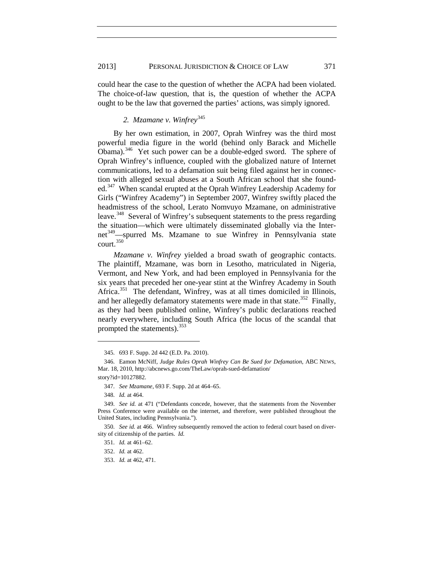could hear the case to the question of whether the ACPA had been violated. The choice-of-law question, that is, the question of whether the ACPA ought to be the law that governed the parties' actions, was simply ignored.

# *2. Mzamane v. Winfrey*[345](#page-59-7)

By her own estimation, in 2007, Oprah Winfrey was the third most powerful media figure in the world (behind only Barack and Michelle Obama).<sup>[346](#page-59-8)</sup> Yet such power can be a double-edged sword. The sphere of Oprah Winfrey's influence, coupled with the globalized nature of Internet communications, led to a defamation suit being filed against her in connection with alleged sexual abuses at a South African school that she founded.[347](#page-59-9) When scandal erupted at the Oprah Winfrey Leadership Academy for Girls ("Winfrey Academy") in September 2007, Winfrey swiftly placed the headmistress of the school, Lerato Nomvuyo Mzamane, on administrative leave.<sup>348</sup> Several of Winfrey's subsequent statements to the press regarding the situation—which were ultimately disseminated globally via the Inter-net<sup>[349](#page-59-2)</sup>—spurred Ms. Mzamane to sue Winfrey in Pennsylvania state court.[350](#page-59-11)

*Mzamane v. Winfrey* yielded a broad swath of geographic contacts. The plaintiff, Mzamane, was born in Lesotho, matriculated in Nigeria, Vermont, and New York, and had been employed in Pennsylvania for the six years that preceded her one-year stint at the Winfrey Academy in South Africa.<sup>351</sup> The defendant, Winfrey, was at all times domiciled in Illinois, and her allegedly defamatory statements were made in that state.<sup>[352](#page-63-1)</sup> Finally, as they had been published online, Winfrey's public declarations reached nearly everywhere, including South Africa (the locus of the scandal that prompted the statements).<sup>[353](#page-63-2)</sup>

<sup>345.</sup> 693 F. Supp. 2d 442 (E.D. Pa. 2010).

<span id="page-59-8"></span><span id="page-59-7"></span><span id="page-59-1"></span><span id="page-59-0"></span><sup>346.</sup> Eamon McNiff, *Judge Rules Oprah Winfrey Can Be Sued for Defamation*, ABC NEWS, Mar. 18, 2010, http://abcnews.go.com/TheLaw/oprah-sued-defamation/ story?id=10127882.

<sup>347.</sup> *See Mzamane*, 693 F. Supp. 2d at 464–65.

<sup>348.</sup> *Id.* at 464.

<span id="page-59-10"></span><span id="page-59-9"></span><span id="page-59-3"></span><span id="page-59-2"></span><sup>349.</sup> *See id.* at 471 ("Defendants concede, however, that the statements from the November Press Conference were available on the internet, and therefore, were published throughout the United States, including Pennsylvania.").

<span id="page-59-11"></span><span id="page-59-6"></span><span id="page-59-5"></span><span id="page-59-4"></span><sup>350.</sup> *See id.* at 466. Winfrey subsequently removed the action to federal court based on diversity of citizenship of the parties. *Id.*

<sup>351.</sup> *Id.* at 461–62.

<sup>352.</sup> *Id.* at 462.

<sup>353.</sup> *Id.* at 462, 471.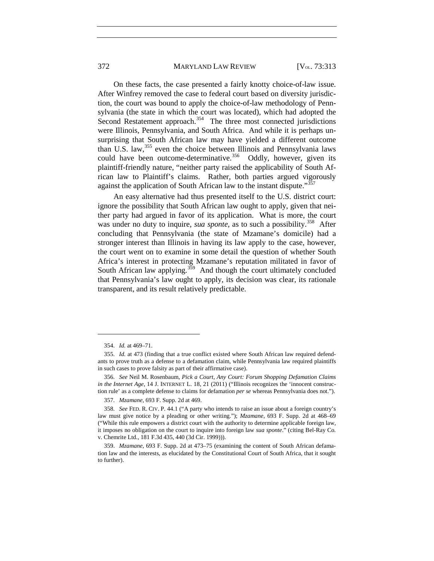### 372 MARYLAND LAW REVIEW [V<sub>OL.</sub> 73:313

On these facts, the case presented a fairly knotty choice-of-law issue. After Winfrey removed the case to federal court based on diversity jurisdiction, the court was bound to apply the choice-of-law methodology of Pennsylvania (the state in which the court was located), which had adopted the Second Restatement approach.<sup>354</sup> The three most connected jurisdictions were Illinois, Pennsylvania, and South Africa. And while it is perhaps unsurprising that South African law may have yielded a different outcome than U.S. law,<sup>[355](#page-60-8)</sup> even the choice between Illinois and Pennsylvania laws could have been outcome-determinative.<sup>356</sup> Oddly, however, given its plaintiff-friendly nature, "neither party raised the applicability of South African law to Plaintiff's claims. Rather, both parties argued vigorously against the application of South African law to the instant dispute."<sup>[357](#page-60-10)</sup>

An easy alternative had thus presented itself to the U.S. district court: ignore the possibility that South African law ought to apply, given that neither party had argued in favor of its application. What is more, the court was under no duty to inquire, *sua sponte*, as to such a possibility.<sup>358</sup> After concluding that Pennsylvania (the state of Mzamane's domicile) had a stronger interest than Illinois in having its law apply to the case, however, the court went on to examine in some detail the question of whether South Africa's interest in protecting Mzamane's reputation militated in favor of South African law applying.<sup> $359$ </sup> And though the court ultimately concluded that Pennsylvania's law ought to apply, its decision was clear, its rationale transparent, and its result relatively predictable.

<sup>354.</sup> *Id.* at 469–71.

<span id="page-60-8"></span><span id="page-60-7"></span><span id="page-60-1"></span><span id="page-60-0"></span><sup>355.</sup> *Id.* at 473 (finding that a true conflict existed where South African law required defendants to prove truth as a defense to a defamation claim, while Pennsylvania law required plaintiffs in such cases to prove falsity as part of their affirmative case).

<span id="page-60-9"></span><span id="page-60-3"></span><span id="page-60-2"></span><sup>356.</sup> *See* Neil M. Rosenbaum, *Pick a Court, Any Court: Forum Shopping Defamation Claims in the Internet Age*, 14 J. INTERNET L. 18, 21 (2011) ("Illinois recognizes the 'innocent construction rule' as a complete defense to claims for defamation *per se* whereas Pennsylvania does not.").

<sup>357.</sup> *Mzamane*, 693 F. Supp. 2d at 469.

<span id="page-60-11"></span><span id="page-60-10"></span><span id="page-60-4"></span><sup>358.</sup> *See* FED. R. CIV. P. 44.1 ("A party who intends to raise an issue about a foreign country's law must give notice by a pleading or other writing."); *Mzamane*, 693 F. Supp. 2d at 468–69 ("While this rule empowers a district court with the authority to determine applicable foreign law, it imposes no obligation on the court to inquire into foreign law *sua sponte*." (citing Bel-Ray Co. v. Chemrite Ltd., 181 F.3d 435, 440 (3d Cir. 1999))).

<span id="page-60-6"></span><span id="page-60-5"></span><sup>359.</sup> *Mzamane*, 693 F. Supp. 2d at 473–75 (examining the content of South African defamation law and the interests, as elucidated by the Constitutional Court of South Africa, that it sought to further).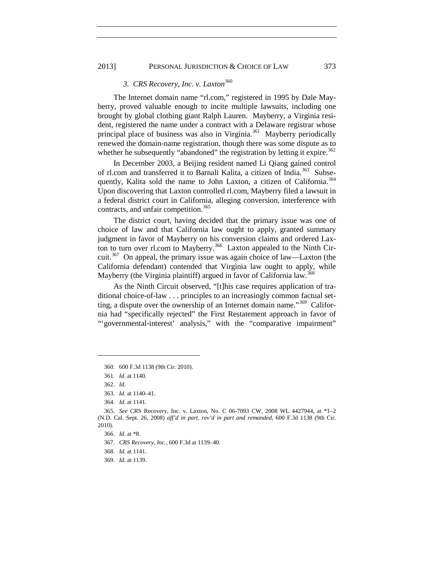## 2013] PERSONAL JURISDICTION & CHOICE OF LAW 373

# *3. CRS Recovery, Inc. v. Laxton*[360](#page-61-2)

The Internet domain name "rl.com," registered in 1995 by Dale Mayberry, proved valuable enough to incite multiple lawsuits, including one brought by global clothing giant Ralph Lauren. Mayberry, a Virginia resident, registered the name under a contract with a Delaware registrar whose principal place of business was also in Virginia.<sup>361</sup> Mayberry periodically renewed the domain-name registration, though there was some dispute as to whether he subsequently "abandoned" the registration by letting it expire.<sup>[362](#page-61-4)</sup>

In December 2003, a Beijing resident named Li Qiang gained control of rl.com and transferred it to Barnali Kalita, a citizen of India.<sup>363</sup> Subse-quently, Kalita sold the name to John Laxton, a citizen of California.<sup>[364](#page-61-6)</sup> Upon discovering that Laxton controlled rl.com, Mayberry filed a lawsuit in a federal district court in California, alleging conversion, interference with contracts, and unfair competition.<sup>[365](#page-61-7)</sup>

The district court, having decided that the primary issue was one of choice of law and that California law ought to apply, granted summary judgment in favor of Mayberry on his conversion claims and ordered Laxton to turn over rl.com to Mayberry.<sup>366</sup> Laxton appealed to the Ninth Cir-cuit.<sup>[367](#page-61-9)</sup> On appeal, the primary issue was again choice of law—Laxton (the California defendant) contended that Virginia law ought to apply, while Mayberry (the Virginia plaintiff) argued in favor of California law.<sup>[368](#page-65-0)</sup>

<span id="page-61-1"></span>As the Ninth Circuit observed, "[t]his case requires application of traditional choice-of-law . . . principles to an increasingly common factual setting, a dispute over the ownership of an Internet domain name."<sup>369</sup> California had "specifically rejected" the First Restatement approach in favor of "'governmental-interest' analysis," with the "comparative impairment"

<span id="page-61-2"></span><sup>360.</sup> 600 F.3d 1138 (9th Cir. 2010).

<sup>361</sup>*. Id.* at 1140.

<sup>362.</sup> *Id.*

<sup>363.</sup> *Id.* at 1140–41.

<sup>364.</sup> *Id.* at 1141.

<span id="page-61-9"></span><span id="page-61-8"></span><span id="page-61-7"></span><span id="page-61-6"></span><span id="page-61-5"></span><span id="page-61-4"></span><span id="page-61-3"></span><sup>365.</sup> *See* CRS Recovery, Inc. v. Laxton, No. C 06-7093 CW, 2008 WL 4427944, at \*1–2 (N.D. Cal. Sept. 26, 2008) *aff'd in part, rev'd in part and remanded*, 600 F.3d 1138 (9th Cir. 2010).

<sup>366.</sup> *Id.* at \*8.

<sup>367.</sup> *CRS Recovery, Inc.*, 600 F.3d at 1139–40.

<span id="page-61-0"></span><sup>368.</sup> *Id.* at 1141.

<sup>369.</sup> *Id.* at 1139.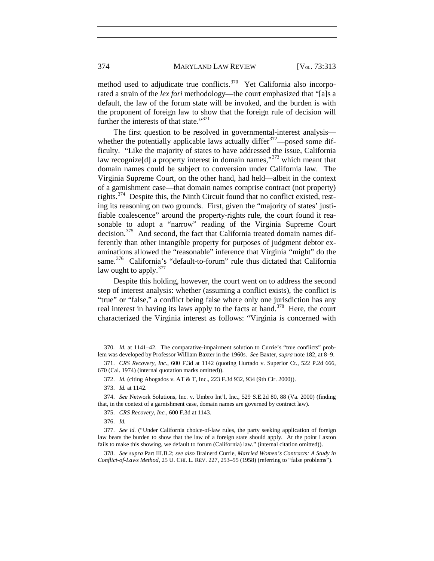method used to adjudicate true conflicts.<sup>[370](#page-62-1)</sup> Yet California also incorporated a strain of the *lex fori* methodology—the court emphasized that "[a]s a default, the law of the forum state will be invoked, and the burden is with the proponent of foreign law to show that the foreign rule of decision will further the interests of that state."<sup>[371](#page-62-2)</sup>

The first question to be resolved in governmental-interest analysis whether the potentially applicable laws actually differ  $372$ —posed some difficulty. "Like the majority of states to have addressed the issue, California law recognize<sup>[d]</sup> a property interest in domain names,<sup>"[373](#page-62-4)</sup> which meant that domain names could be subject to conversion under California law. The Virginia Supreme Court, on the other hand, had held—albeit in the context of a garnishment case—that domain names comprise contract (not property) rights.[374](#page-62-5) Despite this, the Ninth Circuit found that no conflict existed, resting its reasoning on two grounds. First, given the "majority of states' justifiable coalescence" around the property-rights rule, the court found it reasonable to adopt a "narrow" reading of the Virginia Supreme Court decision.<sup>[375](#page-62-6)</sup> And second, the fact that California treated domain names differently than other intangible property for purposes of judgment debtor examinations allowed the "reasonable" inference that Virginia "might" do the same.<sup>[376](#page-66-0)</sup> California's "default-to-forum" rule thus dictated that California law ought to apply.<sup>[377](#page-66-1)</sup>

Despite this holding, however, the court went on to address the second step of interest analysis: whether (assuming a conflict exists), the conflict is "true" or "false," a conflict being false where only one jurisdiction has any real interest in having its laws apply to the facts at hand.<sup>[378](#page-66-2)</sup> Here, the court characterized the Virginia interest as follows: "Virginia is concerned with

<span id="page-62-1"></span><sup>370.</sup> *Id.* at 1141–42. The comparative-impairment solution to Currie's "true conflicts" problem was developed by Professor William Baxter in the 1960s. *See* Baxter, *supra* note [182,](#page-32-0) at 8–9.

<span id="page-62-3"></span><span id="page-62-2"></span><sup>371.</sup> *CRS Recovery, Inc.*, 600 F.3d at 1142 (quoting Hurtado v. Superior Ct., 522 P.2d 666, 670 (Cal. 1974) (internal quotation marks omitted)).

<sup>372.</sup> *Id.* (citing Abogados v. AT & T, Inc., 223 F.3d 932, 934 (9th Cir. 2000)).

<sup>373.</sup> *Id.* at 1142.

<span id="page-62-6"></span><span id="page-62-5"></span><span id="page-62-4"></span><sup>374.</sup> *See* Network Solutions, Inc. v. Umbro Int'l, Inc., 529 S.E.2d 80, 88 (Va. 2000) (finding that, in the context of a garnishment case, domain names are governed by contract law).

<sup>375.</sup> *CRS Recovery, Inc.*, 600 F.3d at 1143.

<sup>376.</sup> *Id.*

<span id="page-62-0"></span><sup>377.</sup> *See id.* ("Under California choice-of-law rules, the party seeking application of foreign law bears the burden to show that the law of a foreign state should apply. At the point Laxton fails to make this showing, we default to forum (California) law." (internal citation omitted)).

<sup>378.</sup> *See supra* Part III.B.2; *see also* Brainerd Currie, *Married Women's Contracts: A Study in Conflict-of-Laws Method*, 25 U. CHI. L. REV. 227, 253–55 (1958) (referring to "false problems").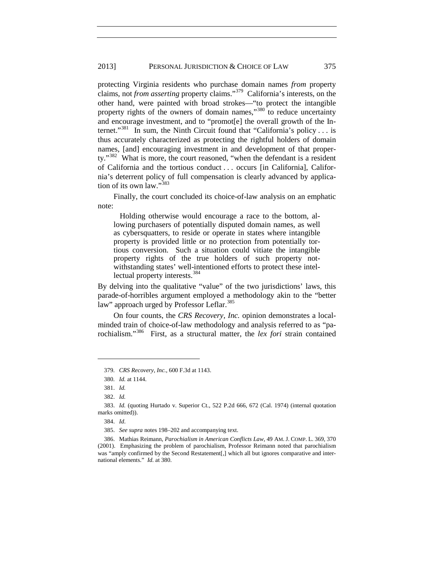protecting Virginia residents who purchase domain names *from* property claims, not *from asserting* property claims."[379](#page-63-3) California's interests, on the other hand, were painted with broad strokes—"to protect the intangible property rights of the owners of domain names,"<sup>[380](#page-63-4)</sup> to reduce uncertainty and encourage investment, and to "promot[e] the overall growth of the Internet."<sup>381</sup> In sum, the Ninth Circuit found that "California's policy . . . is thus accurately characterized as protecting the rightful holders of domain names, [and] encouraging investment in and development of that proper-ty."<sup>[382](#page-63-6)</sup> What is more, the court reasoned, "when the defendant is a resident of California and the tortious conduct . . . occurs [in California], California's deterrent policy of full compensation is clearly advanced by applica-tion of its own law."<sup>[383](#page-63-7)</sup>

Finally, the court concluded its choice-of-law analysis on an emphatic note:

Holding otherwise would encourage a race to the bottom, allowing purchasers of potentially disputed domain names, as well as cybersquatters, to reside or operate in states where intangible property is provided little or no protection from potentially tortious conversion. Such a situation could vitiate the intangible property rights of the true holders of such property notwithstanding states' well-intentioned efforts to protect these intel-lectual property interests.<sup>[384](#page-67-0)</sup>

By delving into the qualitative "value" of the two jurisdictions' laws, this parade-of-horribles argument employed a methodology akin to the "better law" approach urged by Professor Leflar.<sup>[385](#page-67-1)</sup>

On four counts, the *CRS Recovery, Inc.* opinion demonstrates a localminded train of choice-of-law methodology and analysis referred to as "parochialism."[386](#page-67-2) First, as a structural matter, the *lex fori* strain contained

<sup>379.</sup> *CRS Recovery, Inc.*, 600 F.3d at 1143.

<sup>380.</sup> *Id.* at 1144.

<sup>381.</sup> *Id.*

<sup>382.</sup> *Id.*

<span id="page-63-7"></span><span id="page-63-6"></span><span id="page-63-5"></span><span id="page-63-4"></span><span id="page-63-3"></span><sup>383.</sup> *Id.* (quoting Hurtado v. Superior Ct., 522 P.2d 666, 672 (Cal. 1974) (internal quotation marks omitted)).

<sup>384.</sup> *Id*.

<sup>385.</sup> *See supra* note[s 198](#page-34-0)[–202](#page-34-1) and accompanying text.

<span id="page-63-2"></span><span id="page-63-1"></span><span id="page-63-0"></span><sup>386.</sup> Mathias Reimann, *Parochialism in American Conflicts Law*, 49 AM. J. COMP. L. 369, 370 (2001). Emphasizing the problem of parochialism, Professor Reimann noted that parochialism was "amply confirmed by the Second Restatement[,] which all but ignores comparative and international elements." *Id.* at 380.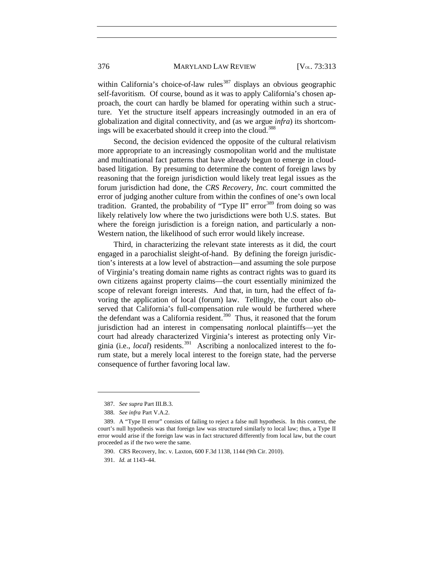### 376 MARYLAND LAW REVIEW [V<sub>OL.</sub> 73:313]

within California's choice-of-law rules<sup>[387](#page-64-1)</sup> displays an obvious geographic self-favoritism. Of course, bound as it was to apply California's chosen approach, the court can hardly be blamed for operating within such a structure. Yet the structure itself appears increasingly outmoded in an era of globalization and digital connectivity, and (as we argue *infra*) its shortcom-ings will be exacerbated should it creep into the cloud.<sup>[388](#page-64-2)</sup>

Second, the decision evidenced the opposite of the cultural relativism more appropriate to an increasingly cosmopolitan world and the multistate and multinational fact patterns that have already begun to emerge in cloudbased litigation. By presuming to determine the content of foreign laws by reasoning that the foreign jurisdiction would likely treat legal issues as the forum jurisdiction had done, the *CRS Recovery, Inc.* court committed the error of judging another culture from within the confines of one's own local tradition. Granted, the probability of "Type II" error<sup>[389](#page-64-3)</sup> from doing so was likely relatively low where the two jurisdictions were both U.S. states. But where the foreign jurisdiction is a foreign nation, and particularly a non-Western nation, the likelihood of such error would likely increase.

Third, in characterizing the relevant state interests as it did, the court engaged in a parochialist sleight-of-hand. By defining the foreign jurisdiction's interests at a low level of abstraction—and assuming the sole purpose of Virginia's treating domain name rights as contract rights was to guard its own citizens against property claims—the court essentially minimized the scope of relevant foreign interests. And that, in turn, had the effect of favoring the application of local (forum) law. Tellingly, the court also observed that California's full-compensation rule would be furthered where the defendant was a California resident.<sup>[390](#page-68-0)</sup> Thus, it reasoned that the forum jurisdiction had an interest in compensating *non*local plaintiffs—yet the court had already characterized Virginia's interest as protecting only Virginia (i.e., *local*) residents.<sup>[391](#page-68-1)</sup> Ascribing a nonlocalized interest to the forum state, but a merely local interest to the foreign state, had the perverse consequence of further favoring local law.

<sup>387.</sup> *See supra* Part III.B.3.

<sup>388.</sup> *See infra* Part V.A.2.

<span id="page-64-3"></span><span id="page-64-2"></span><span id="page-64-1"></span><span id="page-64-0"></span><sup>389.</sup> A "Type II error" consists of failing to reject a false null hypothesis. In this context, the court's null hypothesis was that foreign law was structured similarly to local law; thus, a Type II error would arise if the foreign law was in fact structured differently from local law, but the court proceeded as if the two were the same.

<sup>390.</sup> CRS Recovery, Inc. v. Laxton, 600 F.3d 1138, 1144 (9th Cir. 2010).

<sup>391.</sup> *Id.* at 1143–44.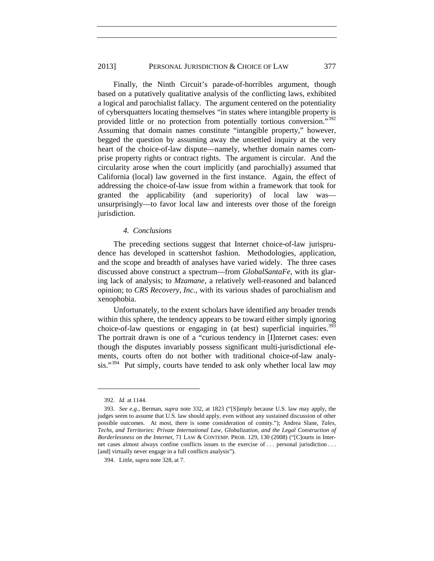## 2013] PERSONAL JURISDICTION & CHOICE OF LAW 377

Finally, the Ninth Circuit's parade-of-horribles argument, though based on a putatively qualitative analysis of the conflicting laws, exhibited a logical and parochialist fallacy. The argument centered on the potentiality of cybersquatters locating themselves "in states where intangible property is provided little or no protection from potentially tortious conversion."[392](#page-65-2) Assuming that domain names constitute "intangible property," however, begged the question by assuming away the unsettled inquiry at the very heart of the choice-of-law dispute—namely, whether domain names comprise property rights or contract rights. The argument is circular. And the circularity arose when the court implicitly (and parochially) assumed that California (local) law governed in the first instance. Again, the effect of addressing the choice-of-law issue from within a framework that took for granted the applicability (and superiority) of local law was unsurprisingly—to favor local law and interests over those of the foreign jurisdiction.

## *4. Conclusions*

The preceding sections suggest that Internet choice-of-law jurisprudence has developed in scattershot fashion. Methodologies, application, and the scope and breadth of analyses have varied widely. The three cases discussed above construct a spectrum—from *GlobalSantaFe*, with its glaring lack of analysis; to *Mzamane*, a relatively well-reasoned and balanced opinion; to *CRS Recovery*, *Inc.*, with its various shades of parochialism and xenophobia.

Unfortunately, to the extent scholars have identified any broader trends within this sphere, the tendency appears to be toward either simply ignoring choice-of-law questions or engaging in (at best) superficial inquiries.<sup>[393](#page-69-0)</sup> The portrait drawn is one of a "curious tendency in [I]nternet cases: even though the disputes invariably possess significant multi-jurisdictional elements, courts often do not bother with traditional choice-of-law analysis."[394](#page-69-1) Put simply, courts have tended to ask only whether local law *may*

<sup>392.</sup> *Id.* at 1144.

<span id="page-65-2"></span><sup>393.</sup> *See e.g.*, Berman, *supra* note [332,](#page-57-6) at 1823 ("[S]imply because U.S. law may apply, the judges seem to assume that U.S. law should apply, even without any sustained discussion of other possible outcomes. At most, there is some consideration of comity."); Andrea Slane, *Tales, Techs, and Territories: Private International Law, Globalization, and the Legal Construction of Borderlessness on the Internet,* 71 LAW & CONTEMP. PROB. 129, 130 (2008) ("[C]ourts in Internet cases almost always confine conflicts issues to the exercise of . . . personal jurisdiction . . . [and] virtually never engage in a full conflicts analysis").

<span id="page-65-1"></span><span id="page-65-0"></span><sup>394.</sup> Little, *supra* not[e 328,](#page-57-5) at 7.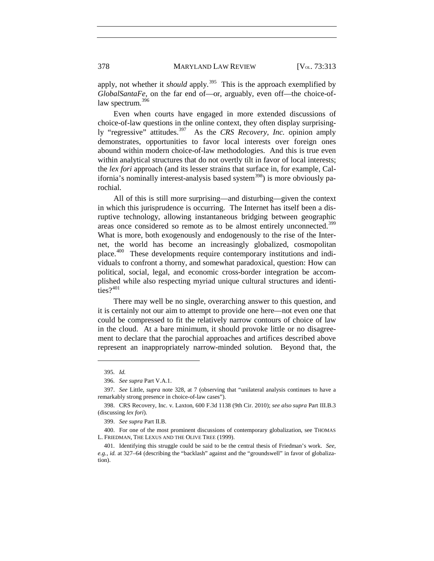apply, not whether it *should* apply.<sup>395</sup> This is the approach exemplified by *GlobalSantaFe*, on the far end of—or, arguably, even off—the choice-of-law spectrum.<sup>[396](#page-66-4)</sup>

Even when courts have engaged in more extended discussions of choice-of-law questions in the online context, they often display surprisingly "regressive" attitudes.[397](#page-66-5) As the *CRS Recovery, Inc.* opinion amply demonstrates, opportunities to favor local interests over foreign ones abound within modern choice-of-law methodologies. And this is true even within analytical structures that do not overtly tilt in favor of local interests; the *lex fori* approach (and its lesser strains that surface in, for example, Cal-ifornia's nominally interest-analysis based system<sup>[398](#page-66-6)</sup>) is more obviously parochial.

All of this is still more surprising—and disturbing—given the context in which this jurisprudence is occurring. The Internet has itself been a disruptive technology, allowing instantaneous bridging between geographic areas once considered so remote as to be almost entirely unconnected.<sup>[399](#page-66-0)</sup> What is more, both exogenously and endogenously to the rise of the Internet, the world has become an increasingly globalized, cosmopolitan place.[400](#page-70-0) These developments require contemporary institutions and individuals to confront a thorny, and somewhat paradoxical, question: How can political, social, legal, and economic cross-border integration be accomplished while also respecting myriad unique cultural structures and identities? $401$ 

There may well be no single, overarching answer to this question, and it is certainly not our aim to attempt to provide one here—not even one that could be compressed to fit the relatively narrow contours of choice of law in the cloud. At a bare minimum, it should provoke little or no disagreement to declare that the parochial approaches and artifices described above represent an inappropriately narrow-minded solution. Beyond that, the

<sup>395.</sup> *Id.*

<sup>396.</sup> *See supra* Part V.A.1.

<span id="page-66-5"></span><span id="page-66-4"></span><span id="page-66-3"></span><sup>397.</sup> *See* Little, *supra* note [328,](#page-57-5) at 7 (observing that "unilateral analysis continues to have a remarkably strong presence in choice-of-law cases").

<span id="page-66-6"></span><sup>398.</sup> CRS Recovery, Inc. v. Laxton, 600 F.3d 1138 (9th Cir. 2010); *see also supra* Part III.B.3 (discussing *lex fori*).

<sup>399.</sup> *See supra* Part II.B.

<span id="page-66-1"></span><span id="page-66-0"></span><sup>400.</sup> For one of the most prominent discussions of contemporary globalization, see THOMAS L. FRIEDMAN, THE LEXUS AND THE OLIVE TREE (1999).

<span id="page-66-2"></span><sup>401.</sup> Identifying this struggle could be said to be the central thesis of Friedman's work. *See, e.g.*, *id.* at 327–64 (describing the "backlash" against and the "groundswell" in favor of globalization).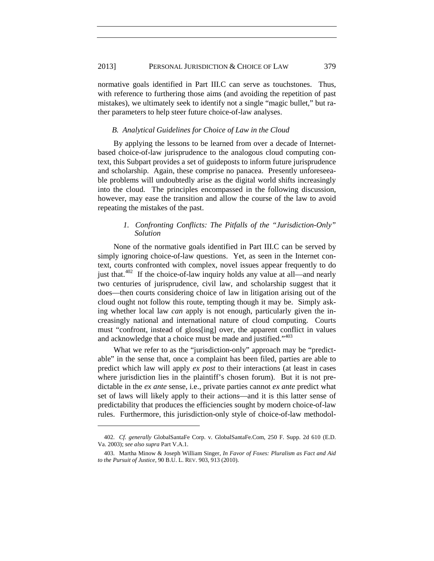normative goals identified in Part III.C can serve as touchstones. Thus, with reference to furthering those aims (and avoiding the repetition of past mistakes), we ultimately seek to identify not a single "magic bullet," but rather parameters to help steer future choice-of-law analyses.

## *B. Analytical Guidelines for Choice of Law in the Cloud*

By applying the lessons to be learned from over a decade of Internetbased choice-of-law jurisprudence to the analogous cloud computing context, this Subpart provides a set of guideposts to inform future jurisprudence and scholarship. Again, these comprise no panacea. Presently unforeseeable problems will undoubtedly arise as the digital world shifts increasingly into the cloud. The principles encompassed in the following discussion, however, may ease the transition and allow the course of the law to avoid repeating the mistakes of the past.

## *1. Confronting Conflicts: The Pitfalls of the "Jurisdiction-Only" Solution*

None of the normative goals identified in Part III.C can be served by simply ignoring choice-of-law questions. Yet, as seen in the Internet context, courts confronted with complex, novel issues appear frequently to do just that.<sup> $402$ </sup> If the choice-of-law inquiry holds any value at all—and nearly two centuries of jurisprudence, civil law, and scholarship suggest that it does—then courts considering choice of law in litigation arising out of the cloud ought not follow this route, tempting though it may be. Simply asking whether local law *can* apply is not enough, particularly given the increasingly national and international nature of cloud computing. Courts must "confront, instead of gloss[ing] over, the apparent conflict in values and acknowledge that a choice must be made and justified."<sup>[403](#page-71-1)</sup>

What we refer to as the "jurisdiction-only" approach may be "predictable" in the sense that, once a complaint has been filed, parties are able to predict which law will apply *ex post* to their interactions (at least in cases where jurisdiction lies in the plaintiff's chosen forum). But it is not predictable in the *ex ante* sense, i.e., private parties cannot *ex ante* predict what set of laws will likely apply to their actions—and it is this latter sense of predictability that produces the efficiencies sought by modern choice-of-law rules. Furthermore, this jurisdiction-only style of choice-of-law methodol-

<span id="page-67-2"></span><span id="page-67-1"></span><span id="page-67-0"></span><sup>402.</sup> *Cf. generally* GlobalSantaFe Corp. v. GlobalSantaFe.Com, 250 F. Supp. 2d 610 (E.D. Va. 2003); *see also supra* Part V.A.1.

<sup>403.</sup> Martha Minow & Joseph William Singer, *In Favor of Foxes: Pluralism as Fact and Aid to the Pursuit of Justice*, 90 B.U. L. REV. 903, 913 (2010).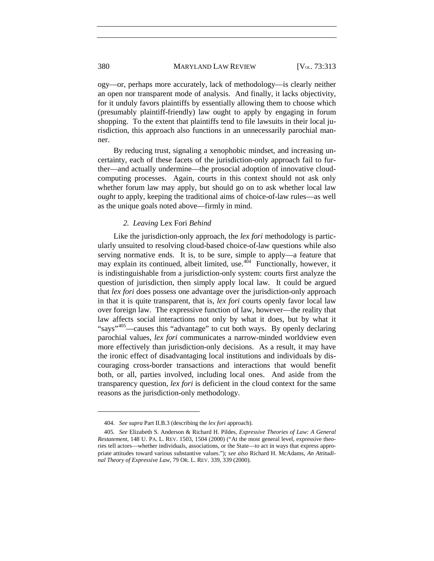ogy—or, perhaps more accurately, lack of methodology—is clearly neither an open nor transparent mode of analysis. And finally, it lacks objectivity, for it unduly favors plaintiffs by essentially allowing them to choose which (presumably plaintiff-friendly) law ought to apply by engaging in forum shopping. To the extent that plaintiffs tend to file lawsuits in their local jurisdiction, this approach also functions in an unnecessarily parochial manner.

By reducing trust, signaling a xenophobic mindset, and increasing uncertainty, each of these facets of the jurisdiction-only approach fail to further—and actually undermine—the prosocial adoption of innovative cloudcomputing processes. Again, courts in this context should not ask only whether forum law may apply, but should go on to ask whether local law *ought* to apply, keeping the traditional aims of choice-of-law rules—as well as the unique goals noted above—firmly in mind.

# *2. Leaving* Lex Fori *Behind*

Like the jurisdiction-only approach, the *lex fori* methodology is particularly unsuited to resolving cloud-based choice-of-law questions while also serving normative ends. It is, to be sure, simple to apply—a feature that may explain its continued, albeit limited, use. $404$  Functionally, however, it is indistinguishable from a jurisdiction-only system: courts first analyze the question of jurisdiction, then simply apply local law. It could be argued that *lex fori* does possess one advantage over the jurisdiction-only approach in that it is quite transparent, that is, *lex fori* courts openly favor local law over foreign law. The expressive function of law, however—the reality that law affects social interactions not only by what it does, but by what it "says"[405—](#page-72-1)causes this "advantage" to cut both ways. By openly declaring parochial values, *lex fori* communicates a narrow-minded worldview even more effectively than jurisdiction-only decisions. As a result, it may have the ironic effect of disadvantaging local institutions and individuals by discouraging cross-border transactions and interactions that would benefit both, or all, parties involved, including local ones. And aside from the transparency question, *lex fori* is deficient in the cloud context for the same reasons as the jurisdiction-only methodology.

<sup>404.</sup> *See supra* Part II.B.3 (describing the *lex fori* approach).

<span id="page-68-1"></span><span id="page-68-0"></span><sup>405.</sup> *See* Elizabeth S. Anderson & Richard H. Pildes, *Expressive Theories of Law: A General Restatement*, 148 U. PA. L. REV. 1503, 1504 (2000) ("At the most general level, expressive theories tell actors—whether individuals, associations, or the State—to act in ways that express appropriate attitudes toward various substantive values."); *see also* Richard H. McAdams, *An Attitudinal Theory of Expressive Law*, 79 OR. L. REV. 339, 339 (2000).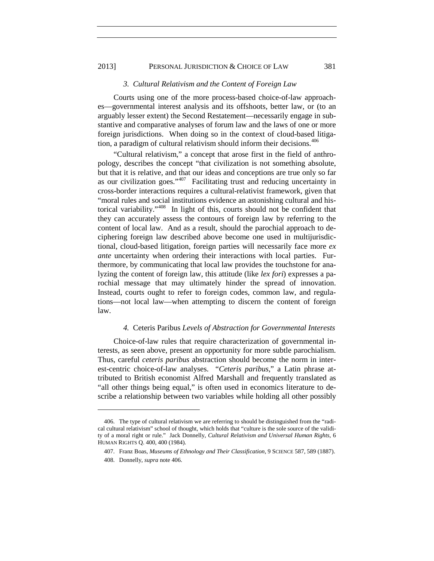## 2013] PERSONAL JURISDICTION & CHOICE OF LAW 381

#### <span id="page-69-2"></span>*3. Cultural Relativism and the Content of Foreign Law*

Courts using one of the more process-based choice-of-law approaches—governmental interest analysis and its offshoots, better law, or (to an arguably lesser extent) the Second Restatement—necessarily engage in substantive and comparative analyses of forum law and the laws of one or more foreign jurisdictions. When doing so in the context of cloud-based litiga-tion, a paradigm of cultural relativism should inform their decisions.<sup>[406](#page-69-3)</sup>

"Cultural relativism," a concept that arose first in the field of anthropology, describes the concept "that civilization is not something absolute, but that it is relative, and that our ideas and conceptions are true only so far as our civilization goes."[407](#page-69-4) Facilitating trust and reducing uncertainty in cross-border interactions requires a cultural-relativist framework, given that "moral rules and social institutions evidence an astonishing cultural and historical variability."[408](#page-72-2) In light of this, courts should not be confident that they can accurately assess the contours of foreign law by referring to the content of local law. And as a result, should the parochial approach to deciphering foreign law described above become one used in multijurisdictional, cloud-based litigation, foreign parties will necessarily face more *ex ante* uncertainty when ordering their interactions with local parties. Furthermore, by communicating that local law provides the touchstone for analyzing the content of foreign law, this attitude (like *lex fori*) expresses a parochial message that may ultimately hinder the spread of innovation. Instead, courts ought to refer to foreign codes, common law, and regulations—not local law—when attempting to discern the content of foreign law.

## *4.* Ceteris Paribus *Levels of Abstraction for Governmental Interests*

Choice-of-law rules that require characterization of governmental interests, as seen above, present an opportunity for more subtle parochialism. Thus, careful *ceteris paribus* abstraction should become the norm in interest-centric choice-of-law analyses. "*Ceteris paribus*," a Latin phrase attributed to British economist Alfred Marshall and frequently translated as "all other things being equal," is often used in economics literature to describe a relationship between two variables while holding all other possibly

<span id="page-69-4"></span><span id="page-69-3"></span><span id="page-69-0"></span><sup>406.</sup> The type of cultural relativism we are referring to should be distinguished from the "radical cultural relativism" school of thought, which holds that "culture is the sole source of the validity of a moral right or rule." Jack Donnelly, *Cultural Relativism and Universal Human Rights*, 6 HUMAN RIGHTS Q. 400, 400 (1984).

<sup>407.</sup> Franz Boas, *Museums of Ethnology and Their Classification*, 9 SCIENCE 587, 589 (1887).

<span id="page-69-1"></span><sup>408.</sup> Donnelly, *supra* not[e 406.](#page-69-2)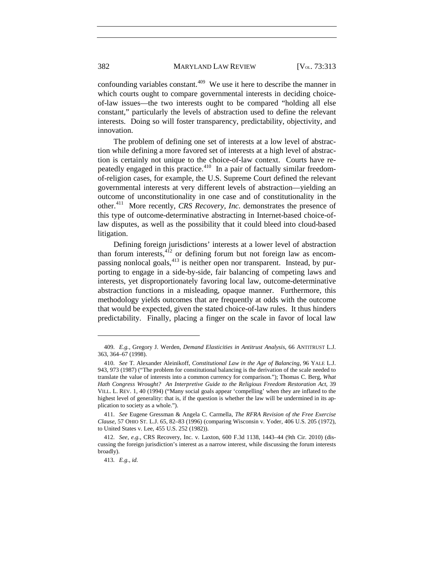confounding variables constant.<sup>409</sup> We use it here to describe the manner in which courts ought to compare governmental interests in deciding choiceof-law issues—the two interests ought to be compared "holding all else constant," particularly the levels of abstraction used to define the relevant interests. Doing so will foster transparency, predictability, objectivity, and innovation.

The problem of defining one set of interests at a low level of abstraction while defining a more favored set of interests at a high level of abstraction is certainly not unique to the choice-of-law context. Courts have repeatedly engaged in this practice. $410$  In a pair of factually similar freedomof-religion cases, for example, the U.S. Supreme Court defined the relevant governmental interests at very different levels of abstraction—yielding an outcome of unconstitutionality in one case and of constitutionality in the other.[411](#page-72-3) More recently, *CRS Recovery, Inc.* demonstrates the presence of this type of outcome-determinative abstracting in Internet-based choice-oflaw disputes, as well as the possibility that it could bleed into cloud-based litigation.

Defining foreign jurisdictions' interests at a lower level of abstraction than forum interests, $4^{12}$  or defining forum but not foreign law as encompassing nonlocal goals,  $413$  is neither open nor transparent. Instead, by purporting to engage in a side-by-side, fair balancing of competing laws and interests, yet disproportionately favoring local law, outcome-determinative abstraction functions in a misleading, opaque manner. Furthermore, this methodology yields outcomes that are frequently at odds with the outcome that would be expected, given the stated choice-of-law rules. It thus hinders predictability. Finally, placing a finger on the scale in favor of local law

<span id="page-70-2"></span><sup>409.</sup> *E.g.*, Gregory J. Werden, *Demand Elasticities in Antitrust Analysis*, 66 ANTITRUST L.J. 363, 364–67 (1998).

<span id="page-70-3"></span><sup>410.</sup> *See* T. Alexander Aleinikoff, *Constitutional Law in the Age of Balancing*, 96 YALE L.J. 943, 973 (1987) ("The problem for constitutional balancing is the derivation of the scale needed to translate the value of interests into a common currency for comparison."); Thomas C. Berg, *What Hath Congress Wrought? An Interpretive Guide to the Religious Freedom Restoration Act*, 39 VILL. L. REV. 1, 40 (1994) ("Many social goals appear 'compelling' when they are inflated to the highest level of generality: that is, if the question is whether the law will be undermined in its application to society as a whole.").

<sup>411.</sup> *See* Eugene Gressman & Angela C. Carmella, *The RFRA Revision of the Free Exercise Clause*, 57 OHIO ST. L.J. 65, 82–83 (1996) (comparing Wisconsin v. Yoder, 406 U.S. 205 (1972), to United States v. Lee, 455 U.S. 252 (1982)).

<span id="page-70-1"></span><span id="page-70-0"></span><sup>412.</sup> *See, e.g.*, CRS Recovery, Inc. v. Laxton, 600 F.3d 1138, 1443–44 (9th Cir. 2010) (discussing the foreign jurisdiction's interest as a narrow interest, while discussing the forum interests broadly).

<sup>413</sup>*. E.g.*, *id.*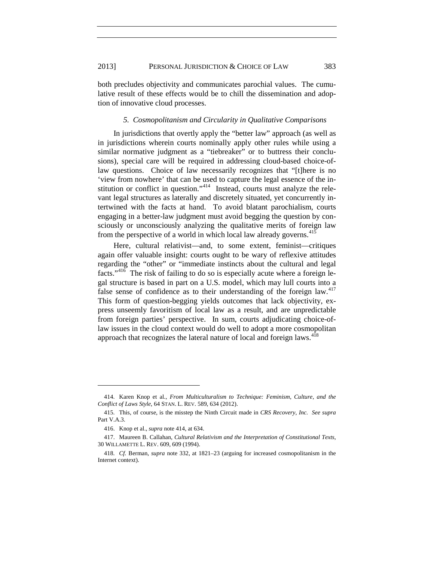both precludes objectivity and communicates parochial values. The cumulative result of these effects would be to chill the dissemination and adoption of innovative cloud processes.

### <span id="page-71-2"></span>*5. Cosmopolitanism and Circularity in Qualitative Comparisons*

In jurisdictions that overtly apply the "better law" approach (as well as in jurisdictions wherein courts nominally apply other rules while using a similar normative judgment as a "tiebreaker" or to buttress their conclusions), special care will be required in addressing cloud-based choice-oflaw questions. Choice of law necessarily recognizes that "[t]here is no 'view from nowhere' that can be used to capture the legal essence of the institution or conflict in question."<sup>414</sup> Instead, courts must analyze the relevant legal structures as laterally and discretely situated, yet concurrently intertwined with the facts at hand. To avoid blatant parochialism, courts engaging in a better-law judgment must avoid begging the question by consciously or unconsciously analyzing the qualitative merits of foreign law from the perspective of a world in which local law already governs.<sup>[415](#page-71-3)</sup>

Here, cultural relativist—and, to some extent, feminist—critiques again offer valuable insight: courts ought to be wary of reflexive attitudes regarding the "other" or "immediate instincts about the cultural and legal facts."[416](#page-71-4) The risk of failing to do so is especially acute where a foreign legal structure is based in part on a U.S. model, which may lull courts into a false sense of confidence as to their understanding of the foreign law. $417$ This form of question-begging yields outcomes that lack objectivity, express unseemly favoritism of local law as a result, and are unpredictable from foreign parties' perspective. In sum, courts adjudicating choice-oflaw issues in the cloud context would do well to adopt a more cosmopolitan approach that recognizes the lateral nature of local and foreign laws. $4\overline{18}$ 

<sup>414.</sup> Karen Knop et al., *From Multiculturalism to Technique: Feminism, Culture, and the Conflict of Laws Style*, 64 STAN. L. REV. 589, 634 (2012).

<span id="page-71-3"></span><sup>415.</sup> This, of course, is the misstep the Ninth Circuit made in *CRS Recovery, Inc. See supra* Part V.A.3.

<sup>416.</sup> Knop et al., *supra* not[e 414,](#page-71-2) at 634.

<span id="page-71-4"></span><span id="page-71-0"></span><sup>417.</sup> Maureen B. Callahan, *Cultural Relativism and the Interpretation of Constitutional Texts*, 30 WILLAMETTE L. REV. 609, 609 (1994).

<span id="page-71-1"></span><sup>418.</sup> *Cf.* Berman, *supra* note [332,](#page-57-6) at 1821–23 (arguing for increased cosmopolitanism in the Internet context).